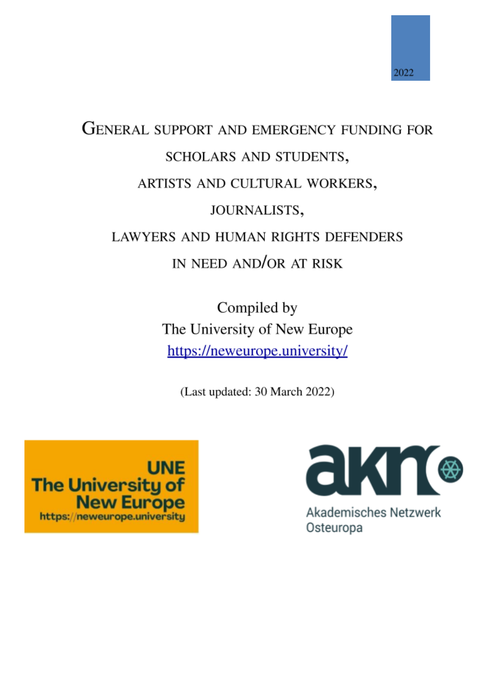

# **GENERAL SUPPORT AND EMERGENCY FUNDING FOR** SCHOLARS AND STUDENTS, ARTISTS AND CULTURAL WORKERS, JOURNALISTS, **LAWYERS AND HUMAN RIGHTS DEFENDERS** IN NEED AND/OR AT RISK

Compiled by The University of New Europe https://neweurope.university/

(Last updated: 30 March 2022)





**Akademisches Netzwerk** Osteuropa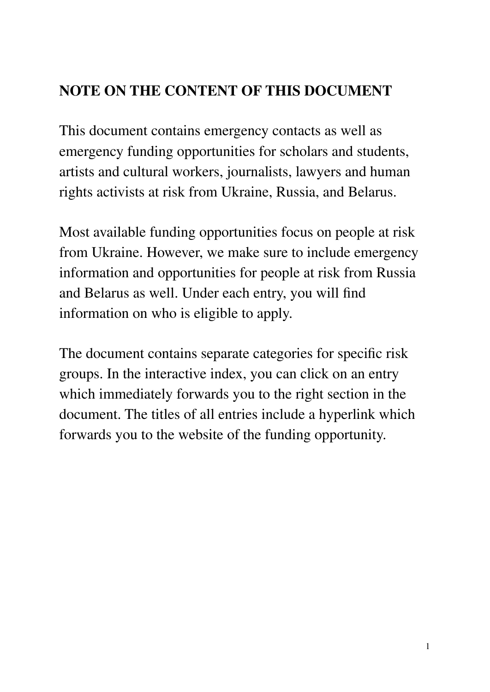# **NOTE ON THE CONTENT OF THIS DOCUMENT**

This document contains emergency contacts as well as emergency funding opportunities for scholars and students, artists and cultural workers, journalists, lawyers and human rights activists at risk from Ukraine, Russia, and Belarus.

Most available funding opportunities focus on people at risk from Ukraine. However, we make sure to include emergency information and opportunities for people at risk from Russia and Belarus as well. Under each entry, you will find information on who is eligible to apply.

The document contains separate categories for specific risk groups. In the interactive index, you can click on an entry which immediately forwards you to the right section in the document. The titles of all entries include a hyperlink which forwards you to the website of the funding opportunity.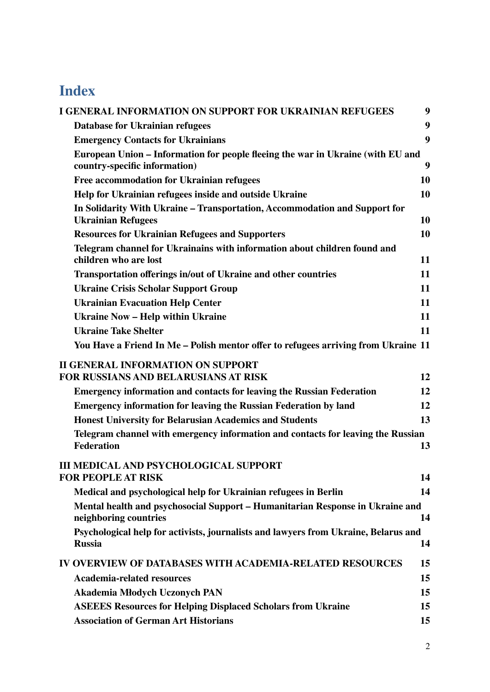# **Index**

| <b>I GENERAL INFORMATION ON SUPPORT FOR UKRAINIAN REFUGEES</b>                                                   | 9  |  |
|------------------------------------------------------------------------------------------------------------------|----|--|
| Database for Ukrainian refugees                                                                                  | 9  |  |
| <b>Emergency Contacts for Ukrainians</b>                                                                         | 9  |  |
| European Union – Information for people fleeing the war in Ukraine (with EU and<br>country-specific information) | 9  |  |
| Free accommodation for Ukrainian refugees                                                                        | 10 |  |
| Help for Ukrainian refugees inside and outside Ukraine                                                           | 10 |  |
| In Solidarity With Ukraine – Transportation, Accommodation and Support for<br><b>Ukrainian Refugees</b>          | 10 |  |
| <b>Resources for Ukrainian Refugees and Supporters</b>                                                           | 10 |  |
| Telegram channel for Ukrainains with information about children found and<br>children who are lost               | 11 |  |
| Transportation offerings in/out of Ukraine and other countries                                                   | 11 |  |
| <b>Ukraine Crisis Scholar Support Group</b>                                                                      | 11 |  |
| <b>Ukrainian Evacuation Help Center</b>                                                                          | 11 |  |
| <b>Ukraine Now - Help within Ukraine</b>                                                                         | 11 |  |
| <b>Ukraine Take Shelter</b>                                                                                      | 11 |  |
| You Have a Friend In Me – Polish mentor offer to refugees arriving from Ukraine 11                               |    |  |
| <b>II GENERAL INFORMATION ON SUPPORT</b><br><b>FOR RUSSIANS AND BELARUSIANS AT RISK</b>                          | 12 |  |
| <b>Emergency information and contacts for leaving the Russian Federation</b>                                     | 12 |  |
| <b>Emergency information for leaving the Russian Federation by land</b>                                          | 12 |  |
| <b>Honest University for Belarusian Academics and Students</b>                                                   | 13 |  |
| Telegram channel with emergency information and contacts for leaving the Russian                                 |    |  |
| <b>Federation</b>                                                                                                | 13 |  |
| <b>III MEDICAL AND PSYCHOLOGICAL SUPPORT</b>                                                                     |    |  |
| <b>FOR PEOPLE AT RISK</b>                                                                                        | 14 |  |
| Medical and psychological help for Ukrainian refugees in Berlin                                                  | 14 |  |
| Mental health and psychosocial Support - Humanitarian Response in Ukraine and<br>neighboring countries           | 14 |  |
| Psychological help for activists, journalists and lawyers from Ukraine, Belarus and<br><b>Russia</b>             | 14 |  |
| IV OVERVIEW OF DATABASES WITH ACADEMIA-RELATED RESOURCES                                                         | 15 |  |
| <b>Academia-related resources</b>                                                                                | 15 |  |
| Akademia Młodych Uczonych PAN                                                                                    | 15 |  |
| <b>ASEEES Resources for Helping Displaced Scholars from Ukraine</b>                                              | 15 |  |
| <b>Association of German Art Historians</b>                                                                      | 15 |  |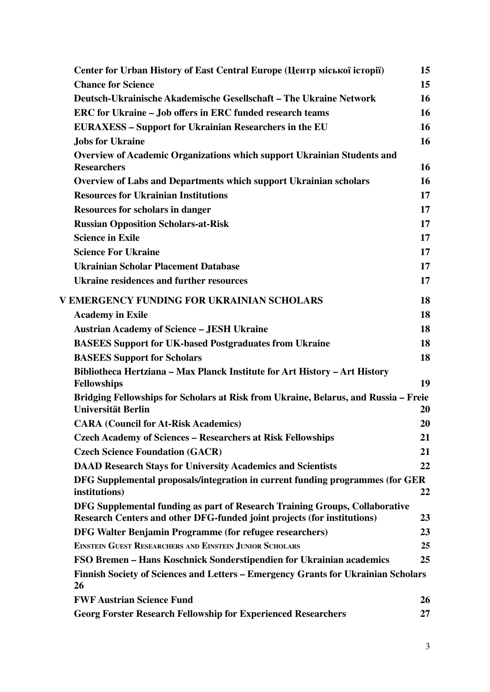| Center for Urban History of East Central Europe (Центр міської історії)                                                                                | 15 |
|--------------------------------------------------------------------------------------------------------------------------------------------------------|----|
| <b>Chance for Science</b>                                                                                                                              | 15 |
| Deutsch-Ukrainische Akademische Gesellschaft – The Ukraine Network                                                                                     | 16 |
| ERC for Ukraine – Job offers in ERC funded research teams                                                                                              | 16 |
| <b>EURAXESS – Support for Ukrainian Researchers in the EU</b>                                                                                          | 16 |
| <b>Jobs for Ukraine</b>                                                                                                                                | 16 |
| <b>Overview of Academic Organizations which support Ukrainian Students and</b>                                                                         |    |
| <b>Researchers</b>                                                                                                                                     | 16 |
| <b>Overview of Labs and Departments which support Ukrainian scholars</b>                                                                               | 16 |
| <b>Resources for Ukrainian Institutions</b>                                                                                                            | 17 |
| <b>Resources for scholars in danger</b>                                                                                                                | 17 |
| <b>Russian Opposition Scholars-at-Risk</b>                                                                                                             | 17 |
| <b>Science in Exile</b>                                                                                                                                | 17 |
| <b>Science For Ukraine</b>                                                                                                                             | 17 |
| <b>Ukrainian Scholar Placement Database</b>                                                                                                            | 17 |
| <b>Ukraine residences and further resources</b>                                                                                                        | 17 |
| V EMERGENCY FUNDING FOR UKRAINIAN SCHOLARS                                                                                                             | 18 |
| <b>Academy in Exile</b>                                                                                                                                | 18 |
| <b>Austrian Academy of Science – JESH Ukraine</b>                                                                                                      | 18 |
| <b>BASEES Support for UK-based Postgraduates from Ukraine</b>                                                                                          | 18 |
| <b>BASEES Support for Scholars</b>                                                                                                                     | 18 |
| Bibliotheca Hertziana - Max Planck Institute for Art History - Art History                                                                             |    |
| <b>Fellowships</b>                                                                                                                                     | 19 |
| Bridging Fellowships for Scholars at Risk from Ukraine, Belarus, and Russia - Freie                                                                    |    |
| Universität Berlin                                                                                                                                     | 20 |
| <b>CARA (Council for At-Risk Academics)</b>                                                                                                            | 20 |
| <b>Czech Academy of Sciences - Researchers at Risk Fellowships</b>                                                                                     | 21 |
| <b>Czech Science Foundation (GACR)</b>                                                                                                                 | 21 |
| <b>DAAD Research Stays for University Academics and Scientists</b>                                                                                     | 22 |
| DFG Supplemental proposals/integration in current funding programmes (for GER                                                                          |    |
| institutions)                                                                                                                                          | 22 |
| DFG Supplemental funding as part of Research Training Groups, Collaborative<br>Research Centers and other DFG-funded joint projects (for institutions) | 23 |
| DFG Walter Benjamin Programme (for refugee researchers)                                                                                                | 23 |
| <b>EINSTEIN GUEST RESEARCHERS AND EINSTEIN JUNIOR SCHOLARS</b>                                                                                         | 25 |
| FSO Bremen – Hans Koschnick Sonderstipendien for Ukrainian academics                                                                                   | 25 |
| Finnish Society of Sciences and Letters - Emergency Grants for Ukrainian Scholars<br>26                                                                |    |
| <b>FWF Austrian Science Fund</b>                                                                                                                       | 26 |
| <b>Georg Forster Research Fellowship for Experienced Researchers</b>                                                                                   | 27 |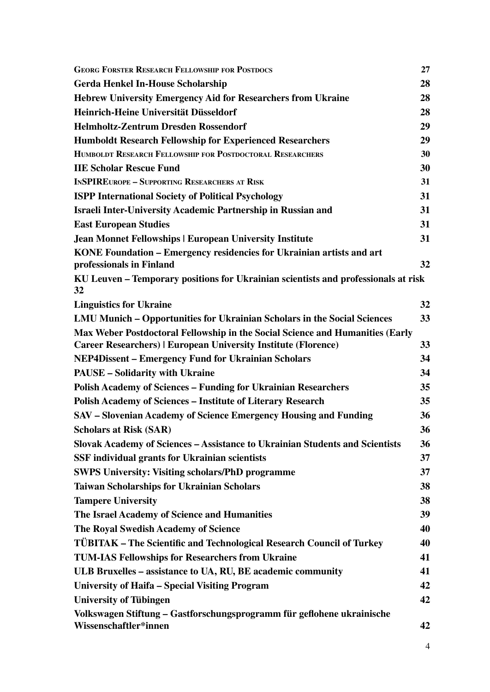| <b>GEORG FORSTER RESEARCH FELLOWSHIP FOR POSTDOCS</b>                                             | 27 |
|---------------------------------------------------------------------------------------------------|----|
| <b>Gerda Henkel In-House Scholarship</b>                                                          | 28 |
| <b>Hebrew University Emergency Aid for Researchers from Ukraine</b>                               | 28 |
| Heinrich-Heine Universität Düsseldorf                                                             | 28 |
| <b>Helmholtz-Zentrum Dresden Rossendorf</b>                                                       | 29 |
| <b>Humboldt Research Fellowship for Experienced Researchers</b>                                   | 29 |
| HUMBOLDT RESEARCH FELLOWSHIP FOR POSTDOCTORAL RESEARCHERS                                         | 30 |
| <b>IIE Scholar Rescue Fund</b>                                                                    | 30 |
| <b>INSPIREUROPE - SUPPORTING RESEARCHERS AT RISK</b>                                              | 31 |
| <b>ISPP International Society of Political Psychology</b>                                         | 31 |
| Israeli Inter-University Academic Partnership in Russian and                                      | 31 |
| <b>East European Studies</b>                                                                      | 31 |
| <b>Jean Monnet Fellowships   European University Institute</b>                                    | 31 |
| KONE Foundation – Emergency residencies for Ukrainian artists and art<br>professionals in Finland | 32 |
| KU Leuven – Temporary positions for Ukrainian scientists and professionals at risk<br>32          |    |
| <b>Linguistics for Ukraine</b>                                                                    | 32 |
| LMU Munich – Opportunities for Ukrainian Scholars in the Social Sciences                          | 33 |
| Max Weber Postdoctoral Fellowship in the Social Science and Humanities (Early                     |    |
| <b>Career Researchers)   European University Institute (Florence)</b>                             | 33 |
| <b>NEP4Dissent – Emergency Fund for Ukrainian Scholars</b>                                        | 34 |
| <b>PAUSE - Solidarity with Ukraine</b>                                                            | 34 |
| <b>Polish Academy of Sciences - Funding for Ukrainian Researchers</b>                             | 35 |
| <b>Polish Academy of Sciences - Institute of Literary Research</b>                                | 35 |
| SAV – Slovenian Academy of Science Emergency Housing and Funding                                  | 36 |
| <b>Scholars at Risk (SAR)</b>                                                                     | 36 |
| Slovak Academy of Sciences - Assistance to Ukrainian Students and Scientists                      | 36 |
| <b>SSF</b> individual grants for Ukrainian scientists                                             | 37 |
| <b>SWPS University: Visiting scholars/PhD programme</b>                                           | 37 |
| <b>Taiwan Scholarships for Ukrainian Scholars</b>                                                 | 38 |
| <b>Tampere University</b>                                                                         | 38 |
| The Israel Academy of Science and Humanities                                                      | 39 |
| The Royal Swedish Academy of Science                                                              | 40 |
| <b>TÜBITAK – The Scientific and Technological Research Council of Turkey</b>                      | 40 |
| TUM-IAS Fellowships for Researchers from Ukraine                                                  | 41 |
| ULB Bruxelles - assistance to UA, RU, BE academic community                                       | 41 |
| University of Haifa – Special Visiting Program                                                    | 42 |
| <b>University of Tübingen</b>                                                                     | 42 |
| Volkswagen Stiftung – Gastforschungsprogramm für geflohene ukrainische<br>Wissenschaftler*innen   | 42 |
|                                                                                                   |    |

4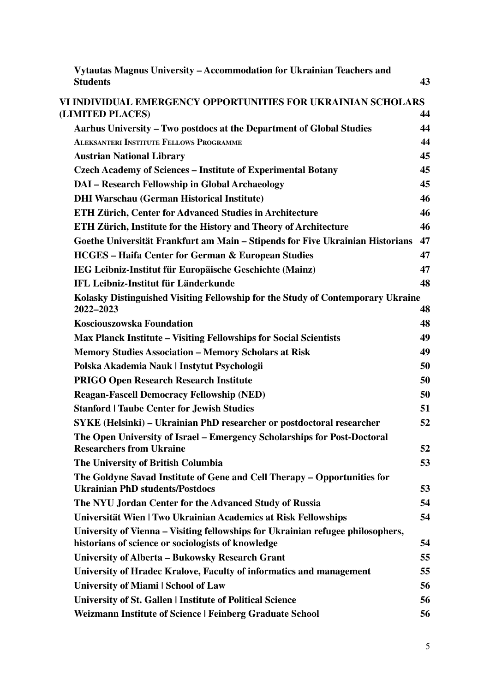| Vytautas Magnus University – Accommodation for Ukrainian Teachers and                                                                 |    |
|---------------------------------------------------------------------------------------------------------------------------------------|----|
| <b>Students</b>                                                                                                                       | 43 |
| VI INDIVIDUAL EMERGENCY OPPORTUNITIES FOR UKRAINIAN SCHOLARS                                                                          |    |
| (LIMITED PLACES)                                                                                                                      | 44 |
| Aarhus University – Two postdocs at the Department of Global Studies                                                                  | 44 |
| <b>ALEKSANTERI INSTITUTE FELLOWS PROGRAMME</b>                                                                                        | 44 |
| <b>Austrian National Library</b>                                                                                                      | 45 |
| <b>Czech Academy of Sciences - Institute of Experimental Botany</b>                                                                   | 45 |
| DAI - Research Fellowship in Global Archaeology                                                                                       | 45 |
| <b>DHI Warschau (German Historical Institute)</b>                                                                                     | 46 |
| <b>ETH Zürich, Center for Advanced Studies in Architecture</b>                                                                        | 46 |
| ETH Zürich, Institute for the History and Theory of Architecture                                                                      | 46 |
| Goethe Universität Frankfurt am Main – Stipends for Five Ukrainian Historians                                                         | 47 |
| <b>HCGES - Haifa Center for German &amp; European Studies</b>                                                                         | 47 |
| IEG Leibniz-Institut für Europäische Geschichte (Mainz)                                                                               | 47 |
| IFL Leibniz-Institut für Länderkunde                                                                                                  | 48 |
| Kolasky Distinguished Visiting Fellowship for the Study of Contemporary Ukraine<br>2022-2023                                          | 48 |
| Kosciouszowska Foundation                                                                                                             | 48 |
| <b>Max Planck Institute – Visiting Fellowships for Social Scientists</b>                                                              | 49 |
| <b>Memory Studies Association - Memory Scholars at Risk</b>                                                                           | 49 |
| Polska Akademia Nauk   Instytut Psychologii                                                                                           | 50 |
| <b>PRIGO Open Research Research Institute</b>                                                                                         | 50 |
| <b>Reagan-Fascell Democracy Fellowship (NED)</b>                                                                                      | 50 |
| <b>Stanford   Taube Center for Jewish Studies</b>                                                                                     | 51 |
| SYKE (Helsinki) – Ukrainian PhD researcher or postdoctoral researcher                                                                 | 52 |
| The Open University of Israel - Emergency Scholarships for Post-Doctoral                                                              |    |
| <b>Researchers from Ukraine</b>                                                                                                       | 52 |
| The University of British Columbia                                                                                                    | 53 |
| The Goldyne Savad Institute of Gene and Cell Therapy – Opportunities for<br><b>Ukrainian PhD students/Postdocs</b>                    | 53 |
| The NYU Jordan Center for the Advanced Study of Russia                                                                                | 54 |
| Universität Wien   Two Ukrainian Academics at Risk Fellowships                                                                        | 54 |
| University of Vienna – Visiting fellowships for Ukrainian refugee philosophers,<br>historians of science or sociologists of knowledge | 54 |
| University of Alberta – Bukowsky Research Grant                                                                                       | 55 |
| University of Hradec Kralove, Faculty of informatics and management                                                                   | 55 |
| <b>University of Miami   School of Law</b>                                                                                            | 56 |
| University of St. Gallen   Institute of Political Science                                                                             | 56 |
| <b>Weizmann Institute of Science   Feinberg Graduate School</b>                                                                       | 56 |
|                                                                                                                                       |    |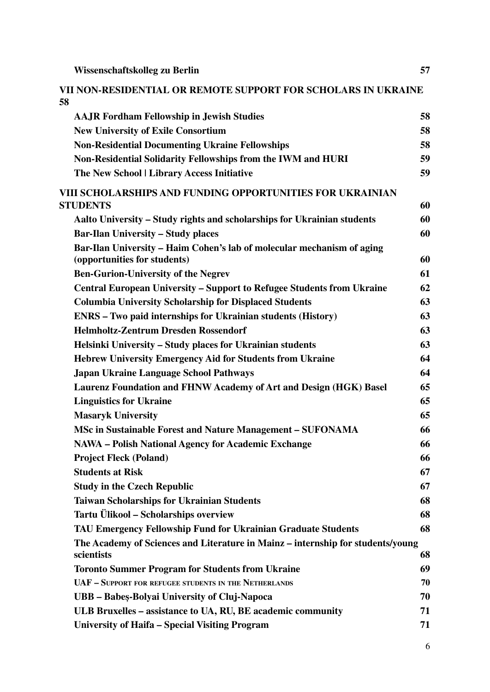| Wissenschaftskolleg zu Berlin                                                                          | 57 |
|--------------------------------------------------------------------------------------------------------|----|
| VII NON-RESIDENTIAL OR REMOTE SUPPORT FOR SCHOLARS IN UKRAINE<br>58                                    |    |
| <b>AAJR Fordham Fellowship in Jewish Studies</b>                                                       | 58 |
| <b>New University of Exile Consortium</b>                                                              | 58 |
| <b>Non-Residential Documenting Ukraine Fellowships</b>                                                 | 58 |
| Non-Residential Solidarity Fellowships from the IWM and HURI                                           | 59 |
| The New School   Library Access Initiative                                                             | 59 |
| VIII SCHOLARSHIPS AND FUNDING OPPORTUNITIES FOR UKRAINIAN<br><b>STUDENTS</b>                           | 60 |
| Aalto University – Study rights and scholarships for Ukrainian students                                | 60 |
| <b>Bar-Ilan University – Study places</b>                                                              | 60 |
| Bar-Ilan University - Haim Cohen's lab of molecular mechanism of aging<br>(opportunities for students) | 60 |
| <b>Ben-Gurion-University of the Negrev</b>                                                             | 61 |
| <b>Central European University – Support to Refugee Students from Ukraine</b>                          | 62 |
| <b>Columbia University Scholarship for Displaced Students</b>                                          | 63 |
| <b>ENRS</b> – Two paid internships for Ukrainian students (History)                                    | 63 |
| <b>Helmholtz-Zentrum Dresden Rossendorf</b>                                                            | 63 |
| Helsinki University - Study places for Ukrainian students                                              | 63 |
| <b>Hebrew University Emergency Aid for Students from Ukraine</b>                                       | 64 |
| <b>Japan Ukraine Language School Pathways</b>                                                          | 64 |
| Laurenz Foundation and FHNW Academy of Art and Design (HGK) Basel                                      | 65 |
| <b>Linguistics for Ukraine</b>                                                                         | 65 |
| <b>Masaryk University</b>                                                                              | 65 |
| MSc in Sustainable Forest and Nature Management - SUFONAMA                                             | 66 |
| <b>NAWA – Polish National Agency for Academic Exchange</b>                                             | 66 |
| <b>Project Fleck (Poland)</b>                                                                          | 66 |
| <b>Students at Risk</b>                                                                                | 67 |
| <b>Study in the Czech Republic</b>                                                                     | 67 |
| <b>Taiwan Scholarships for Ukrainian Students</b>                                                      | 68 |
| Tartu Ülikool – Scholarships overview                                                                  | 68 |
| TAU Emergency Fellowship Fund for Ukrainian Graduate Students                                          | 68 |
| The Academy of Sciences and Literature in Mainz – internship for students/young<br>scientists          | 68 |
| <b>Toronto Summer Program for Students from Ukraine</b>                                                | 69 |
| <b>UAF - SUPPORT FOR REFUGEE STUDENTS IN THE NETHERLANDS</b>                                           | 70 |
| UBB - Babeș-Bolyai University of Cluj-Napoca                                                           | 70 |
| ULB Bruxelles - assistance to UA, RU, BE academic community                                            | 71 |
| <b>University of Haifa - Special Visiting Program</b>                                                  | 71 |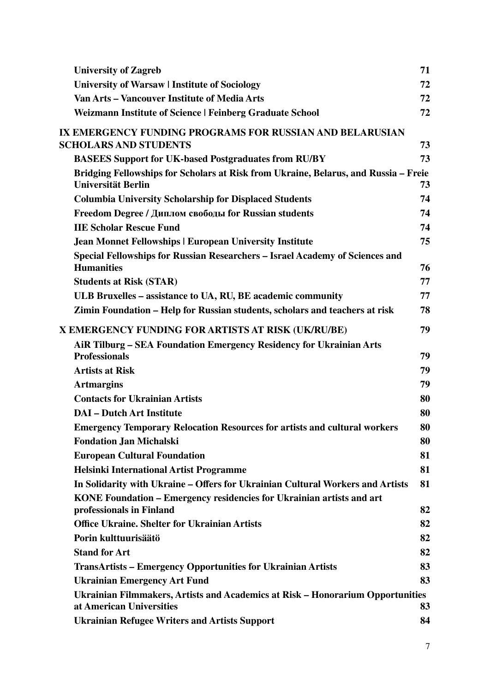| <b>University of Zagreb</b>                                                                                | 71 |
|------------------------------------------------------------------------------------------------------------|----|
| University of Warsaw   Institute of Sociology                                                              | 72 |
| Van Arts – Vancouver Institute of Media Arts                                                               | 72 |
| <b>Weizmann Institute of Science   Feinberg Graduate School</b>                                            | 72 |
| IX EMERGENCY FUNDING PROGRAMS FOR RUSSIAN AND BELARUSIAN                                                   |    |
| <b>SCHOLARS AND STUDENTS</b>                                                                               | 73 |
| <b>BASEES Support for UK-based Postgraduates from RU/BY</b>                                                | 73 |
| Bridging Fellowships for Scholars at Risk from Ukraine, Belarus, and Russia - Freie<br>Universität Berlin  | 73 |
| <b>Columbia University Scholarship for Displaced Students</b>                                              | 74 |
| Freedom Degree / Диплом свободы for Russian students                                                       | 74 |
| <b>IIE Scholar Rescue Fund</b>                                                                             | 74 |
| <b>Jean Monnet Fellowships   European University Institute</b>                                             | 75 |
| Special Fellowships for Russian Researchers - Israel Academy of Sciences and<br><b>Humanities</b>          | 76 |
| <b>Students at Risk (STAR)</b>                                                                             | 77 |
| ULB Bruxelles – assistance to UA, RU, BE academic community                                                | 77 |
| Zimin Foundation – Help for Russian students, scholars and teachers at risk                                | 78 |
| X EMERGENCY FUNDING FOR ARTISTS AT RISK (UK/RU/BE)                                                         | 79 |
| AIR Tilburg – SEA Foundation Emergency Residency for Ukrainian Arts<br><b>Professionals</b>                | 79 |
| <b>Artists at Risk</b>                                                                                     | 79 |
| <b>Artmargins</b>                                                                                          | 79 |
| <b>Contacts for Ukrainian Artists</b>                                                                      | 80 |
| <b>DAI</b> – Dutch Art Institute                                                                           | 80 |
| <b>Emergency Temporary Relocation Resources for artists and cultural workers</b>                           | 80 |
| <b>Fondation Jan Michalski</b>                                                                             | 80 |
| <b>European Cultural Foundation</b>                                                                        | 81 |
| <b>Helsinki International Artist Programme</b>                                                             | 81 |
| In Solidarity with Ukraine – Offers for Ukrainian Cultural Workers and Artists                             | 81 |
| KONE Foundation – Emergency residencies for Ukrainian artists and art<br>professionals in Finland          | 82 |
| <b>Office Ukraine. Shelter for Ukrainian Artists</b>                                                       | 82 |
| Porin kulttuurisäätö                                                                                       | 82 |
| <b>Stand for Art</b>                                                                                       | 82 |
| <b>TransArtists – Emergency Opportunities for Ukrainian Artists</b>                                        | 83 |
| <b>Ukrainian Emergency Art Fund</b>                                                                        | 83 |
| Ukrainian Filmmakers, Artists and Academics at Risk - Honorarium Opportunities<br>at American Universities | 83 |
| <b>Ukrainian Refugee Writers and Artists Support</b>                                                       | 84 |
|                                                                                                            |    |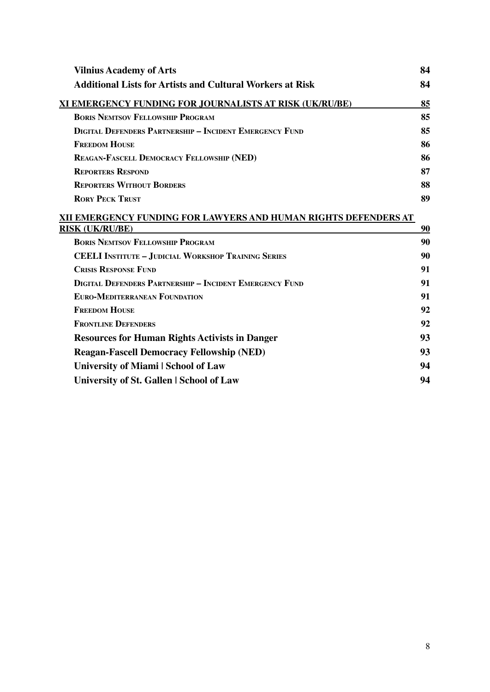| <b>Vilnius Academy of Arts</b>                                                            | 84 |
|-------------------------------------------------------------------------------------------|----|
| <b>Additional Lists for Artists and Cultural Workers at Risk</b>                          | 84 |
| XI EMERGENCY FUNDING FOR JOURNALISTS AT RISK (UK/RU/BE)                                   | 85 |
| <b>BORIS NEMTSOV FELLOWSHIP PROGRAM</b>                                                   | 85 |
| <b>DIGITAL DEFENDERS PARTNERSHIP - INCIDENT EMERGENCY FUND</b>                            | 85 |
| <b>FREEDOM HOUSE</b>                                                                      | 86 |
| REAGAN-FASCELL DEMOCRACY FELLOWSHIP (NED)                                                 | 86 |
| <b>REPORTERS RESPOND</b>                                                                  | 87 |
| <b>REPORTERS WITHOUT BORDERS</b>                                                          | 88 |
| <b>RORY PECK TRUST</b>                                                                    | 89 |
| XII EMERGENCY FUNDING FOR LAWYERS AND HUMAN RIGHTS DEFENDERS AT<br><b>RISK (UK/RU/BE)</b> | 90 |
| <b>BORIS NEMTSOV FELLOWSHIP PROGRAM</b>                                                   | 90 |
| <b>CEELI INSTITUTE - JUDICIAL WORKSHOP TRAINING SERIES</b>                                | 90 |
| <b>CRISIS RESPONSE FUND</b>                                                               | 91 |
| <b>DIGITAL DEFENDERS PARTNERSHIP - INCIDENT EMERGENCY FUND</b>                            | 91 |
|                                                                                           |    |
| <b>EURO-MEDITERRANEAN FOUNDATION</b>                                                      | 91 |
| <b>FREEDOM HOUSE</b>                                                                      | 92 |
| <b>FRONTLINE DEFENDERS</b>                                                                | 92 |
| <b>Resources for Human Rights Activists in Danger</b>                                     | 93 |
| <b>Reagan-Fascell Democracy Fellowship (NED)</b>                                          | 93 |
| <b>University of Miami   School of Law</b>                                                | 94 |
| University of St. Gallen   School of Law                                                  | 94 |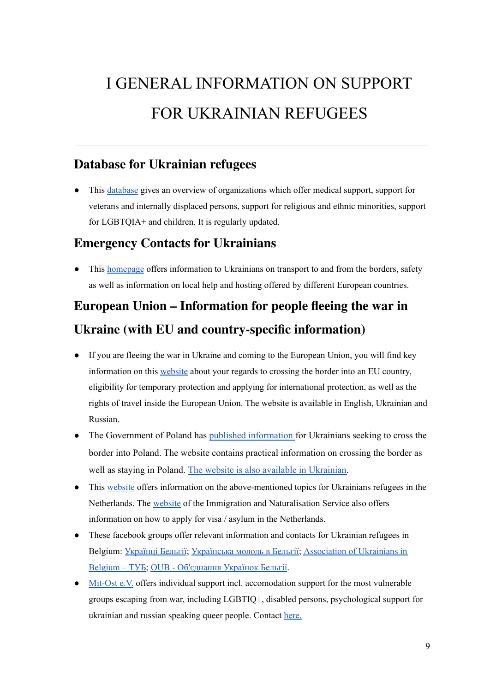# <span id="page-9-0"></span>I GENERAL INFORMATION ON SUPPORT FOR UKRAINIAN REFUGEES

#### <span id="page-9-1"></span>**Database for [Ukrainian](https://docs.google.com/document/d/1CdrWLAkEaOMV7fBbIWzHsgHmFz8s1GM6e_7a57oc3ug/edit?fbclid=IwAR17-50ReK8zcKRJ6KsKttanyZTXTZ247j7tACwT1-feGmDx7dxKjqS4M3s) refugees**

● This [database](https://docs.google.com/document/d/1CdrWLAkEaOMV7fBbIWzHsgHmFz8s1GM6e_7a57oc3ug/edit?fbclid=IwAR17-50ReK8zcKRJ6KsKttanyZTXTZ247j7tACwT1-feGmDx7dxKjqS4M3s) gives an overview of organizations which offer medical support, support for veterans and internally displaced persons, support for religious and ethnic minorities, support for LGBTQIA+ and children. It is regularly updated.

#### <span id="page-9-2"></span>**[Emergency](https://www.contactsforukrainians.art/?fbclid=IwAR2OZBW0C2veEfRF7Xlge8qfa0pwlUHku_OT1nwcPHIDBDmDNq7gw7QGzis) Contacts for Ukrainians**

• This [homepage](https://www.contactsforukrainians.art/?fbclid=IwAR2OZBW0C2veEfRF7Xlge8qfa0pwlUHku_OT1nwcPHIDBDmDNq7gw7QGzis) offers information to Ukrainians on transport to and from the borders, safety as well as information on local help and hosting offered by different European countries.

# <span id="page-9-3"></span>**European Union – [Information](https://ec.europa.eu/info/strategy/priorities-2019-2024/stronger-europe-world/eu-solidarity-ukraine/eu-assistance-ukraine/information-people-fleeing-war-ukraine_en?fbclid=IwAR1lTSlbHgdX_pZW-sgahkmC8T2K4VSue6cqDnFUjKG0ni7dOsiSP50nZio#your-rights-in-the-eu) for people fleeing the war in [Ukraine](https://ec.europa.eu/info/strategy/priorities-2019-2024/stronger-europe-world/eu-solidarity-ukraine/eu-assistance-ukraine/information-people-fleeing-war-ukraine_en?fbclid=IwAR1lTSlbHgdX_pZW-sgahkmC8T2K4VSue6cqDnFUjKG0ni7dOsiSP50nZio#your-rights-in-the-eu) (with EU and country-specific information)**

- If you are fleeing the war in Ukraine and coming to the European Union, you will find key information on this [website](https://ec.europa.eu/info/strategy/priorities-2019-2024/stronger-europe-world/eu-solidarity-ukraine/eu-assistance-ukraine/information-people-fleeing-war-ukraine_en?fbclid=IwAR1lTSlbHgdX_pZW-sgahkmC8T2K4VSue6cqDnFUjKG0ni7dOsiSP50nZio#your-rights-in-the-eu) about your regards to crossing the border into an EU country, eligibility for temporary protection and applying for international protection, as well as the rights of travel inside the European Union. The website is available in English, Ukrainian and Russian.
- The Government of Poland has published [information](https://www.gov.pl/web/udsc/ukraina-en) for Ukrainians seeking to cross the border into Poland. The website contains practical information on crossing the border as well as staying in Poland. The website is also available in [Ukrainian.](https://www.gov.pl/web/udsc/ukraina---ua)
- This [website](https://livinginholland.blog/pervoe_ukr_nl/) offers information on the above-mentioned topics for Ukrainians refugees in the Netherlands. The [website](https://ind.nl/werk/werken-in-Nederland/Paginas/Kennismigrant.aspx?fbclid=IwAR2EetjYtUVImMiOsIHbxhInMJ5c_56dUCz8uOuXMmL1bA6flo7lMLxjwio) of the Immigration and Naturalisation Service also offers information on how to apply for visa / asylum in the Netherlands.
- These facebook groups offer relevant information and contacts for Ukrainian refugees in Belgium: [Українці](https://www.facebook.com/groups/212231388841060/) Бельгії; [Українська](https://www.facebook.com/groups/1452172098389892/) молодь в Бельгії; [Association](https://www.facebook.com/Association-of-Ukrainians-in-Belgium-%D0%A2%D0%A3%D0%91-340579349890458/) of Ukrainians in [Belgium](https://www.facebook.com/Association-of-Ukrainians-in-Belgium-%D0%A2%D0%A3%D0%91-340579349890458/) – ТУБ; OUB - [Об'єднання](https://nl-nl.facebook.com/groups/oub.belgium/) Українок Бельгії.
- [Mit-Ost](https://www.mitost.org/ukraine-support-for-especially-vulnerable-groups/) e.V. offers individual support incl. accomodation support for the most vulnerable groups escaping from war, including LGBTIQ+, disabled persons, psychological support for ukrainian and russian speaking queer people. Contact [here.](https://www.mitost.org/ukraine/contact/)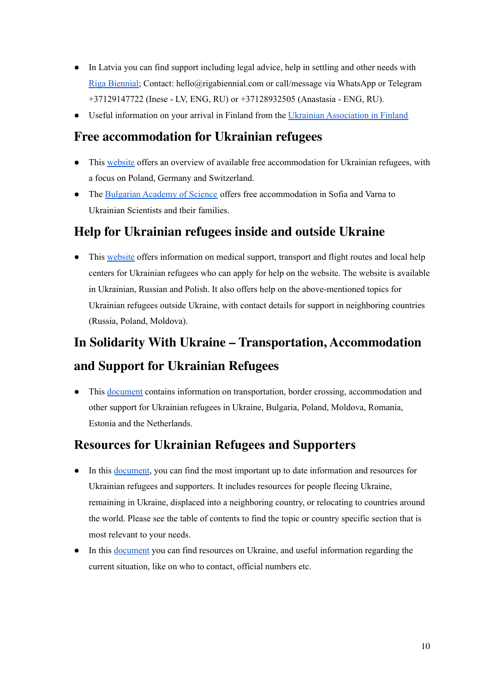- In Latvia you can find support including legal advice, help in settling and other needs with Riga [Biennial;](https://rigabiennial.com/en/riboca-ukraine) Contact: hello@rigabiennial.com or call/message via WhatsApp or Telegram +37129147722 (Inese - LV, ENG, RU) or +37128932505 (Anastasia - ENG, RU).
- Useful information on your arrival in Finland from the Ukrainian [Association](https://ukrainians-in-finland.org/help-for-ukrainian-refugees-in-finland) in Finland

## <span id="page-10-0"></span>**Free [accommodation](https://uasupport.pl/#/dashboard/homes) for Ukrainian refugees**

- This [website](https://uasupport.pl/#/dashboard/homes) offers an overview of available free accommodation for Ukrainian refugees, with a focus on Poland, Germany and Switzerland.
- The [Bulgarian](https://www.bas.bg/?p=37624&lang=en) Academy of Science offers free accommodation in Sofia and Varna to Ukrainian Scientists and their families.

#### <span id="page-10-1"></span>**Help for [Ukrainian](https://infohelpua.com/?fbclid=IwAR0ir0F5ijwixKmtkcbjjLdOTK38qQbkJfUbTfG192mCSVhBVFEmGcEahcg) refugees inside and outside Ukraine**

• This [website](https://infohelpua.com/?fbclid=IwAR0ir0F5ijwixKmtkcbjjLdOTK38qQbkJfUbTfG192mCSVhBVFEmGcEahcg) offers information on medical support, transport and flight routes and local help centers for Ukrainian refugees who can apply for help on the website. The website is available in Ukrainian, Russian and Polish. It also offers help on the above-mentioned topics for Ukrainian refugees outside Ukraine, with contact details for support in neighboring countries (Russia, Poland, Moldova).

# <span id="page-10-2"></span>**In Solidarity With Ukraine – Transportation, [Accommodation](https://pad.xpub.nl/p/UKRAINEINVASION_LinkFarm?fbclid=IwAR30xX5ObC7PqTgMrsih3vE1ilsWRl3dbsw8IJcKqVeEAbVZgggO7SqjvYs) and Support for [Ukrainian](https://pad.xpub.nl/p/UKRAINEINVASION_LinkFarm?fbclid=IwAR30xX5ObC7PqTgMrsih3vE1ilsWRl3dbsw8IJcKqVeEAbVZgggO7SqjvYs) Refugees**

● This [document](https://pad.xpub.nl/p/UKRAINEINVASION_LinkFarm?fbclid=IwAR30xX5ObC7PqTgMrsih3vE1ilsWRl3dbsw8IJcKqVeEAbVZgggO7SqjvYs) contains information on transportation, border crossing, accommodation and other support for Ukrainian refugees in Ukraine, Bulgaria, Poland, Moldova, Romania, Estonia and the Netherlands.

#### <span id="page-10-3"></span>**Resources for Ukrainian Refugees and [Supporters](https://docs.google.com/document/d/1ebXPKnF_krrfkpjF4dHKhJ3YYzYVpg8w-JAG91yLxdc/edit?mc_cid=ffea162925&mc_eid=4b6441220e#heading=h.mfaggjwe5yo8)**

- In this [document,](https://docs.google.com/document/d/1ebXPKnF_krrfkpjF4dHKhJ3YYzYVpg8w-JAG91yLxdc/edit?mc_cid=ffea162925&mc_eid=4b6441220e#heading=h.mfaggjwe5yo8) you can find the most important up to date information and resources for Ukrainian refugees and supporters. It includes resources for people fleeing Ukraine, remaining in Ukraine, displaced into a neighboring country, or relocating to countries around the world. Please see the table of contents to find the topic or country specific section that is most relevant to your needs.
- In this [document](https://docs.google.com/document/u/0/d/1w59p4ar7wwrZCV8c9PeUIJPGFA53jUcFaJhJCCM5Fik/mobilebasic) you can find resources on Ukraine, and useful information regarding the current situation, like on who to contact, official numbers etc.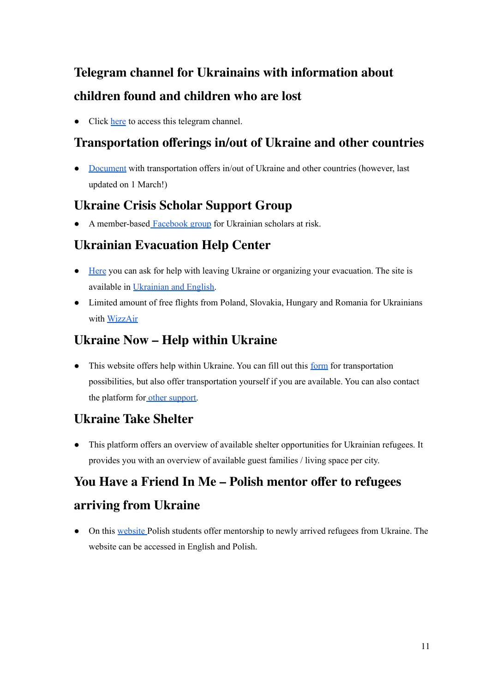# <span id="page-11-0"></span>**Telegram channel for Ukrainains with [information](https://t.me/poshuk_znyklyh) about [children](https://t.me/poshuk_znyklyh) found and children who are lost**

• Click [here](https://t.me/poshuk_znyklyh) to access this telegram channel.

## <span id="page-11-1"></span>**[Transportation](https://docs.google.com/document/d/19Pq7XmesBqBhczXTUDEud8YHW7dbVOOREClnLKIoong/mobilebasic) offerings in/out of Ukraine and other countries**

• [Document](https://docs.google.com/document/d/19Pq7XmesBqBhczXTUDEud8YHW7dbVOOREClnLKIoong/mobilebasic) with transportation offers in/out of Ukraine and other countries (however, last updated on 1 March!)

## <span id="page-11-2"></span>**Ukraine Crisis Scholar [Support](https://www.facebook.com/groups/928930501116018/permalink/945778849431183) Group**

A member-based [Facebook](https://www.facebook.com/groups/928930501116018/permalink/945778849431183) group for Ukrainian scholars at risk.

## <span id="page-11-3"></span>**Ukrainian [Evacuation](https://borderlands.com.ua/homepage_en) Help Center**

- [Here](https://borderlands.com.ua/homepage_en) you can ask for help with leaving Ukraine or organizing your evacuation. The site is available in [Ukrainian](https://borderlands.com.ua/?fbclid=IwAR3g0EWBvICNWEUkYeWWnml1Lw8mWHfL_jmy9-ujAbLVSZAa4GELYjsY5vA) and English.
- Limited amount of free flights from Poland, Slovakia, Hungary and Romania for Ukrainians with [WizzAir](https://wizzair.com/?fbclid=IwAR3vjMOHaIQ4d11myDHTtZTI5f6y9g_xgZ3ZVs72h35zaoMwXKTl3YsJHx8#/)

### <span id="page-11-4"></span>**[Ukraine](https://www.ukrainenow.org) Now – Help within Ukraine**

• This website offers help within Ukraine. You can fill out this [form](https://www.ukrainenow.org/refuge#need-transfer) for transportation possibilities, but also offer transportation yourself if you are available. You can also contact the platform for other [support.](https://www.ukrainenow.org/refuge#other-needs)

#### <span id="page-11-5"></span>**[Ukraine](https://www.ukrainetakeshelter.com/?fbclid=IwAR3KKYsPTi9-k_1ggot7-V6eXkWUKrQiGPiBNKoM6BT-JyHM6F26LCAy8M4) Take Shelter**

● This platform offers an overview of available shelter opportunities for Ukrainian refugees. It provides you with an overview of available guest families / living space per city.

# <span id="page-11-6"></span>**You Have a Friend In Me – Polish mentor offer to [refugees](https://www.druhawemniemasz.com/en?fbclid=IwAR0w3Jc6Qv3JxwdQjzMPViVqlAVFCam7hG65Rjbmw4OHle_acEFyyYV6HOo) [arriving](https://www.druhawemniemasz.com/en?fbclid=IwAR0w3Jc6Qv3JxwdQjzMPViVqlAVFCam7hG65Rjbmw4OHle_acEFyyYV6HOo) from Ukraine**

• On this [website](https://www.druhawemniemasz.com/uk?fbclid=IwAR0w3Jc6Qv3JxwdQjzMPViVqlAVFCam7hG65Rjbmw4OHle_acEFyyYV6HOo) Polish students offer mentorship to newly arrived refugees from Ukraine. The website can be accessed in English and Polish.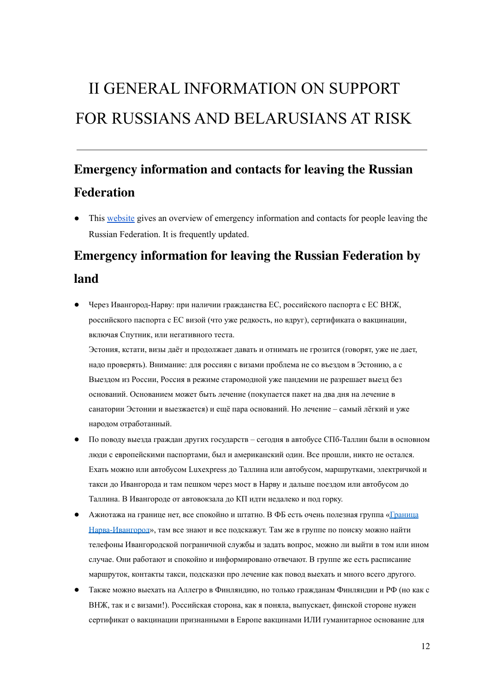# <span id="page-12-0"></span>II GENERAL INFORMATION ON SUPPORT FOR RUSSIANS AND BELARUSIANS AT RISK

# <span id="page-12-1"></span>**Emergency [information](https://equanity.notion.site/equanity/6bb0d8655cf44d25993fb11d14456d5e) and contacts for leaving the Russian [Federation](https://equanity.notion.site/equanity/6bb0d8655cf44d25993fb11d14456d5e)**

This [website](https://equanity.notion.site/equanity/6bb0d8655cf44d25993fb11d14456d5e) gives an overview of emergency information and contacts for people leaving the Russian Federation. It is frequently updated.

# **Emergency information for leaving the Russian Federation by**

#### <span id="page-12-2"></span>**land**

Через Ивангород-Нарву: при наличии гражданства ЕС, российского паспорта с ЕС ВНЖ, российского паспорта с ЕС визой (что уже редкость, но вдруг), сертификата о вакцинации, включая Спутник, или негативного теста.

Эстония, кстати, визы даёт и продолжает давать и отнимать не грозится (говорят, уже не дает, надо проверять). Внимание: для россиян с визами проблема не со въездом в Эстонию, а с Выездом из России, Россия в режиме старомодной уже пандемии не разрешает выезд без оснований. Основанием может быть лечение (покупается пакет на два дня на лечение в санатории Эстонии и выезжается) и ещё пара оснований. Но лечение – самый лёгкий и уже народом отработанный.

- По поводу выезда граждан других государств сегодня в автобусе СПб-Таллин были в основном люди с европейскими паспортами, был и американский один. Все прошли, никто не остался. Ехать можно или автобусом Luxexpress до Таллина или автобусом, маршрутками, электричкой и такси до Ивангорода и там пешком через мост в Нарву и дальше поездом или автобусом до Таллина. В Ивангороде от автовокзала до КП идти недалеко и под горку.
- Ажиотажа на границе нет, все спокойно и штатно. В ФБ есть очень полезная группа [«Граница](https://www.facebook.com/groups/1723396727706790/) [Нарва-Ивангород](https://www.facebook.com/groups/1723396727706790/)», там все знают и все подскажут. Там же в группе по поиску можно найти телефоны Ивангородской пограничной службы и задать вопрос, можно ли выйти в том или ином случае. Они работают и спокойно и информировано отвечают. В группе же есть расписание маршруток, контакты такси, подсказки про лечение как повод выехать и много всего другого.
- Также можно выехать на Аллегро в Финляндию, но только гражданам Финляндии и РФ (но как с ВНЖ, так и с визами!). Российская сторона, как я поняла, выпускает, финской стороне нужен сертификат о вакцинации признанными в Европе вакцинами ИЛИ гуманитарное основание для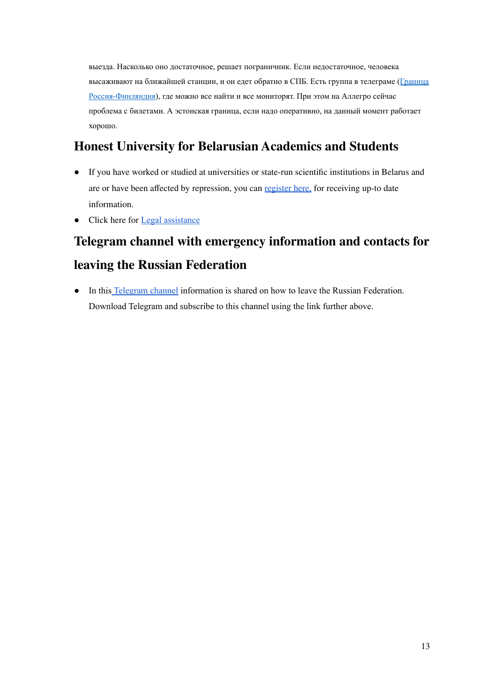выезда. Насколько оно достаточное, решает пограничник. Если недостаточное, человека высаживают на ближайшей станции, и он едет обратно в СПБ. Есть группа в телеграме ([Граница](https://t.me/rus_fin_border) [Россия-Финляндия](https://t.me/rus_fin_border)), где можно все найти и все мониторят. При этом на Аллегро сейчас проблема с билетами. А эстонская граница, если надо оперативно, на данный момент работает хорошо.

## <span id="page-13-0"></span>**Honest University for [Belarusian](https://univer.honest-people.by/#start) Academics and Students**

- If you have worked or studied at universities or state-run scientific institutions in Belarus and are or have been affected by repression, you can [register](https://airtable.com/shrELV8GEY0Fb0EdO) here, for receiving up-to date information.
- Click here for **Legal [assistance](https://kafedra.honest-people.by)**

# <span id="page-13-1"></span>**Telegram channel with emergency [information](https://t.me/ranarod?fbclid=IwAR3rgc0Cf1a8K5zvxIvEbvte4AhEfQYTqH8KwJfviTmOJLrAcUIeOLWvO3U) and contacts for leaving the Russian [Federation](https://t.me/ranarod?fbclid=IwAR3rgc0Cf1a8K5zvxIvEbvte4AhEfQYTqH8KwJfviTmOJLrAcUIeOLWvO3U)**

● In this [Telegram](https://t.me/ranarod?fbclid=IwAR3rgc0Cf1a8K5zvxIvEbvte4AhEfQYTqH8KwJfviTmOJLrAcUIeOLWvO3U) channel information is shared on how to leave the Russian Federation. Download Telegram and subscribe to this channel using the link further above.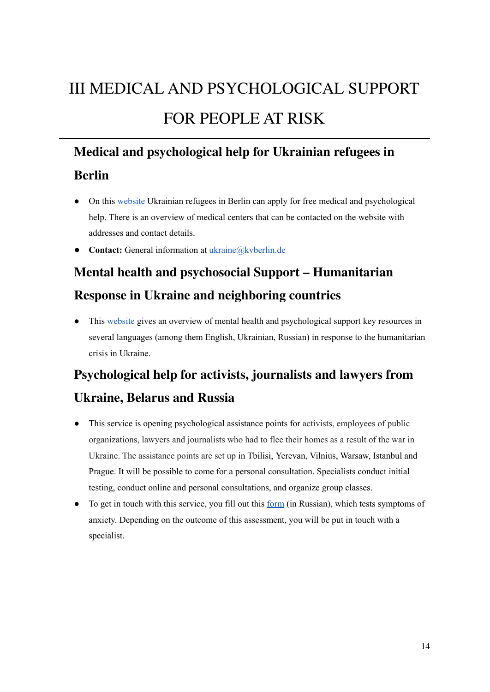# <span id="page-14-0"></span>III MEDICAL AND PSYCHOLOGICAL SUPPORT FOR PEOPLE AT RISK

# **Medical and [psychological](https://www.kvberlin.de/fuer-patienten/ukraine?fbclid=IwAR3d8OpONQ-FkHx0AGXlisfEMrYtSkC-uva231uZXFFdHjaCgCm_-l28tT4) help for Ukrainian refugees in**

## <span id="page-14-1"></span>**[Berlin](https://www.kvberlin.de/fuer-patienten/ukraine?fbclid=IwAR3d8OpONQ-FkHx0AGXlisfEMrYtSkC-uva231uZXFFdHjaCgCm_-l28tT4)**

- On this [website](https://www.kvberlin.de/fuer-patienten/ukraine?fbclid=IwAR3d8OpONQ-FkHx0AGXlisfEMrYtSkC-uva231uZXFFdHjaCgCm_-l28tT4) Ukrainian refugees in Berlin can apply for free medical and psychological help. There is an overview of medical centers that can be contacted on the website with addresses and contact details.
- **Contact:** General information at ukraine@kvberlin.de

# <span id="page-14-2"></span>**Mental health and psychosocial Support – [Humanitarian](https://pscentre.org/?resource=mental-health-and-psychosocial-support-humanitarian-response-in-ukraine-and-neighbouring-countries&selected=single-resource&fbclid=IwAR26fbw8EofTZm12JxBqeKdSlKlTniQH_iW0r-my3RudkAqr52kRBL3zNvM) Response in Ukraine and [neighboring](https://pscentre.org/?resource=mental-health-and-psychosocial-support-humanitarian-response-in-ukraine-and-neighbouring-countries&selected=single-resource&fbclid=IwAR26fbw8EofTZm12JxBqeKdSlKlTniQH_iW0r-my3RudkAqr52kRBL3zNvM) countries**

● This [website](https://pscentre.org/?resource=mental-health-and-psychosocial-support-humanitarian-response-in-ukraine-and-neighbouring-countries&selected=single-resource&fbclid=IwAR26fbw8EofTZm12JxBqeKdSlKlTniQH_iW0r-my3RudkAqr52kRBL3zNvM) gives an overview of mental health and psychological support key resources in several languages (among them English, Ukrainian, Russian) in response to the humanitarian crisis in Ukraine.

# **[Psychological](https://docs.google.com/forms/d/e/1FAIpQLSdxfzUK-aSPsLvP5YiYIylNFHPA0Glj4--DjhzvLeKnhGIbCQ/viewform) help for activists, journalists and lawyers from**

## <span id="page-14-3"></span>**[Ukraine,](https://docs.google.com/forms/d/e/1FAIpQLSdxfzUK-aSPsLvP5YiYIylNFHPA0Glj4--DjhzvLeKnhGIbCQ/viewform) Belarus and Russia**

- This service is opening psychological assistance points for activists, employees of public organizations, lawyers and journalists who had to flee their homes as a result of the war in Ukraine. The assistance points are set up in Tbilisi, Yerevan, Vilnius, Warsaw, Istanbul and Prague. It will be possible to come for a personal consultation. Specialists conduct initial testing, conduct online and personal consultations, and organize group classes.
- To get in touch with this service, you fill out this [form](https://docs.google.com/forms/d/e/1FAIpQLSdxfzUK-aSPsLvP5YiYIylNFHPA0Glj4--DjhzvLeKnhGIbCQ/viewform) (in Russian), which tests symptoms of anxiety. Depending on the outcome of this assessment, you will be put in touch with a specialist.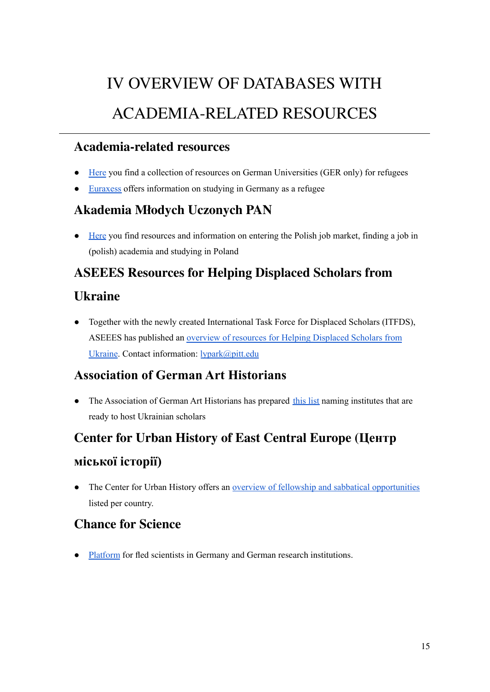# IV OVERVIEW OF DATABASES WITH ACADEMIA-RELATED RESOURCES

#### <span id="page-15-1"></span><span id="page-15-0"></span>**Academia-related resources**

- [Here](https://www.wusgermany.de/de/wus-service/wus-aktuelles/fluechtlinge-und-hochschulen-deutschland) you find a collection of resources on German Universities (GER only) for refugees
- [Euraxess](https://www.euraxess.de/germany/information-refugees-who-wish-study-germany) offers information on studying in Germany as a refugee

## <span id="page-15-2"></span>**[Akademia](https://amu.pan.pl/) Młodych Uczonych PAN**

● [Here](https://amu.pan.pl/ukraina/) you find resources and information on entering the Polish job market, finding a job in (polish) academia and studying in Poland

## **ASEEES [Resources](https://www.aseees.org/resources/help-displaced-scholars-ukraine) for Helping Displaced Scholars from**

#### <span id="page-15-3"></span>**[Ukraine](https://www.aseees.org/resources/help-displaced-scholars-ukraine)**

● Together with the newly created International Task Force for Displaced Scholars (ITFDS), ASEEES has published an overview of resources for Helping [Displaced](https://www.aseees.org/resources/help-displaced-scholars-ukraine) Scholars from [Ukraine](https://www.aseees.org/resources/help-displaced-scholars-ukraine). Contact information: [lypark@pitt.edu](mailto:lypark@pitt.edu)

## <span id="page-15-4"></span>**Association of German Art Historians**

• The Association of German Art Historians has prepared [this](https://kunsthistoriker.org/wp-content/uploads/2022/03/VDK-Scholars-at-risk_22-03-15.pdf) list naming institutes that are ready to host Ukrainian scholars

# <span id="page-15-5"></span>**Center for Urban History of East [Central](https://www.lvivcenter.org/updates/academics-at-risk/) Europe (Центр [міської](https://www.lvivcenter.org/updates/academics-at-risk/) історії)**

• The Center for Urban History offers an <u>overview of fellowship and sabbatical [opportunities](https://www.lvivcenter.org/updates/academics-at-risk/)</u> listed per country.

#### <span id="page-15-6"></span>**[Chance](https://home.uni-leipzig.de/~chanceforscience/index.php?lang=en) for Science**

[Platform](https://home.uni-leipzig.de/~chanceforscience/index.php?lang=en) for fled scientists in Germany and German research institutions.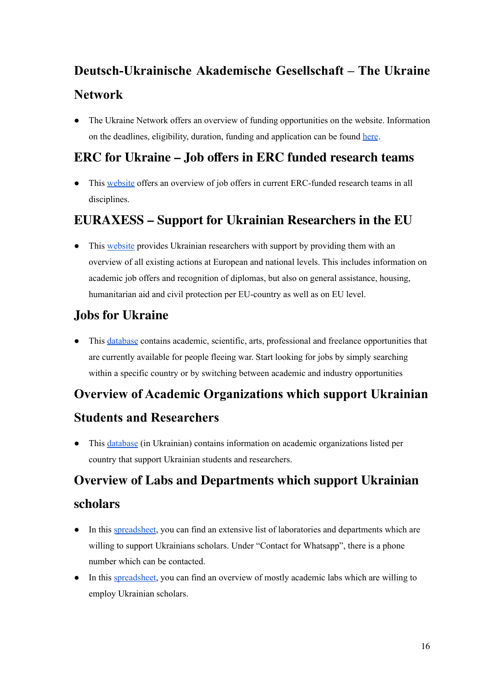# <span id="page-16-0"></span>**[Deutsch-Ukrainische](https://ukrainet.eu/category/fund/) Akademische Gesellschaft – The Ukraine [Network](https://ukrainet.eu/category/fund/)**

• The Ukraine Network offers an overview of funding opportunities on the website. Information on the deadlines, eligibility, duration, funding and application can be found [here](https://ukrainet.eu/2022/02/04/funding-opportunities/).

## <span id="page-16-1"></span>**ERC for Ukraine – Job offers in ERC funded [research](https://erc.europa.eu/funding/additional-opportunities/ERC-for-Ukraine-research-jobs) teams**

• This [website](https://erc.europa.eu/funding/additional-opportunities/ERC-for-Ukraine-research-jobs) offers an overview of job offers in current ERC-funded research teams in all disciplines.

## <span id="page-16-2"></span>**[EURAXESS](https://euraxess.ec.europa.eu/ukraine?fbclid=IwAR1iB6IRpN6iDUCE4rUoxWrNs_rydOxZl6cgirsq6t9QiVLe4z9mR-x65KQ#memberstates) – Support for Ukrainian Researchers in the EU**

• This [website](https://euraxess.ec.europa.eu/ukraine?fbclid=IwAR1iB6IRpN6iDUCE4rUoxWrNs_rydOxZl6cgirsq6t9QiVLe4z9mR-x65KQ#memberstates) provides Ukrainian researchers with support by providing them with an overview of all existing actions at European and national levels. This includes information on academic job offers and recognition of diplomas, but also on general assistance, housing, humanitarian aid and civil protection per EU-country as well as on EU level.

## <span id="page-16-3"></span>**Jobs for [Ukraine](https://jobsforukraine.net/?fbclid=IwAR1sOtytQ72FBeHgNiQmjZGoalARvzTLisHzsSROtQV0cB2xIfq-gC785_E)**

● This [database](https://jobsforukraine.net/?fbclid=IwAR1sOtytQ72FBeHgNiQmjZGoalARvzTLisHzsSROtQV0cB2xIfq-gC785_E) contains academic, scientific, arts, professional and freelance opportunities that are currently available for people fleeing war. Start looking for jobs by simply searching within a specific country or by switching between academic and industry opportunities

# **Overview of Academic [Organizations](https://docs.google.com/document/d/1F4-Q5wuI08SJSsu0Itl7aZgv_Ucut8_-_UyP5jtcwfQ/edit) which support Ukrainian**

#### <span id="page-16-4"></span>**Students and [Researchers](https://docs.google.com/document/d/1F4-Q5wuI08SJSsu0Itl7aZgv_Ucut8_-_UyP5jtcwfQ/edit)**

● This [database](https://docs.google.com/document/d/1F4-Q5wuI08SJSsu0Itl7aZgv_Ucut8_-_UyP5jtcwfQ/edit) (in Ukrainian) contains information on academic organizations listed per country that support Ukrainian students and researchers.

# <span id="page-16-5"></span>**Overview of Labs and [Departments](https://docs.google.com/spreadsheets/d/1jGFCqP2kj1ZAN6xy6EoRN1bozaggk9VEsbzYaIkkYcQ/htmlview) which support Ukrainian [scholars](https://docs.google.com/spreadsheets/d/1jGFCqP2kj1ZAN6xy6EoRN1bozaggk9VEsbzYaIkkYcQ/htmlview)**

- In this [spreadsheet,](https://docs.google.com/spreadsheets/d/1jGFCqP2kj1ZAN6xy6EoRN1bozaggk9VEsbzYaIkkYcQ/htmlview) you can find an extensive list of laboratories and departments which are willing to support Ukrainians scholars. Under "Contact for Whatsapp", there is a phone number which can be contacted.
- In this [spreadsheet,](https://docs.google.com/spreadsheets/d/1HqTKukfJGpmowQnSh4CoFn3T6HXcNS1T1pK-Xx9CknQ/edit#gid=320641758) you can find an overview of mostly academic labs which are willing to employ Ukrainian scholars.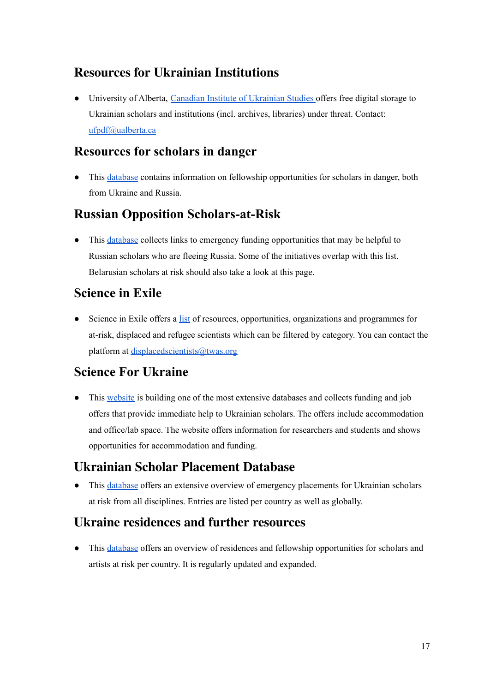## <span id="page-17-0"></span>**Resources for Ukrainian Institutions**

● University of Alberta, Canadian Institute of [Ukrainian](https://www.ualberta.ca/canadian-institute-of-ukrainian-studies/publications-and-e-resources/ukraine-archives-rescue-team.html) Studies offers free digital storage to Ukrainian scholars and institutions (incl. archives, libraries) under threat. Contact: [ufpdf@ualberta.ca](mailto:ufpdf@ualberta.ca)

#### <span id="page-17-1"></span>**[Resources](https://docs.google.com/document/u/0/d/1VPvwMzaScGbAG5sBMhFoS8RC3zZy0JbsxVK35NTuGI4/mobilebasic?fbclid=IwAR11Kj3LS8oWTv-qusjuYRqWB9u_7YJCM1CVzg8IxE1IecVi7a1b8X40YAQ) for scholars in danger**

● This [database](https://docs.google.com/document/u/0/d/1VPvwMzaScGbAG5sBMhFoS8RC3zZy0JbsxVK35NTuGI4/mobilebasic?fbclid=IwAR11Kj3LS8oWTv-qusjuYRqWB9u_7YJCM1CVzg8IxE1IecVi7a1b8X40YAQ) contains information on fellowship opportunities for scholars in danger, both from Ukraine and Russia.

## <span id="page-17-2"></span>**Russian Opposition [Scholars-at-Risk](https://www.rutabagawriter.com/russian-opposition-scholars-at-risk/?fbclid=IwAR0GdumKyURthrGbfrC7e5W0qaOlY8ovY8rEhcRKqaf6S-4O4WmCVHt8hws)**

• This [database](https://www.rutabagawriter.com/russian-opposition-scholars-at-risk/?fbclid=IwAR0GdumKyURthrGbfrC7e5W0qaOlY8ovY8rEhcRKqaf6S-4O4WmCVHt8hws) collects links to emergency funding opportunities that may be helpful to Russian scholars who are fleeing Russia. Some of the initiatives overlap with this list. Belarusian scholars at risk should also take a look at this page.

#### <span id="page-17-3"></span>**[Science](https://scienceinexile.org/other-resources) in Exile**

• Science in Exile offers a [list](https://scienceinexile.org/other-resources) of resources, opportunities, organizations and programmes for at-risk, displaced and refugee scientists which can be filtered by category. You can contact the platform at [displacedscientists@twas.org](mailto:displacedscientists@twas.org)

#### <span id="page-17-4"></span>**Science For [Ukraine](https://scienceforukraine.eu/help.html)**

• This [website](https://scienceforukraine.eu/) is building one of the most extensive databases and collects funding and job offers that provide immediate help to Ukrainian scholars. The offers include accommodation and office/lab space. The website offers information for researchers and students and shows opportunities for accommodation and funding.

#### <span id="page-17-5"></span>**Ukrainian Scholar [Placement](https://docs.google.com/spreadsheets/d/1SrhW8dtlUWXXtDGysftWXLy1So_8keKb/htmlview?fbclid=IwAR3uO09lyZcUm7r5NOa1XyAFbzmBeKJ3Pt1KWkMYYfvYj7-LsXTtm8PUtUs#gid=1865376002) Database**

● This [database](https://docs.google.com/spreadsheets/d/1SrhW8dtlUWXXtDGysftWXLy1So_8keKb/htmlview?fbclid=IwAR3uO09lyZcUm7r5NOa1XyAFbzmBeKJ3Pt1KWkMYYfvYj7-LsXTtm8PUtUs#gid=1865376002) offers an extensive overview of emergency placements for Ukrainian scholars at risk from all disciplines. Entries are listed per country as well as globally.

#### <span id="page-17-6"></span>**Ukraine [residences](https://docs.google.com/document/d/1Hm3JS-5h4B0Pxi3p9pfUCb441Lxr16DR_h1GnBbaVpc/edit) and further resources**

• This [database](https://docs.google.com/document/d/1Hm3JS-5h4B0Pxi3p9pfUCb441Lxr16DR_h1GnBbaVpc/edit) offers an overview of residences and fellowship opportunities for scholars and artists at risk per country. It is regularly updated and expanded.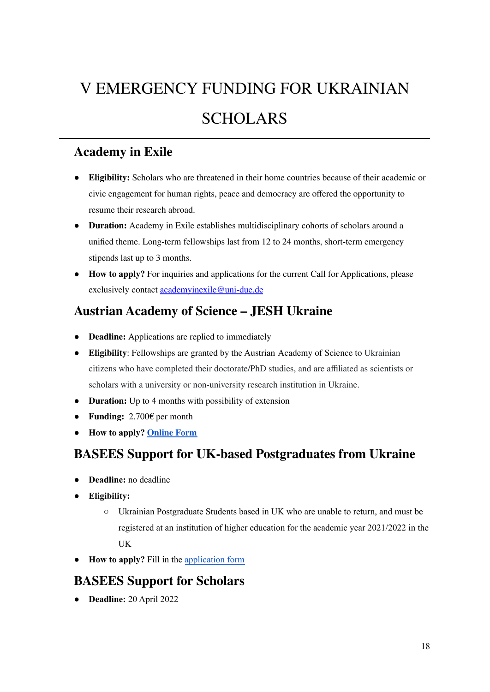# <span id="page-18-0"></span>V EMERGENCY FUNDING FOR UKRAINIAN SCHOLARS

#### <span id="page-18-1"></span>**[Academy](https://www.academy-in-exile.eu/) in Exile**

- **Eligibility:** Scholars who are threatened in their home countries because of their academic or civic engagement for human rights, peace and democracy are offered the opportunity to resume their research abroad.
- **Duration:** Academy in Exile establishes multidisciplinary cohorts of scholars around a unified theme. Long-term fellowships last from 12 to 24 months, short-term emergency stipends last up to 3 months.
- **How to apply?** For inquiries and applications for the current Call for Applications, please exclusively contact [academyinexile@uni-due.de](mailto:academyinexile@uni-due.de)

#### <span id="page-18-2"></span>**Austrian [Academy](https://stipendien.oeaw.ac.at/stipendien/jesh-ukraine) of Science – JESH Ukraine**

- **Deadline:** Applications are replied to immediately
- **Eligibility**: Fellowships are granted by the Austrian Academy of Science to Ukrainian citizens who have completed their doctorate/PhD studies, and are affiliated as scientists or scholars with a university or non-university research institution in Ukraine.
- **Duration:** Up to 4 months with possibility of extension
- **Funding:** 2.700€ per month
- **How to apply? [Online](https://stipendien.oeaw.ac.at/stipendien/application-to-jesh-ukraine) Form**

#### <span id="page-18-3"></span>**BASEES Support for UK-based [Postgraduates](http://basees.org/ukraine) from Ukraine**

- **Deadline:** no deadline
- **Eligibility:**
	- Ukrainian Postgraduate Students based in UK who are unable to return, and must be registered at an institution of higher education for the academic year 2021/2022 in the UK
- **How to apply?** Fill in the [application](https://docs.google.com/forms/d/e/1FAIpQLSeXlNSWuyCT5SsE8NpySTtRHuJbKJCIUyZGqaALauXDRFrgzw/viewform) form

#### <span id="page-18-4"></span>**[BASEES](https://basees.squarespace.com/support-for-scholars) Support for Scholars**

● **Deadline:** 20 April 2022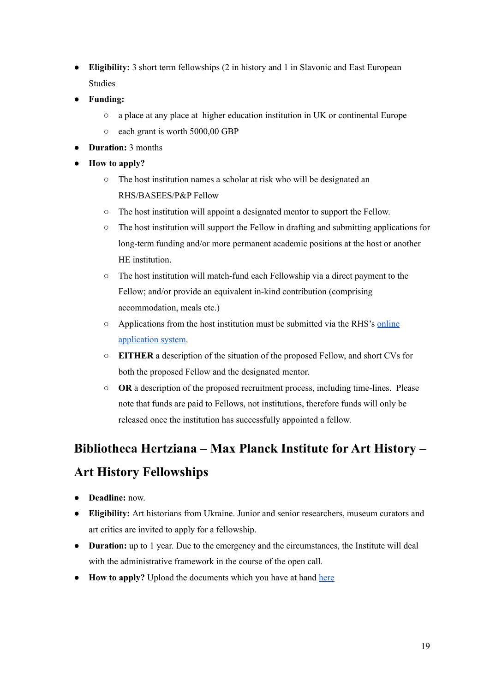- **Eligibility:** 3 short term fellowships (2 in history and 1 in Slavonic and East European Studies
- **● Funding:**
	- a place at any place at higher education institution in UK or continental Europe
	- each grant is worth 5000,00 GBP
- **Duration:** 3 months
- **How to apply?**
	- The host institution names a scholar at risk who will be designated an RHS/BASEES/P&P Fellow
	- The host institution will appoint a designated mentor to support the Fellow.
	- The host institution will support the Fellow in drafting and submitting applications for long-term funding and/or more permanent academic positions at the host or another HE institution
	- The host institution will match-fund each Fellowship via a direct payment to the Fellow; and/or provide an equivalent in-kind contribution (comprising accommodation, meals etc.)
	- Applications from the host institution must be submitted via the RHS's [online](https://royalhistorical.smapply.io/prog/scholars_at_risk_hist_sees_applications/) [application](https://royalhistorical.smapply.io/prog/scholars_at_risk_hist_sees_applications/) system.
	- **EITHER** a description of the situation of the proposed Fellow, and short CVs for both the proposed Fellow and the designated mentor.
	- **OR** a description of the proposed recruitment process, including time-lines. Please note that funds are paid to Fellows, not institutions, therefore funds will only be released once the institution has successfully appointed a fellow.

# <span id="page-19-0"></span>**[Bibliotheca](https://www.biblhertz.it/it/news/ukraine) Hertziana – Max Planck Institute for Art History – Art History [Fellowships](https://www.biblhertz.it/it/news/ukraine)**

- **Deadline:** now.
- **Eligibility:** Art historians from Ukraine. Junior and senior researchers, museum curators and art critics are invited to apply for a fellowship.
- **Duration:** up to 1 year. Due to the emergency and the circumstances, the Institute will deal with the administrative framework in the course of the open call.
- **How to apply?** Upload the documents which you have at hand [here](https://recruitment.biblhertz.it/auth/Apply/0/Position/9699329/Step/0)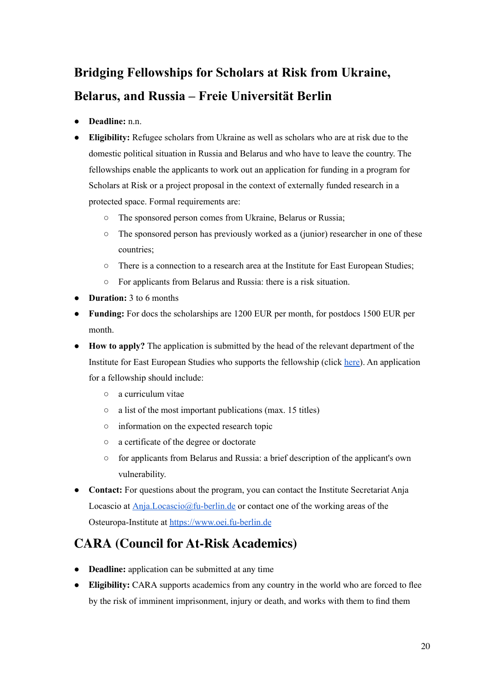# <span id="page-20-0"></span>**Bridging [Fellowships](https://www.oei.fu-berlin.de/en/institut/ankuendigungen/2022-03-18-U_berbru_ckungsfellowships.html?fbclid=IwAR1eko6n_w1_5N4k08BeVjaf_hJ_Y2ljYmB3sCD_sEYyG45XNxS-KBiV2-E) for Scholars at Risk from Ukraine, Belarus, and Russia – Freie [Universität](https://www.oei.fu-berlin.de/en/institut/ankuendigungen/2022-03-18-U_berbru_ckungsfellowships.html?fbclid=IwAR1eko6n_w1_5N4k08BeVjaf_hJ_Y2ljYmB3sCD_sEYyG45XNxS-KBiV2-E) Berlin**

- **Deadline:** n.n.
- **Eligibility:** Refugee scholars from Ukraine as well as scholars who are at risk due to the domestic political situation in Russia and Belarus and who have to leave the country. The fellowships enable the applicants to work out an application for funding in a program for Scholars at Risk or a project proposal in the context of externally funded research in a protected space. Formal requirements are:
	- The sponsored person comes from Ukraine, Belarus or Russia;
	- The sponsored person has previously worked as a (junior) researcher in one of these countries;
	- There is a connection to a research area at the Institute for East European Studies;
	- For applicants from Belarus and Russia: there is a risk situation.
- **Duration:** 3 to 6 months
- **Funding:** For docs the scholarships are 1200 EUR per month, for postdocs 1500 EUR per month.
- **How to apply?** The application is submitted by the head of the relevant department of the Institute for East European Studies who supports the fellowship (click [here\)](https://www.oei.fu-berlin.de). An application for a fellowship should include:
	- a curriculum vitae
	- $\circ$  a list of the most important publications (max. 15 titles)
	- information on the expected research topic
	- a certificate of the degree or doctorate
	- for applicants from Belarus and Russia: a brief description of the applicant's own vulnerability.
- **Contact:** For questions about the program, you can contact the Institute Secretariat Anja Locascio at  $\Delta$ nja.Locascio $@$ fu-berlin.de or contact one of the working areas of the Osteuropa-Institute at <https://www.oei.fu-berlin.de>

#### <span id="page-20-1"></span>**CARA (Council for At-Risk [Academics\)](https://www.cara.ngo/what-we-do/)**

- **● Deadline:** application can be submitted at any time
- **● Eligibility:** CARA supports academics from any country in the world who are forced to flee by the risk of imminent imprisonment, injury or death, and works with them to find them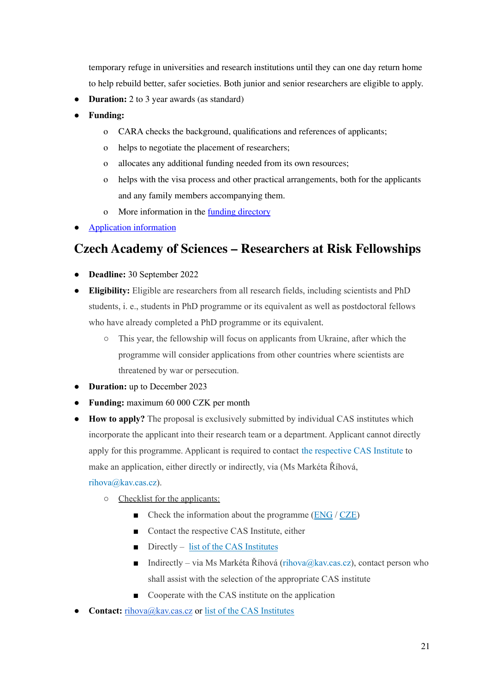temporary refuge in universities and research institutions until they can one day return home to help rebuild better, safer societies. Both junior and senior researchers are eligible to apply.

- **Duration:** 2 to 3 year awards (as standard)
- **● Funding:**
	- o CARA checks the background, qualifications and references of applicants;
	- o helps to negotiate the placement of researchers;
	- o allocates any additional funding needed from its own resources;
	- o helps with the visa process and other practical arrangements, both for the applicants and any family members accompanying them.
	- o More information in the funding [directory](https://www.cara.ngo/funding-directories/)
- **[Application](https://www.cara.ngo/funding-directories/) information**

## <span id="page-21-0"></span>**Czech Academy of Sciences – [Researchers](https://www.avcr.cz/en/Help-for-Ukraine/Fellowships-and-employment/) at Risk Fellowships**

- **Deadline:** 30 September 2022
- **Eligibility:** Eligible are researchers from all research fields, including scientists and PhD students, i. e., students in PhD programme or its equivalent as well as postdoctoral fellows who have already completed a PhD programme or its equivalent.
	- This year, the fellowship will focus on applicants from Ukraine, after which the programme will consider applications from other countries where scientists are threatened by war or persecution.
- **Duration:** up to December 2023
- **Funding:** maximum 60 000 CZK per month
- **How to apply?** The proposal is exclusively submitted by individual CAS institutes which incorporate the applicant into their research team or a department. Applicant cannot directly apply for this programme. Applicant is required to contact the [respective](https://www.avcr.cz/en/about-us/cas-structure/research-areas/) CAS Institute to make an application, either directly or indirectly, via (Ms Markéta Říhová,

#### rihova@kav.cas.cz).

- Checklist for the applicants:
	- Check the information about the programme [\(ENG](https://www.avcr.cz/en/news-archive/Call-for-Researchers-at-Risk-Fellowship-UKRAINE/) / [CZE\)](https://www.avcr.cz/en/news-archive/Call-for-Researchers-at-Risk-Fellowship-UKRAJINA/)
	- Contact the respective CAS Institute, either
	- $\blacksquare$  Directly list of the CAS [Institutes](https://www.avcr.cz/en/about-us/cas-structure/research-areas/)
	- **Indirectly** via Ms Markéta Říhová (rihova@kav.cas.cz), contact person who shall assist with the selection of the appropriate CAS institute
	- Cooperate with the CAS institute on the application
- **Contact:** [rihova@kav.cas.cz](mailto:rihova@kav.cas.cz) or list of the CAS [Institutes](https://www.avcr.cz/en/about-us/cas-structure/research-areas/)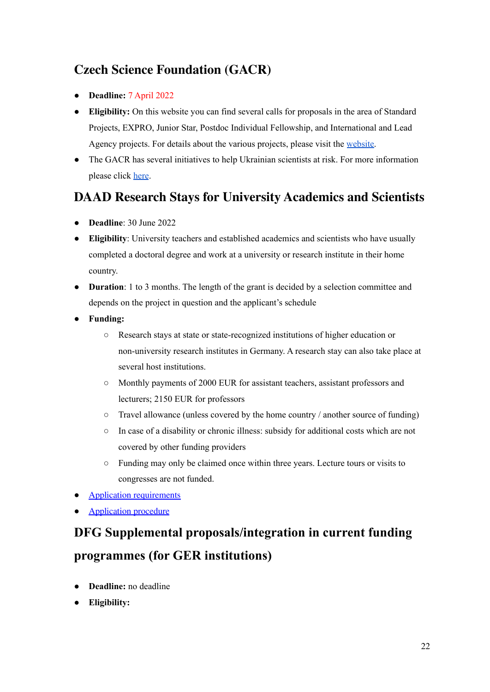## <span id="page-22-0"></span>**Czech Science [Foundation](https://gacr.cz/en/tenders-for-2023-announced/) (GACR)**

- **Deadline:** 7 April 2022
- **Eligibility:** On this website you can find several calls for proposals in the area of Standard Projects, EXPRO, Junior Star, Postdoc Individual Fellowship, and International and Lead Agency projects. For details about the various projects, please visit the [website](https://gacr.cz/en/tenders-for-2023-announced/).
- The GACR has several initiatives to help Ukrainian scientists at risk. For more information please click [here](https://gacr.cz/en/support-for-ukrainian-scientists-and-students/).

## <span id="page-22-1"></span>**DAAD Research Stays for University [Academics](https://www.daad.ru/en/find-funding/scholarship-database/?origin=38&status=4&type=a&q=&subjectgroup=&onlydaad=0&language=en&pg=2&detail_to_show=50015456&show_tab=apply) and Scientists**

- **[Deadline](https://www.daad.ru/en/find-funding/scholarship-database/?origin=38&status=4&type=a&q=&subjectgroup=&onlydaad=0&language=en&pg=2&detail_to_show=50015456&show_tab=apply)**: 30 June 2022
- **Eligibility**: University teachers and established academics and scientists who have usually completed a doctoral degree and work at a university or research institute in their home country.
- **Duration**: 1 to 3 months. The length of the grant is decided by a selection committee and depends on the project in question and the applicant's schedule
- **Funding:**
	- Research stays at state or state-recognized institutions of higher education or non-university research institutes in Germany. A research stay can also take place at several host institutions.
	- Monthly payments of 2000 EUR for assistant teachers, assistant professors and lecturers; 2150 EUR for professors
	- Travel allowance (unless covered by the home country / another source of funding)
	- In case of a disability or chronic illness: subsidy for additional costs which are not covered by other funding providers
	- Funding may only be claimed once within three years. Lecture tours or visits to congresses are not funded.
- Application [requirements](https://www.daad.ru/en/find-funding/scholarship-database/?origin=38&status=4&type=a&q=&subjectgroup=&onlydaad=0&language=en&pg=2&detail_to_show=50015456&show_tab=apply)
- [Application](https://www.daad.ru/en/find-funding/scholarship-database/?origin=38&status=4&type=a&q=&subjectgroup=&onlydaad=0&language=en&pg=2&detail_to_show=50015456&show_tab=apply) procedure

# <span id="page-22-2"></span>**DFG Supplemental [proposals/integration](https://www.dfg.de/en/research_funding/proposal_review_decision/refugee_researchers/index.html) in current funding [programmes](https://www.dfg.de/en/research_funding/proposal_review_decision/refugee_researchers/index.html) (for GER institutions)**

- **Deadline:** no deadline
- **● Eligibility:**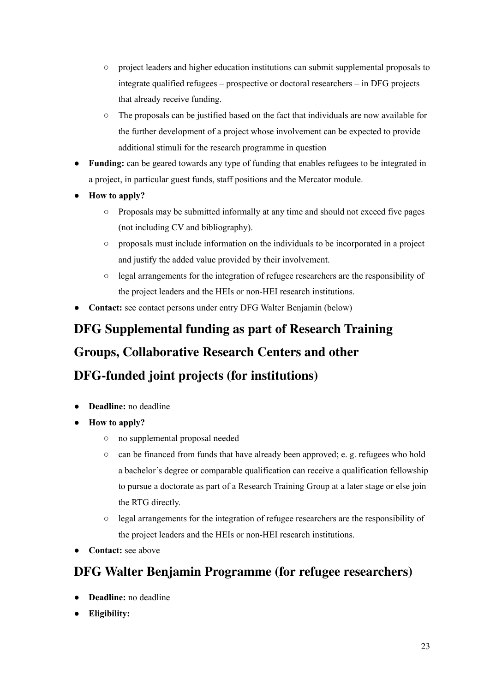- project leaders and higher education institutions can submit supplemental proposals to integrate qualified refugees – prospective or doctoral researchers – in DFG projects that already receive funding.
- The proposals can be justified based on the fact that individuals are now available for the further development of a project whose involvement can be expected to provide additional stimuli for the research programme in question
- **Funding:** can be geared towards any type of funding that enables refugees to be integrated in a project, in particular guest funds, staff positions and the Mercator module.
- **How to apply?**
	- Proposals may be submitted informally at any time and should not exceed five pages (not including CV and bibliography).
	- proposals must include information on the individuals to be incorporated in a project and justify the added value provided by their involvement.
	- legal arrangements for the integration of refugee researchers are the responsibility of the project leaders and the HEIs or non-HEI research institutions.
- **Contact:** see contact persons under entry DFG Walter Benjamin (below)

# **DFG [Supplemental](https://www.dfg.de/en/research_funding/proposal_review_decision/refugee_researchers/index.html) funding as part of Research Training Groups, [Collaborative](https://www.dfg.de/en/research_funding/proposal_review_decision/refugee_researchers/index.html) Research Centers and other [DFG-funded](https://www.dfg.de/en/research_funding/proposal_review_decision/refugee_researchers/index.html) joint projects (for institutions)**

- <span id="page-23-0"></span>● **Deadline:** no deadline
- **● How to apply?**
	- no supplemental proposal needed
	- $\circ$  can be financed from funds that have already been approved; e. g. refugees who hold a bachelor's degree or comparable qualification can receive a qualification fellowship to pursue a doctorate as part of a Research Training Group at a later stage or else join the RTG directly.
	- legal arrangements for the integration of refugee researchers are the responsibility of the project leaders and the HEIs or non-HEI research institutions.
- **Contact:** see above

## <span id="page-23-1"></span>**DFG Walter Benjamin Programme (for refugee [researchers\)](https://www.dfg.de/en/research_funding/programmes/individual/walter_benjamin/index.html)**

- **Deadline:** no deadline
- **Eligibility:**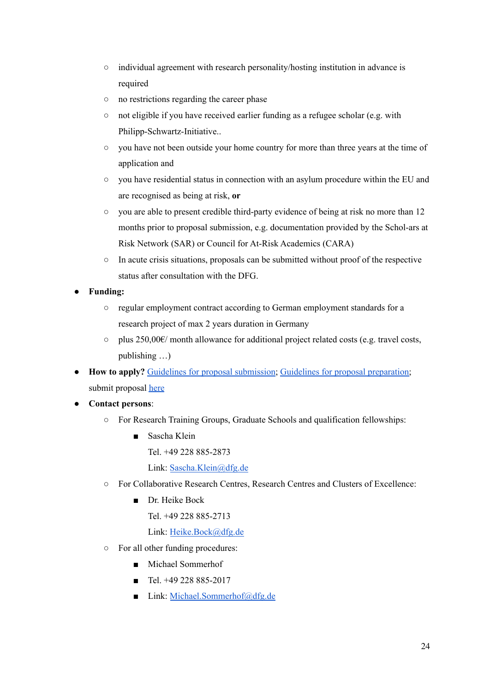- individual agreement with research personality/hosting institution in advance is required
- no restrictions regarding the career phase
- not eligible if you have received earlier funding as a refugee scholar (e.g. with Philipp-Schwartz-Initiative..
- you have not been outside your home country for more than three years at the time of application and
- you have residential status in connection with an asylum procedure within the EU and are recognised as being at risk, **or**
- you are able to present credible third-party evidence of being at risk no more than 12 months prior to proposal submission, e.g. documentation provided by the Schol-ars at Risk Network (SAR) or Council for At-Risk Academics (CARA)
- In acute crisis situations, proposals can be submitted without proof of the respective status after consultation with the DFG.
- **Funding:**
	- regular employment contract according to German employment standards for a research project of max 2 years duration in Germany
	- $\circ$  plus 250,00€/ month allowance for additional project related costs (e.g. travel costs, publishing …)
- **How to apply?** Guidelines for proposal [submission](https://www.dfg.de/formulare/55_06/55_06_en.pdf); Guidelines for proposal [preparation;](https://www.dfg.de/formulare/50_10/50_10_en.pdf) submit proposal [here](https://elan.dfg.de/my.policy)
- **Contact persons**:
	- For Research Training Groups, Graduate Schools and qualification fellowships:
		- Sascha Klein Tel. +49 228 885-2873 Link: [Sascha.Klein@dfg.de](mailto:E-MailSascha.Klein@dfg.de)
	- For Collaborative Research Centres, Research Centres and Clusters of Excellence:
		- Dr. Heike Bock

Tel. +49 228 885-2713

Link: [Heike.Bock@dfg.de](mailto:E-MailHeike.Bock@dfg.de)

- For all other funding procedures:
	- Michael Sommerhof
	- $\blacksquare$  Tel. +49 228 885-2017
	- Link: [Michael.Sommerhof@dfg.de](mailto:E-MailMichael.Sommerhof@dfg.de)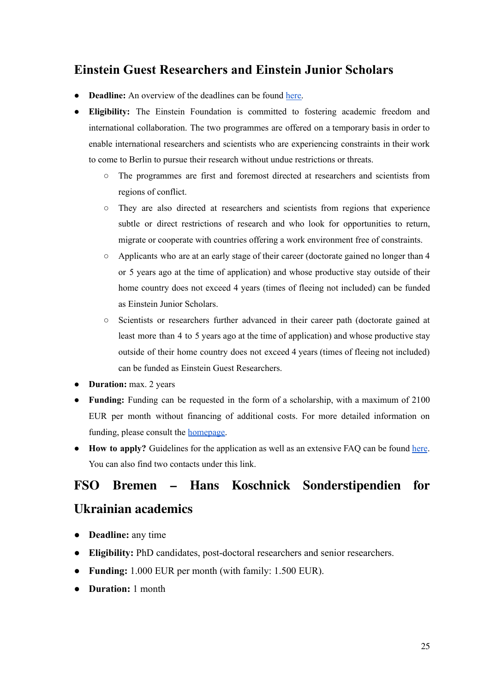#### <span id="page-25-0"></span>**Einstein Guest [Researchers](https://www.einsteinfoundation.de/programme/wissenschaftsfreiheit/) and Einstein Junior Scholars**

- **Deadline:** An overview of the deadlines can be found [here.](https://www.einsteinfoundation.de/en/programmes/#c2005)
- **Eligibility:** The Einstein Foundation is committed to fostering academic freedom and international collaboration. The two programmes are offered on a temporary basis in order to enable international researchers and scientists who are experiencing constraints in their work to come to Berlin to pursue their research without undue restrictions or threats.
	- The programmes are first and foremost directed at researchers and scientists from regions of conflict.
	- They are also directed at researchers and scientists from regions that experience subtle or direct restrictions of research and who look for opportunities to return, migrate or cooperate with countries offering a work environment free of constraints.
	- Applicants who are at an early stage of their career (doctorate gained no longer than 4 or 5 years ago at the time of application) and whose productive stay outside of their home country does not exceed 4 years (times of fleeing not included) can be funded as Einstein Junior Scholars.
	- Scientists or researchers further advanced in their career path (doctorate gained at least more than 4 to 5 years ago at the time of application) and whose productive stay outside of their home country does not exceed 4 years (times of fleeing not included) can be funded as Einstein Guest Researchers.
- **Duration:** max. 2 years
- **Funding:** Funding can be requested in the form of a scholarship, with a maximum of 2100 EUR per month without financing of additional costs. For more detailed information on funding, please consult the [homepage.](https://www.einsteinfoundation.de/en/programmes/academic-freedom/)
- **How to apply?** Guidelines for the application as well as an extensive FAQ can be found [here](https://www.einsteinfoundation.de/en/programmes/questions-and-answers-about-submitting-an-application/). You can also find two contacts under this link.

# <span id="page-25-1"></span>**FSO Bremen – Hans Koschnick [Sonderstipendien](https://www.forschungsstelle.uni-bremen.de/de/4/20181119160121/20220302163305/Aktuelle_Sonderausschreibung%253A_Hans_Koschnick_Stipendium_fuer_gefluechtete_Wissenschaftler%252Ainnen_.html) for [Ukrainian](https://www.forschungsstelle.uni-bremen.de/de/4/20181119160121/20220302163305/Aktuelle_Sonderausschreibung%253A_Hans_Koschnick_Stipendium_fuer_gefluechtete_Wissenschaftler%252Ainnen_.html) academics**

- **Deadline:** any time
- **Eligibility:** PhD candidates, post-doctoral researchers and senior researchers.
- **Funding:** 1.000 EUR per month (with family: 1.500 EUR).
- **Duration:** 1 month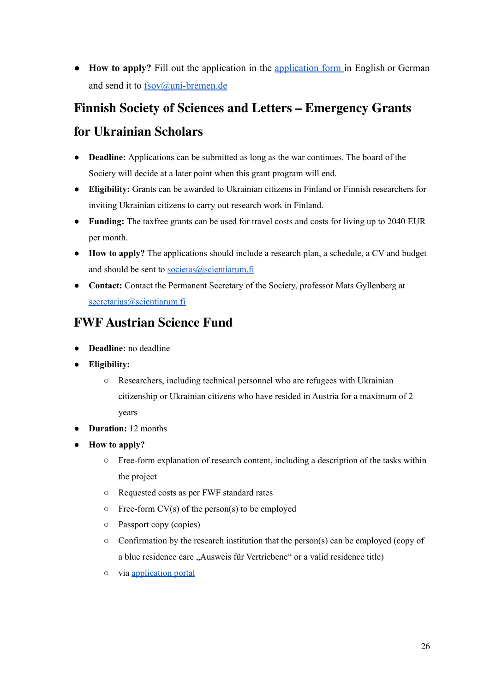● **How to apply?** Fill out the application in the [application](https://www.forschungsstelle.uni-bremen.de/UserFiles/file/04-Forschung/FSO_2022_Bewerbungsformular_Sonder-Stipendien_de.pdf) form in English or German and send it to [fsov@uni-bremen.de](mailto:fsov@uni-bremen.de)

#### **Finnish Society of Sciences and Letters – [Emergency](https://scientiarum.fi/eng/1660-2/) Grants**

#### <span id="page-26-0"></span>**for [Ukrainian](https://scientiarum.fi/eng/1660-2/) Scholars**

- **Deadline:** Applications can be submitted as long as the war continues. The board of the Society will decide at a later point when this grant program will end.
- **● Eligibility:** Grants can be awarded to Ukrainian citizens in Finland or Finnish researchers for inviting Ukrainian citizens to carry out research work in Finland.
- **Funding:** The taxfree grants can be used for travel costs and costs for living up to 2040 EUR per month.
- **How to apply?** The applications should include a research plan, a schedule, a CV and budget and should be sent to [societas@scientiarum.fi](mailto:societas@scientiarum.fi)
- **Contact:** Contact the Permanent Secretary of the Society, professor Mats Gyllenberg at [secretarius@scientiarum.fi](mailto:secretarius@scientiarum.fi)

#### <span id="page-26-1"></span>**FWF [Austrian](https://www.fwf.ac.at/en/research-funding/ukraine-support?fbclid=IwAR1Wtc-FBZ__71pguZnKlH70jjoR4e_qpQPeeZZXlUO7BpLry8oaioULuVo) Science Fund**

- **Deadline:** no deadline
- **● Eligibility:**
	- Researchers, including technical personnel who are refugees with Ukrainian citizenship or Ukrainian citizens who have resided in Austria for a maximum of 2 years
- **Duration:** 12 months
- **How to apply?**
	- Free-form explanation of research content, including a description of the tasks within the project
	- Requested costs as per FWF standard rates
	- $\circ$  Free-form CV(s) of the person(s) to be employed
	- Passport copy (copies)
	- $\circ$  Confirmation by the research institution that the person(s) can be employed (copy of a blue residence care "Ausweis für Vertriebene" or a valid residence title)
	- via [application](https://elane.fwf.ac.at/page/panel/logindatacreate?8) portal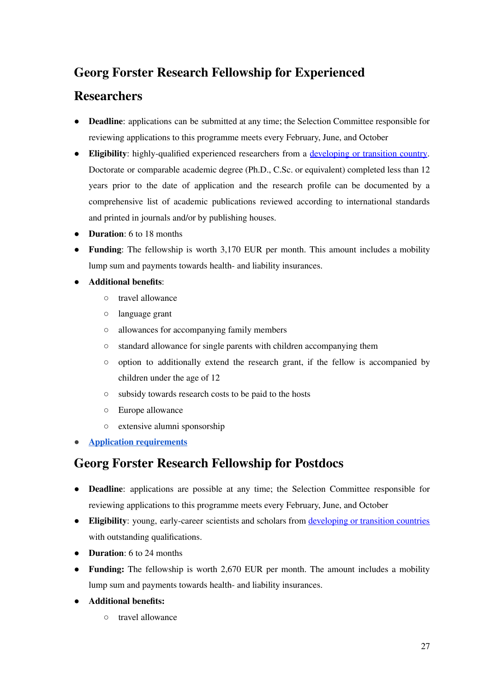## **Georg Forster Research Fellowship for [Experienced](https://www2.daad.de/deutschland/stipendium/datenbank/en/21148-scholarship-database/?status=2&origin=&subjectGrps=&daad=&intention=&q=&page=6&detail=10000129)**

#### <span id="page-27-0"></span>**[Researchers](https://www2.daad.de/deutschland/stipendium/datenbank/en/21148-scholarship-database/?status=2&origin=&subjectGrps=&daad=&intention=&q=&page=6&detail=10000129)**

- **Deadline**: applications can be submitted at any time; the Selection Committee responsible for reviewing applications to this programme meets every February, June, and October
- **Eligibility**: highly-qualified experienced researchers from a [developing](https://www.humboldt-foundation.de/fileadmin/Bewerben/Programme/Georg-Forster-Forschungsstipendium/forster-fellowship-award_list_of_countries.pdf) or transition country. Doctorate or comparable academic degree (Ph.D., C.Sc. or equivalent) completed less than 12 years prior to the date of application and the research profile can be documented by a comprehensive list of academic publications reviewed according to international standards and printed in journals and/or by publishing houses.
- **Duration**: 6 to 18 months
- **Funding**: The fellowship is worth 3,170 EUR per month. This amount includes a mobility lump sum and payments towards health- and liability insurances.
- **Additional benefits**:
	- travel allowance
	- language grant
	- allowances for accompanying family members
	- standard allowance for single parents with children accompanying them
	- option to additionally extend the research grant, if the fellow is accompanied by children under the age of 12
	- subsidy towards research costs to be paid to the hosts
	- Europe allowance
	- extensive alumni sponsorship
- **Application [requirements](https://www.humboldt-foundation.de/en/apply/sponsorship-programmes/georg-forster-research-fellowship)**

#### <span id="page-27-1"></span>**Georg Forster Research [Fellowship](https://www2.daad.de/deutschland/stipendium/datenbank/en/21148-scholarship-database/?status=2&origin=&subjectGrps=&daad=&intention=&q=&page=7&detail=10000195) for Postdocs**

- **Deadline**: applications are possible at any time; the Selection Committee responsible for reviewing applications to this programme meets every February, June, and October
- **Eligibility**: young, early-career scientists and scholars from [developing](https://www.humboldt-foundation.de/fileadmin/Bewerben/Programme/Georg-Forster-Forschungsstipendium/forster-fellowship-award_list_of_countries.pdf) or transition countries with outstanding qualifications.
- **Duration**: 6 to 24 months
- **Funding:** The fellowship is worth 2,670 EUR per month. The amount includes a mobility lump sum and payments towards health- and liability insurances.
- **Additional benefits:**
	- travel allowance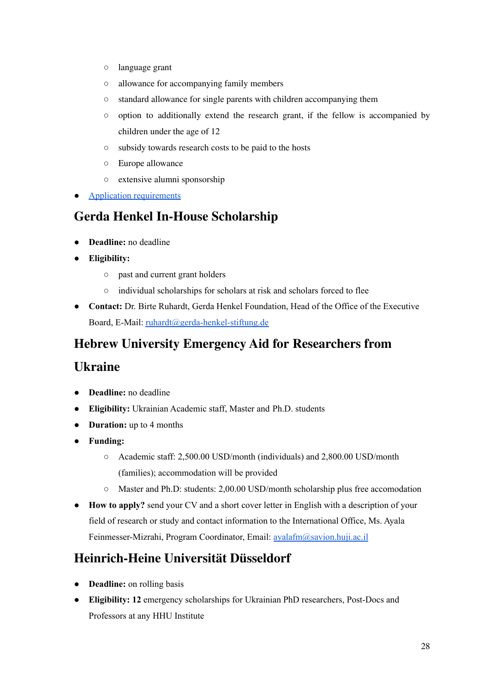- language grant
- allowance for accompanying family members
- standard allowance for single parents with children accompanying them
- option to additionally extend the research grant, if the fellow is accompanied by children under the age of 12
- subsidy towards research costs to be paid to the hosts
- Europe allowance
- extensive alumni sponsorship
- Application [requirements](https://www.humboldt-foundation.de/en/apply/sponsorship-programmes/georg-forster-research-fellowship)

#### <span id="page-28-0"></span>**Gerda Henkel In-House [Scholarship](https://www.gerda-henkel-stiftung.de/en/press-release?page_id=123908#top)**

- **Deadline:** no deadline
- **Eligibility:**
	- past and current grant holders
	- individual scholarships for scholars at risk and scholars forced to flee
- **Contact:** Dr. Birte Ruhardt, Gerda Henkel Foundation, Head of the Office of the Executive Board, E-Mail: [ruhardt@gerda-henkel-stiftung.de](mailto:ruhardt@gerda-henkel-stiftung.de)

### **Hebrew University Emergency Aid for [Researchers](https://international.huji.ac.il/news/hebrew-university-emergency-aid-researchers-and-students-ukraine) from**

#### <span id="page-28-1"></span>**[Ukraine](https://international.huji.ac.il/news/hebrew-university-emergency-aid-researchers-and-students-ukraine)**

- **Deadline:** no deadline
- **Eligibility:** Ukrainian Academic staff, Master and Ph.D. students
- **Duration:** up to 4 months
- **Funding:**
	- Academic staff: 2,500.00 USD/month (individuals) and 2,800.00 USD/month (families); accommodation will be provided
	- $\circ$  Master and Ph.D: students: 2,00.00 USD/month scholarship plus free accomodation
- **How to apply?** send your CV and a short cover letter in English with a description of your field of research or study and contact information to the International Office, Ms. Ayala Feinmesser-Mizrahi, Program Coordinator, Email: [ayalafm@savion.huji.ac.il](mailto:ayalafm@savion.huji.ac.il)

## <span id="page-28-2"></span>**[Heinrich-Heine](https://www.hhu.de/internationales/internationale-forschende/programme-fuer-gefaehrdete-wissenschaftlerinnen/ukraine-1) Universität Düsseldorf**

- **Deadline:** on rolling basis
- **● Eligibility: 12** emergency scholarships for Ukrainian PhD researchers, Post-Docs and Professors at any HHU Institute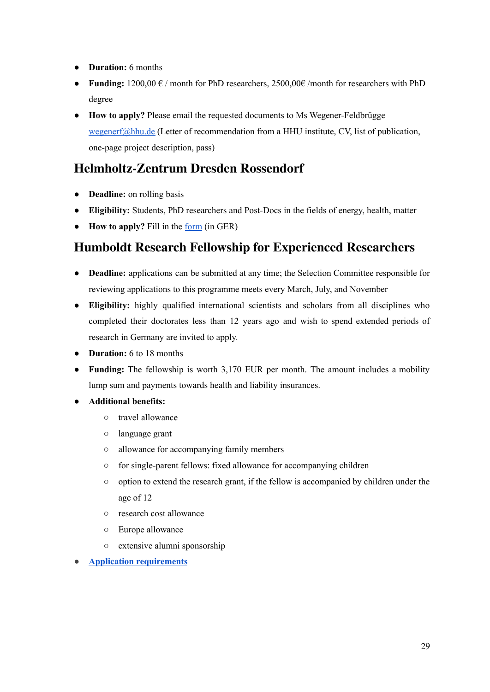- **Duration:** 6 months
- **Funding:**  $1200,00 \in \ell$  month for PhD researchers,  $2500,00 \in \ell$  month for researchers with PhD degree
- **How to apply?** Please email the requested documents to Ms Wegener-Feldbrügge [wegenerf@hhu.de](mailto:wegenerf@hhu.de) (Letter of recommendation from a HHU institute, CV, list of publication, one-page project description, pass)

#### <span id="page-29-0"></span>**[Helmholtz-Zentrum](https://www.hzdr.de/db/!BewUkraine?fbclid=IwAR1UfNnJgx2KGivud00P_UjR96fKCGfkuXjMYpmXD-dauZH-2LYnQA1X-j4) Dresden Rossendorf**

- **Deadline:** on rolling basis
- **Eligibility:** Students, PhD researchers and Post-Docs in the fields of energy, health, matter
- **How to apply?** Fill in the [form](https://www.hzdr.de/db/!BewUkraine?fbclid=IwAR1UfNnJgx2KGivud00P_UjR96fKCGfkuXjMYpmXD-dauZH-2LYnQA1X-j4) (in GER)

## <span id="page-29-1"></span>**Humboldt Research Fellowship for [Experienced](https://www2.daad.de/deutschland/stipendium/datenbank/en/21148-scholarship-database/?status=2&origin=&subjectGrps=&daad=&intention=&q=&page=6&detail=10000169) Researchers**

- **Deadline:** applications can be submitted at any time; the Selection Committee responsible for reviewing applications to this programme meets every March, July, and November
- **Eligibility:** highly qualified international scientists and scholars from all disciplines who completed their doctorates less than 12 years ago and wish to spend extended periods of research in Germany are invited to apply.
- **Duration:** 6 to 18 months
- **Funding:** The fellowship is worth 3,170 EUR per month. The amount includes a mobility lump sum and payments towards health and liability insurances.

#### ● **Additional benefits:**

- travel allowance
- language grant
- allowance for accompanying family members
- for single-parent fellows: fixed allowance for accompanying children
- option to extend the research grant, if the fellow is accompanied by children under the age of 12
- research cost allowance
- Europe allowance
- extensive alumni sponsorship

● **Application [requirements](https://www.humboldt-foundation.de/en/apply/sponsorship-programmes/humboldt-research-fellowship)**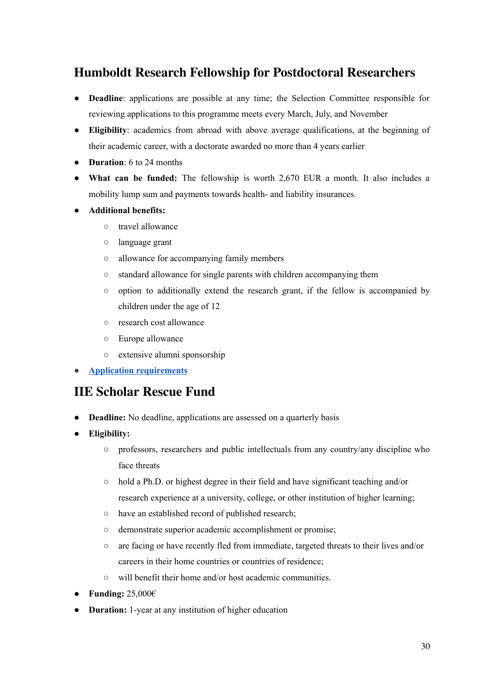#### <span id="page-30-0"></span>**Humboldt Research Fellowship for [Postdoctoral](https://www2.daad.de/deutschland/stipendium/datenbank/en/21148-scholarship-database/?status=2&origin=&subjectGrps=&daad=&intention=&q=&page=6&detail=10000110) Researchers**

- **Deadline**: applications are possible at any time; the Selection Committee responsible for reviewing applications to this programme meets every March, July, and November
- **Eligibility**: academics from abroad with above average qualifications, at the beginning of their academic career, with a doctorate awarded no more than 4 years earlier
- **Duration**: 6 to 24 months
- **What can be funded:** The fellowship is worth 2,670 EUR a month. It also includes a mobility lump sum and payments towards health- and liability insurances.
- **Additional benefits:**
	- travel allowance
	- language grant
	- allowance for accompanying family members
	- standard allowance for single parents with children accompanying them
	- option to additionally extend the research grant, if the fellow is accompanied by children under the age of 12
	- research cost allowance
	- Europe allowance
	- extensive alumni sponsorship
- **Application [requirements](https://www.humboldt-foundation.de/en/apply/sponsorship-programmes/humboldt-research-fellowship)**

#### <span id="page-30-1"></span>**IIE [Scholar](https://www.scholarrescuefund.org/for-scholars/) Rescue Fund**

- **Deadline:** No deadline, applications are assessed on a quarterly basis
- **Eligibility:**
	- professors, researchers and public intellectuals from any country/any discipline who face threats
	- hold a Ph.D. or highest degree in their field and have significant teaching and/or research experience at a university, college, or other institution of higher learning;
	- have an established record of published research;
	- demonstrate superior academic accomplishment or promise;
	- are facing or have recently fled from immediate, targeted threats to their lives and/or careers in their home countries or countries of residence;
	- will benefit their home and/or host academic communities.
- **● Funding:** 25,000€
- **Duration:** 1-year at any institution of higher education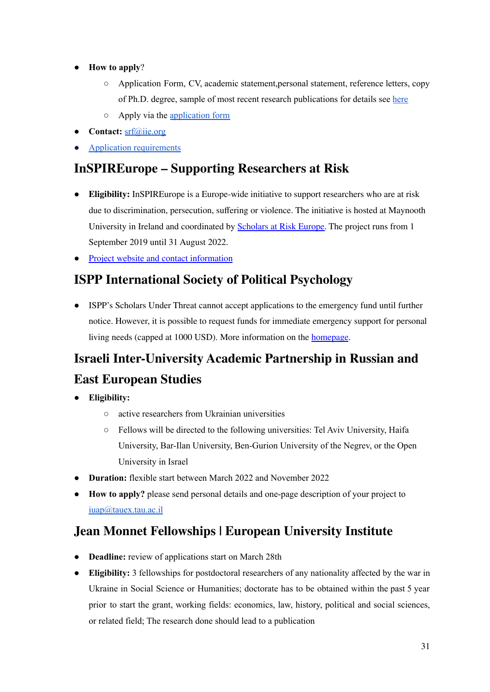- **How to apply**?
	- Application Form, CV, academic statement,personal statement, reference letters, copy of Ph.D. degree, sample of most recent research publications for details see [here](https://www.scholarrescuefund.org/applicants/instructions-and-application/)
	- Apply via the [application](https://mailchi.mp/iie/call-for-applications-threatened-scholars-march-2022?e=%5bUNIQID%5d) form
- **Contact:** [srf@iie.org](mailto:srf@iie.org)
- Application [requirements](https://www.scholarrescuefund.org/applicants/instructions-and-application/)

## <span id="page-31-0"></span>**[InSPIREurope](https://eua.eu/resources/projects/759-inspireurope.html) – Supporting Researchers at Risk**

- **Eligibility:** InSPIREurope is a Europe-wide initiative to support researchers who are at risk due to discrimination, persecution, suffering or violence. The initiative is hosted at Maynooth University in Ireland and coordinated by [Scholars](https://www.scholarsatrisk.org/scholars-at-risk-europe/) at Risk Europe. The project runs from 1 September 2019 until 31 August 2022.
- Project website and contact [information](https://www.maynoothuniversity.ie/sar-europe/inspireurope)

## <span id="page-31-1"></span>**ISPP [International](https://ispp.org/about/scholars-under-threat/) Society of Political Psychology**

● ISPP's Scholars Under Threat cannot accept applications to the emergency fund until further notice. However, it is possible to request funds for immediate emergency support for personal living needs (capped at 1000 USD). More information on the [homepage](https://ispp.org/about/scholars-under-threat/).

# <span id="page-31-3"></span><span id="page-31-2"></span>**Israeli Inter-University Academic Partnership in Russian and East European Studies**

- **Eligibility:**
	- active researchers from Ukrainian universities
	- Fellows will be directed to the following universities: Tel Aviv University, Haifa University, Bar-Ilan University, Ben-Gurion University of the Negrev, or the Open University in Israel
- **Duration:** flexible start between March 2022 and November 2022
- **How to apply?** please send personal details and one-page description of your project to [iuap@tauex.tau.ac.il](mailto:iuap@tauex.tau.ac.il)

#### <span id="page-31-4"></span>**Jean Monnet [Fellowships](https://www.eui.eu/apply?id=jean-monnet-fellowships-ukraine&fbclid=IwAR0vhSHh1L902J84Okpj3m4K-HKT7QCEkcxMlayXuudeDY0PRuY8jlvx10E) | European University Institute**

- **Deadline:** review of applications start on March 28th
- **Eligibility:** 3 fellowships for postdoctoral researchers of any nationality affected by the war in Ukraine in Social Science or Humanities; doctorate has to be obtained within the past 5 year prior to start the grant, working fields: economics, law, history, political and social sciences, or related field; The research done should lead to a publication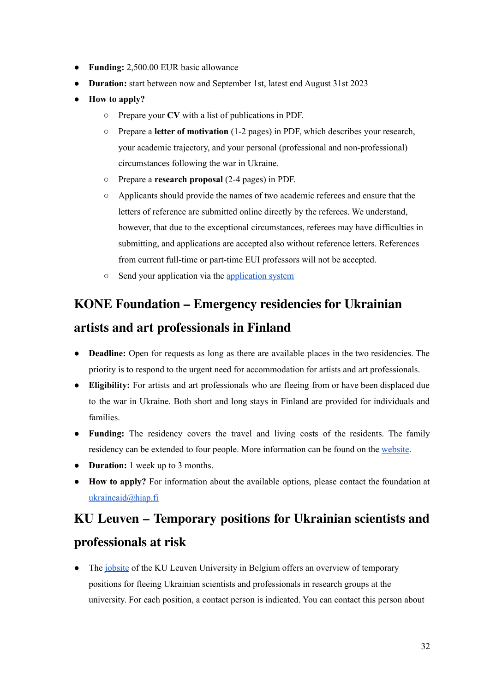- **Funding:** 2,500.00 EUR basic allowance
- **Duration:** start between now and September 1st, latest end August 31st 2023
- **How to apply?**
	- Prepare your **CV** with a list of publications in PDF.
	- Prepare a **letter of motivation** (1-2 pages) in PDF, which describes your research, your academic trajectory, and your personal (professional and non-professional) circumstances following the war in Ukraine.
	- Prepare a **research proposal** (2-4 pages) in PDF.
	- Applicants should provide the names of two academic referees and ensure that the letters of reference are submitted online directly by the referees. We understand, however, that due to the exceptional circumstances, referees may have difficulties in submitting, and applications are accepted also without reference letters. References from current full-time or part-time EUI professors will not be accepted.
	- Send your application via the [application](https://apply.eui.eu/osiris_aanmeld_euiprd/Welkom.do) system

# <span id="page-32-0"></span>**KONE [Foundation](https://koneensaatio.fi/en/news/emergency-residencies/) – Emergency residencies for Ukrainian artists and art [professionals](https://koneensaatio.fi/en/news/emergency-residencies/) in Finland**

- **Deadline:** Open for requests as long as there are available places in the two residencies. The priority is to respond to the urgent need for accommodation for artists and art professionals.
- **Eligibility:** For artists and art professionals who are fleeing from or have been displaced due to the war in Ukraine. Both short and long stays in Finland are provided for individuals and families.
- **Funding:** The residency covers the travel and living costs of the residents. The family residency can be extended to four people. More information can be found on the [website.](https://koneensaatio.fi/en/news/emergency-residencies/)
- **Duration:** 1 week up to 3 months.
- **How to apply?** For information about the available options, please contact the foundation at [ukraineaid@hiap.fi](mailto:ukraineaid@hiap.fi)

# <span id="page-32-1"></span>**KU Leuven – [Temporary](https://www.kuleuven.be/personeel/jobsite/jobs-bij-ku-leuven/temporary-positions-ukrainian) positions for Ukrainian scientists and [professionals](https://www.kuleuven.be/personeel/jobsite/jobs-bij-ku-leuven/temporary-positions-ukrainian) at risk**

• The [jobsite](https://www.kuleuven.be/personeel/jobsite/jobs-bij-ku-leuven/temporary-positions-ukrainian) of the KU Leuven University in Belgium offers an overview of temporary positions for fleeing Ukrainian scientists and professionals in research groups at the university. For each position, a contact person is indicated. You can contact this person about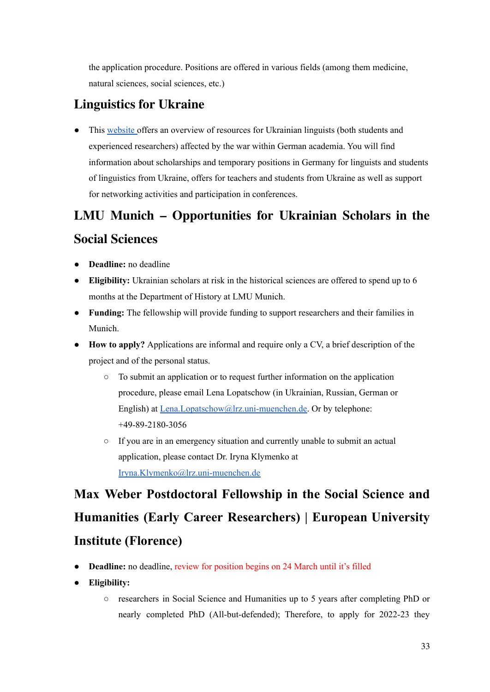the application procedure. Positions are offered in various fields (among them medicine, natural sciences, social sciences, etc.)

## <span id="page-33-0"></span>**[Linguistics](https://www.linguistics-for-ukraine.de/?fbclid=IwAR3xqKipt8mbKWxuHqqeev3vj-w5_L4O4Hmqq7J0IEQV-UKv1tPlKzXLM5A) for Ukraine**

• This [website](https://www.linguistics-for-ukraine.de/?fbclid=IwAR3xqKipt8mbKWxuHqqeev3vj-w5_L4O4Hmqq7J0IEQV-UKv1tPlKzXLM5A) offers an overview of resources for Ukrainian linguists (both students and experienced researchers) affected by the war within German academia. You will find information about scholarships and temporary positions in Germany for linguists and students of linguistics from Ukraine, offers for teachers and students from Ukraine as well as support for networking activities and participation in conferences.

# <span id="page-33-1"></span>**LMU Munich – [Opportunities](https://www.geschichts-und-kunstwissenschaften.uni-muenchen.de/ua_aktuell/ua_en/index.html) for Ukrainian Scholars in the Social [Sciences](https://www.geschichts-und-kunstwissenschaften.uni-muenchen.de/ua_aktuell/ua_en/index.html)**

- **Deadline:** no deadline
- **Eligibility:** Ukrainian scholars at risk in the historical sciences are offered to spend up to 6 months at the Department of History at LMU Munich.
- **Funding:** The fellowship will provide funding to support researchers and their families in Munich.
- **How to apply?** Applications are informal and require only a CV, a brief description of the project and of the personal status.
	- To submit an application or to request further information on the application procedure, please email Lena Lopatschow (in Ukrainian, Russian, German or English) at [Lena.Lopatschow@lrz.uni-muenchen.de.](mailto:Lena.Lopatschow@lrz.uni-muenchen.de) Or by telephone: +49-89-2180-3056
	- If you are in an emergency situation and currently unable to submit an actual application, please contact Dr. Iryna Klymenko at [Iryna.Klymenko@lrz.uni-muenchen.de](mailto:Iryna.Klymenko@lrz.uni-muenchen.de)

# **Max Weber [Postdoctoral](https://www.eui.eu/apply?id=max-weber-fellowships-ukraine&fbclid=IwAR1aiz-c9slbPrnDurut61JV9N6e_pXJhEA8OgpI3bNwJgg24FBncL8sliM) Fellowship in the Social Science and Humanities (Early Career [Researchers\)](https://www.eui.eu/apply?id=max-weber-fellowships-ukraine&fbclid=IwAR1aiz-c9slbPrnDurut61JV9N6e_pXJhEA8OgpI3bNwJgg24FBncL8sliM) | European University Institute [\(Florence\)](https://www.eui.eu/apply?id=max-weber-fellowships-ukraine&fbclid=IwAR1aiz-c9slbPrnDurut61JV9N6e_pXJhEA8OgpI3bNwJgg24FBncL8sliM)**

- <span id="page-33-2"></span>● **Deadline:** no deadline, review for position begins on 24 March until it's filled
- **Eligibility:**
	- researchers in Social Science and Humanities up to 5 years after completing PhD or nearly completed PhD (All-but-defended); Therefore, to apply for 2022-23 they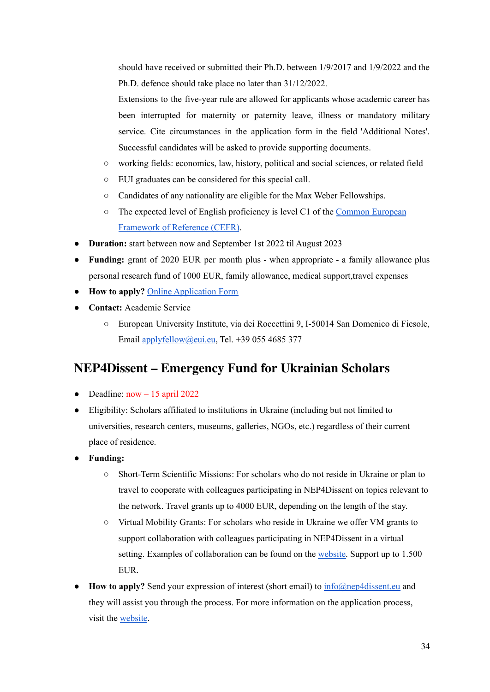should have received or submitted their Ph.D. between 1/9/2017 and 1/9/2022 and the Ph.D. defence should take place no later than 31/12/2022.

Extensions to the five-year rule are allowed for applicants whose academic career has been interrupted for maternity or paternity leave, illness or mandatory military service. Cite circumstances in the application form in the field 'Additional Notes'. Successful candidates will be asked to provide supporting documents.

- working fields: economics, law, history, political and social sciences, or related field
- EUI graduates can be considered for this special call.
- Candidates of any nationality are eligible for the Max Weber Fellowships.
- The expected level of English proficiency is level C1 of the Common [European](https://www.eui.eu/ServicesAndAdmin/LanguageCentre/CEFR) [Framework](https://www.eui.eu/ServicesAndAdmin/LanguageCentre/CEFR) of Reference (CEFR).
- **● Duration:** start between now and September 1st 2022 til August 2023
- **● Funding:** grant of 2020 EUR per month plus when appropriate a family allowance plus personal research fund of 1000 EUR, family allowance, medical support,travel expenses
- **● How to apply?** Online [Application](https://apply.eui.eu/osiris_aanmeld_euiprd/Welkom.do) Form
- **Contact:** Academic Service
	- European University Institute, via dei Roccettini 9, I-50014 San Domenico di Fiesole, Email [applyfellow@eui.eu](mailto:applyfellow@eui.eu), Tel. +39 055 4685 377

#### <span id="page-34-0"></span>**[NEP4Dissent](https://nep4dissent.eu/calls/emergency-fund-for-ukrainian-scholars/?fbclid=IwAR2EMqKiV4bPQphtinrn0KhS3q1Ubzuga4BFEDoJFLjlrQsLG_FVtynNe8U) – Emergency Fund for Ukrainian Scholars**

- Deadline:  $now 15$  april 2022
- Eligibility: Scholars affiliated to institutions in Ukraine (including but not limited to universities, research centers, museums, galleries, NGOs, etc.) regardless of their current place of residence.
- **● Funding:**
	- **○** Short-Term Scientific Missions: For scholars who do not reside in Ukraine or plan to travel to cooperate with colleagues participating in NEP4Dissent on topics relevant to the network. Travel grants up to 4000 EUR, depending on the length of the stay.
	- **○** Virtual Mobility Grants: For scholars who reside in Ukraine we offer VM grants to support collaboration with colleagues participating in NEP4Dissent in a virtual setting. Examples of collaboration can be found on the [website.](https://nep4dissent.eu/calls/emergency-fund-for-ukrainian-scholars/?fbclid=IwAR2EMqKiV4bPQphtinrn0KhS3q1Ubzuga4BFEDoJFLjlrQsLG_FVtynNe8U) Support up to 1.500 EUR.
- **How to apply?** Send your expression of interest (short email) to [info@nep4dissent.eu](mailto:info@nep4dissent.eu) and they will assist you through the process. For more information on the application process, visit the [website](https://nep4dissent.eu/calls/emergency-fund-for-ukrainian-scholars/?fbclid=IwAR2EMqKiV4bPQphtinrn0KhS3q1Ubzuga4BFEDoJFLjlrQsLG_FVtynNe8U).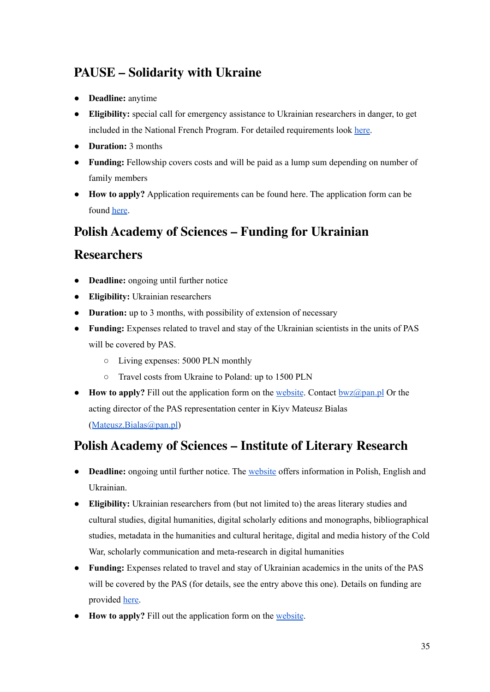## <span id="page-35-0"></span>**PAUSE – [Solidarity](https://drive.google.com/file/d/1fqDXy9xOnZfWafLOCN31XIzEdLYLQ34u/view) with Ukraine**

- **Deadline:** anytime
- **Eligibility:** special call for emergency assistance to Ukrainian researchers in danger, to get included in the National French Program. For detailed requirements look [here](https://www.college-de-france.fr/media/programme-pause/UPL8279496385830297299_PAUSE___Solidarity_with_Ukraine.pdf).
- **Duration:** 3 months
- **Funding:** Fellowship covers costs and will be paid as a lump sum depending on number of family members
- **How to apply?** Application requirements can be found here. The application form can be found [here](https://candidatures-pause.college-de-france.fr/index.php/pause-ukraine/).

#### **Polish Academy of Sciences – Funding for [Ukrainian](https://institution.pan.pl/index.php/755-visits-of-ukrainian-scientists-to-pas)**

#### <span id="page-35-1"></span>**[Researchers](https://institution.pan.pl/index.php/755-visits-of-ukrainian-scientists-to-pas)**

- **Deadline:** ongoing until further notice
- **Eligibility:** Ukrainian researchers
- **Duration:** up to 3 months, with possibility of extension of necessary
- **Funding:** Expenses related to travel and stay of the Ukrainian scientists in the units of PAS will be covered by PAS.
	- Living expenses: 5000 PLN monthly
	- Travel costs from Ukraine to Poland: up to 1500 PLN
- **How to apply?** Fill out the application form on the [website](https://institution.pan.pl/index.php/755-visits-of-ukrainian-scientists-to-pas). Contact [bwz@pan.pl](mailto:bwz@pan.pl) Or the acting director of the PAS representation center in Kiyv Mateusz Bialas ([Mateusz.Bialas@pan.pl](mailto:Mateusz.Bialas@pan.pl))

#### <span id="page-35-2"></span>**Polish [Academy](https://ibl.waw.pl/wizytybadawczeiblpan.pdf) of Sciences – Institute of Literary Research**

- **Deadline:** ongoing until further notice. The [website](https://ibl.waw.pl/wizytybadawczeiblpan.pdf) offers information in Polish, English and Ukrainian.
- **Eligibility:** Ukrainian researchers from (but not limited to) the areas literary studies and cultural studies, digital humanities, digital scholarly editions and monographs, bibliographical studies, metadata in the humanities and cultural heritage, digital and media history of the Cold War, scholarly communication and meta-research in digital humanities
- **Funding:** Expenses related to travel and stay of Ukrainian academics in the units of the PAS will be covered by the PAS (for details, see the entry above this one). Details on funding are provided [here.](https://institution.pan.pl/index.php/755-visits-of-ukrainian-scientists-to-pas?fbclid=IwAR1HBo_T_RuVQT4NMJATcHlEOmJOLbYHo7acF4616FaHDPqEEDiYhVjoqxA)
- **How to apply?** Fill out the application form on the [website](https://institution.pan.pl/index.php/755-visits-of-ukrainian-scientists-to-pas).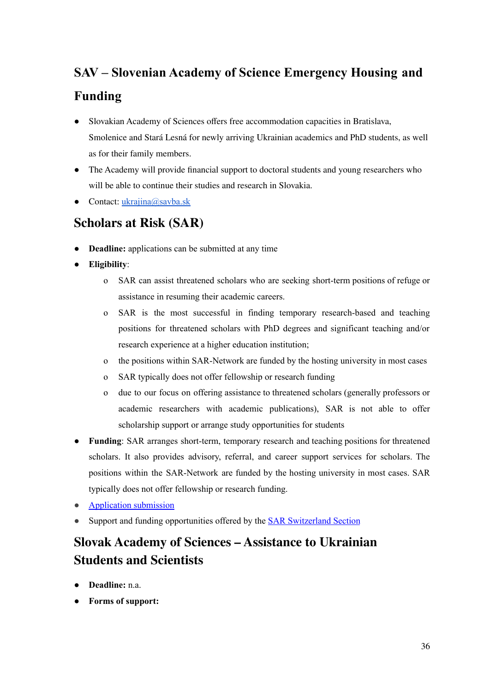# **SAV – Slovenian Academy of Science [Emergency](https://www.sav.sk/index.php?doc=services-news&source_no=20&news_no=10197) Housing and Funding**

- Slovakian Academy of Sciences offers free accommodation capacities in Bratislava, Smolenice and Stará Lesná for newly arriving Ukrainian academics and PhD students, as well as for their family members.
- The Academy will provide financial support to doctoral students and young researchers who will be able to continue their studies and research in Slovakia.
- $\bullet$  Contact: [ukrajina@savba.sk](mailto:ukrajina@savba.sk)

#### **[Scholars](https://www.scholarsatrisk.org/secure-submission/) at Risk (SAR)**

- **Deadline:** applications can be submitted at any time
- **Eligibility**:
	- o SAR can assist threatened scholars who are seeking short-term positions of refuge or assistance in resuming their academic careers.
	- o SAR is the most successful in finding temporary research-based and teaching positions for threatened scholars with PhD degrees and significant teaching and/or research experience at a higher education institution;
	- o the positions within SAR-Network are funded by the hosting university in most cases
	- o SAR typically does not offer fellowship or research funding
	- o due to our focus on offering assistance to threatened scholars (generally professors or academic researchers with academic publications), SAR is not able to offer scholarship support or arrange study opportunities for students
- **Funding**: SAR arranges short-term, temporary research and teaching positions for threatened scholars. It also provides advisory, referral, and career support services for scholars. The positions within the SAR-Network are funded by the hosting university in most cases. SAR typically does not offer fellowship or research funding.
- **[Application](https://www.scholarsatrisk.org/secure-submission/) submission**
- Support and funding opportunities offered by the **SAR [Switzerland](https://www.scholarsatrisk.org/sections/sar-switzerland/) Section**

# **Slovak Academy of Sciences – [Assistance](https://www.sav.sk/?lang=en&doc=services-news&source_no=20&news_no=10197&fbclid=IwAR2bmLbgNrny5vM_GRV5cGq6GiabEskKeLOSKsLxpOMwcVoovTdbSzEKbH4) to Ukrainian Students and [Scientists](https://www.sav.sk/?lang=en&doc=services-news&source_no=20&news_no=10197&fbclid=IwAR2bmLbgNrny5vM_GRV5cGq6GiabEskKeLOSKsLxpOMwcVoovTdbSzEKbH4)**

- **Deadline:** n.a.
- **Forms of support:**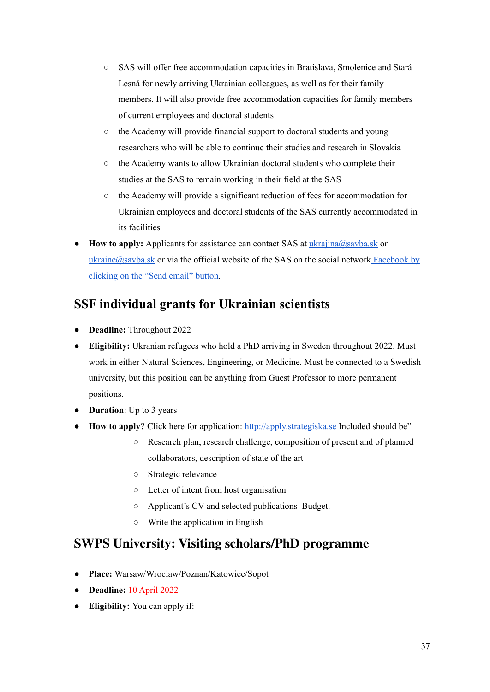- SAS will offer free accommodation capacities in Bratislava, Smolenice and Stará Lesná for newly arriving Ukrainian colleagues, as well as for their family members. It will also provide free accommodation capacities for family members of current employees and doctoral students
- the Academy will provide financial support to doctoral students and young researchers who will be able to continue their studies and research in Slovakia
- the Academy wants to allow Ukrainian doctoral students who complete their studies at the SAS to remain working in their field at the SAS
- the Academy will provide a significant reduction of fees for accommodation for Ukrainian employees and doctoral students of the SAS currently accommodated in its facilities
- **How to apply:** Applicants for assistance can contact SAS at [ukrajina@savba.sk](mailto:ukrajina@savba.sk) or  $ukraine@savba.$ sk or via the official website of the SAS on the social network [Facebook](https://www.facebook.com/SlovenskaAkademiaVied) by [clicking](https://www.facebook.com/SlovenskaAkademiaVied) on the "Send email" button.

## **SSF individual grants for [Ukrainian](https://strategiska.se/app/uploads/sites/2/ukr22_en.pdf) scientists**

- **Deadline:** Throughout 2022
- **Eligibility:** Ukranian refugees who hold a PhD arriving in Sweden throughout 2022. Must work in either Natural Sciences, Engineering, or Medicine. Must be connected to a Swedish university, but this position can be anything from Guest Professor to more permanent positions.
- **Duration**: Up to 3 years
- **How to apply?** Click here for application: <http://apply.strategiska.se> Included should be"
	- Research plan, research challenge, composition of present and of planned collaborators, description of state of the art
	- Strategic relevance
	- Letter of intent from host organisation
	- Applicant's CV and selected publications Budget.
	- Write the application in English

#### **SWPS University: Visiting [scholars/PhD](https://skk.erecruiter.pl/Offer.aspx?oid=3621726&cfg=35862da8be9e471b8c3cbbfb6c653d1f&fromSkk=1648450384051&ejoId=158515&ejorId=202159&comId=20001901&fbclid=IwAR1Hf3j0NsiLPFmRTpbddMbpZOHtlP-8rsDqDMCzGE4p4Sd14sII29AuWKo) programme**

- **Place:** Warsaw/Wroclaw/Poznan/Katowice/Sopot
- **Deadline:** 10 April 2022
- **Eligibility:** You can apply if: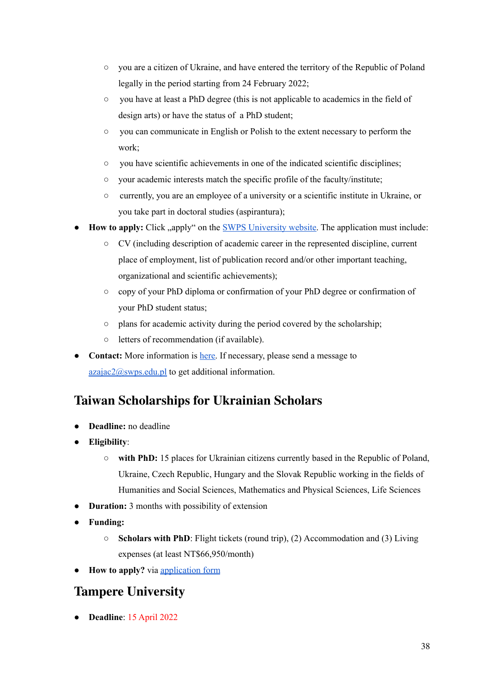- you are a citizen of Ukraine, and have entered the territory of the Republic of Poland legally in the period starting from 24 February 2022;
- you have at least a PhD degree (this is not applicable to academics in the field of design arts) or have the status of a PhD student;
- you can communicate in English or Polish to the extent necessary to perform the work;
- you have scientific achievements in one of the indicated scientific disciplines;
- your academic interests match the specific profile of the faculty/institute;
- currently, you are an employee of a university or a scientific institute in Ukraine, or you take part in doctoral studies (aspirantura);
- **How to apply:** Click , apply " on the SWPS [University](https://skk.erecruiter.pl/Offer.aspx?oid=3621726&cfg=35862da8be9e471b8c3cbbfb6c653d1f&fromSkk=1648450384051&ejoId=158515&ejorId=202159&comId=20001901&fbclid=IwAR1Hf3j0NsiLPFmRTpbddMbpZOHtlP-8rsDqDMCzGE4p4Sd14sII29AuWKo) website. The application must include:
	- CV (including description of academic career in the represented discipline, current place of employment, list of publication record and/or other important teaching, organizational and scientific achievements);
	- copy of your PhD diploma or confirmation of your PhD degree or confirmation of your PhD student status;
	- plans for academic activity during the period covered by the scholarship;
	- letters of recommendation (if available).
- **Contact:** More information is [here.](https://drive.google.com/file/d/1G3_te3sCWxM1L6rirDAHiuhRxJANBj1u/view) If necessary, please send a message to [azajac2@swps.edu.pl](mailto:azajac2@swps.edu.pl) to get additional information.

#### **Taiwan [Scholarships](https://tigp.sinica.edu.tw/posts/164422?fbclid=IwAR3jJaJ1rMZ8aHKelhVCLXUGDihxZEwUqjGGtNHu7PvJXeXSh_NG2F5Qg7Y) for Ukrainian Scholars**

- **Deadline:** no deadline
- **Eligibility**:
	- **with PhD:** 15 places for Ukrainian citizens currently based in the Republic of Poland, Ukraine, Czech Republic, Hungary and the Slovak Republic working in the fields of Humanities and Social Sciences, Mathematics and Physical Sciences, Life Sciences
- **Duration:** 3 months with possibility of extension
- **● Funding:**
	- **Scholars with PhD**: Flight tickets (round trip), (2) Accommodation and (3) Living expenses (at least NT\$66,950/month)
- **How to apply?** via [application](https://forms.office.com/Pages/ResponsePage.aspx?id=ExuewAGxzEydmwURinGFkTRfxEPzGHZFsZguxy9a6k9UNEI0WEpINFdLTU5OQlkyUFA0UjVKTkRaWC4u&wdLOR=cF9D0CA23-F57A-4113-9AB3-47C49AB272C0) form

#### **Tampere [University](https://tuni.rekrytointi.com/paikat/index.php?jid=1386&o=A_RJ&lang=en&fbclid=IwAR39YXpSoZl60UMETl7RsDiJmZWPO-Vjy5EdjMUDew9fG8uARnLP5PqLTx4)**

● **Deadline**: 15 April 2022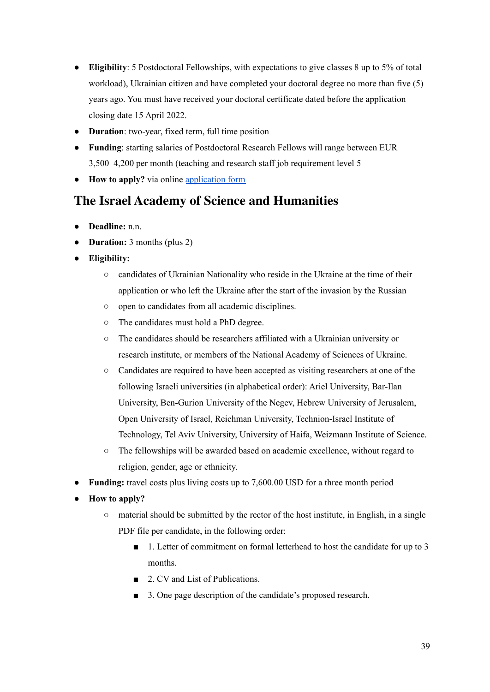- **Eligibility**: 5 Postdoctoral Fellowships, with expectations to give classes 8 up to 5% of total workload), Ukrainian citizen and have completed your doctoral degree no more than five (5) years ago. You must have received your doctoral certificate dated before the application closing date 15 April 2022.
- **Duration**: two-year, fixed term, full time position
- **Funding**: starting salaries of Postdoctoral Research Fellows will range between EUR 3,500–4,200 per month (teaching and research staff job requirement level 5
- **How to apply?** via online [application](https://tuni.rekrytointi.com/paikat/?o=A_A&jid=1386&rspvt=60xu3e6pdzgock4wswgkgc84888os4o#login_form) form

#### **The Israel Academy of Science and [Humanities](http://www.academy.ac.il/RichText/GeneralPage.aspx?nodeId=1611)**

- **Deadline:** n.n.
- **Duration:** 3 months (plus 2)
- **● Eligibility:**
	- candidates of Ukrainian Nationality who reside in the Ukraine at the time of their application or who left the Ukraine after the start of the invasion by the Russian
	- open to candidates from all academic disciplines.
	- The candidates must hold a PhD degree.
	- The candidates should be researchers affiliated with a Ukrainian university or research institute, or members of the National Academy of Sciences of Ukraine.
	- Candidates are required to have been accepted as visiting researchers at one of the following Israeli universities (in alphabetical order): Ariel University, Bar-Ilan University, Ben-Gurion University of the Negev, Hebrew University of Jerusalem, Open University of Israel, Reichman University, Technion-Israel Institute of Technology, Tel Aviv University, University of Haifa, Weizmann Institute of Science.
	- The fellowships will be awarded based on academic excellence, without regard to religion, gender, age or ethnicity.
- **Funding:** travel costs plus living costs up to 7,600.00 USD for a three month period
- **How to apply?**
	- $\circ$  material should be submitted by the rector of the host institute, in English, in a single PDF file per candidate, in the following order:
		- 1. Letter of commitment on formal letterhead to host the candidate for up to 3 months.
		- 2. CV and List of Publications.
		- 3. One page description of the candidate's proposed research.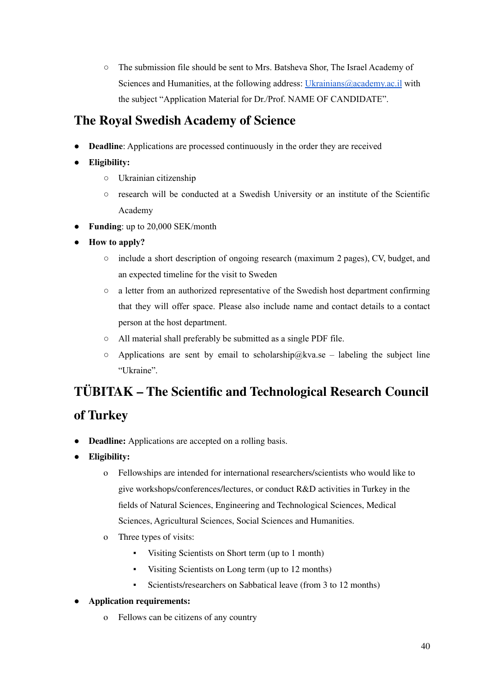○ The submission file should be sent to Mrs. Batsheva Shor, The Israel Academy of Sciences and Humanities, at the following address: [Ukrainians@academy.ac.il](mailto:Ukrainians@academy.ac.il) with the subject "Application Material for Dr./Prof. NAME OF CANDIDATE".

## **The Royal Swedish [Academy](https://kva.se/en/utlysningar/stipendier-bidrag/for-ukrainska-forskare-att-verka-i-sverige?fbclid=IwAR1AiCq9ciZRnI1RWLLiVxJifN3JITihjrjKBHWVQC3YKZLgQBnnCN_5t_M) of Science**

- **Deadline**: Applications are processed continuously in the order they are received
- **Eligibility:**
	- Ukrainian citizenship
	- research will be conducted at a Swedish University or an institute of the Scientific Academy
- **Funding**: up to 20,000 SEK/month
- **How to apply?**
	- include a short description of ongoing research (maximum 2 pages), CV, budget, and an expected timeline for the visit to Sweden
	- a letter from an authorized representative of the Swedish host department confirming that they will offer space. Please also include name and contact details to a contact person at the host department.
	- All material shall preferably be submitted as a single PDF file.
	- $\circ$  Applications are sent by email to scholarship@kva.se labeling the subject line "Ukraine".

# **TÜBITAK – The Scientific and [Technological](https://www.tubitak.gov.tr/en/scholarship/postdoctoral/international-programmes/content-2221-fellowships-for-visiting-scientists-and-scientists-on-sabbatical-leave) Research Council**

#### **of [Turkey](https://www.tubitak.gov.tr/en/scholarship/postdoctoral/international-programmes/content-2221-fellowships-for-visiting-scientists-and-scientists-on-sabbatical-leave)**

- **Deadline:** Applications are accepted on a rolling basis.
- **Eligibility:**
	- o Fellowships are intended for international researchers/scientists who would like to give workshops/conferences/lectures, or conduct R&D activities in Turkey in the fields of Natural Sciences, Engineering and Technological Sciences, Medical Sciences, Agricultural Sciences, Social Sciences and Humanities.
	- o Three types of visits:
		- Visiting Scientists on Short term (up to 1 month)
		- Visiting Scientists on Long term (up to 12 months)
		- Scientists/researchers on Sabbatical leave (from 3 to 12 months)
- **Application requirements:**
	- o Fellows can be citizens of any country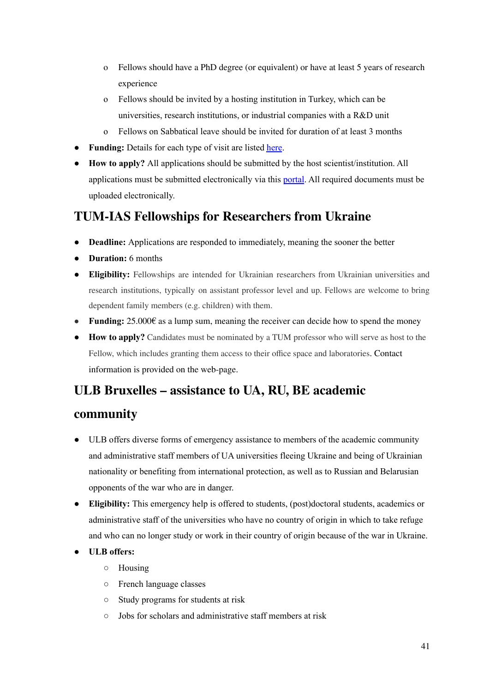- o Fellows should have a PhD degree (or equivalent) or have at least 5 years of research experience
- o Fellows should be invited by a hosting institution in Turkey, which can be universities, research institutions, or industrial companies with a R&D unit
- o Fellows on Sabbatical leave should be invited for duration of at least 3 months
- **Funding:** Details for each type of visit are listed [here](https://www.tubitak.gov.tr/en/scholarship/postdoctoral/international-programmes/content-2221-fellowships-for-visiting-scientists-and-scientists-on-sabbatical-leave).
- **How to apply?** All applications should be submitted by the host scientist/institution. All applications must be submitted electronically via this [portal](https://ebideb.tubitak.gov.tr/giris.htm?language=en). All required documents must be uploaded electronically.

#### **TUM-IAS Fellowships for [Researchers](https://www.ias.tum.de/ias/news/news-single-view/article/support-program-fellowships-for-ukrainian-researchers/) from Ukraine**

- **Deadline:** Applications are responded to immediately, meaning the sooner the better
- **● Duration:** 6 months
- **● Eligibility:** Fellowships are intended for Ukrainian researchers from Ukrainian universities and research institutions, typically on assistant professor level and up. Fellows are welcome to bring dependent family members (e.g. children) with them.
- **● Funding:** 25.000€ as a lump sum, meaning the receiver can decide how to spend the money
- **● How to apply?** Candidates must be nominated by a TUM professor who will serve as host to the Fellow, which includes granting them access to their office space and laboratories. Contact information is provided on the web-page.

#### **ULB Bruxelles – [assistance](https://www.ulb.be/en/helpukraine/help-ukraine-academic-community) to UA, RU, BE academic**

#### **[community](https://www.ulb.be/en/helpukraine/help-ukraine-academic-community)**

- ULB offers diverse forms of emergency assistance to members of the academic community and administrative staff members of UA universities fleeing Ukraine and being of Ukrainian nationality or benefiting from international protection, as well as to Russian and Belarusian opponents of the war who are in danger.
- **Eligibility:** This emergency help is offered to students, (post)doctoral students, academics or administrative staff of the universities who have no country of origin in which to take refuge and who can no longer study or work in their country of origin because of the war in Ukraine.
- **● ULB offers:**
	- Housing
	- French language classes
	- Study programs for students at risk
	- Jobs for scholars and administrative staff members at risk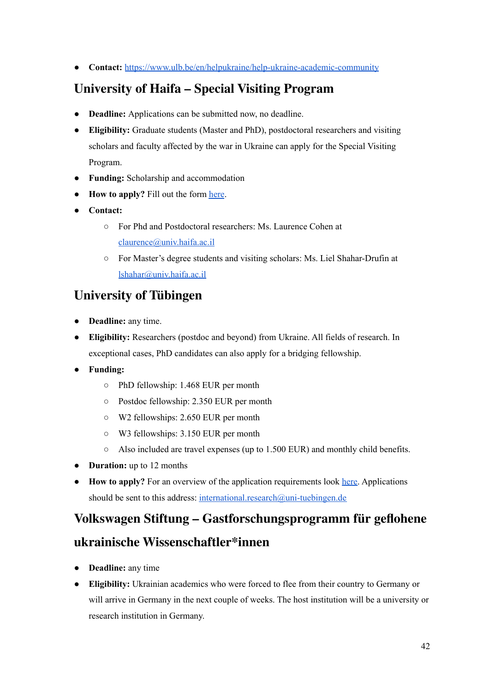● **Contact:** <https://www.ulb.be/en/helpukraine/help-ukraine-academic-community>

## **[University](https://docs.google.com/forms/d/e/1FAIpQLScJMbNvztZ6iqtOOK7UJAwOmDps95-Ftev5S2W9oT6Ze8vYmg/viewform?fbclid=IwAR19kOuQFYhbNVEUJngG-VhOdgz37jI14P21xbwILY_nXwV8qN8cS833cBQ) of Haifa – Special Visiting Program**

- **Deadline:** Applications can be submitted now, no deadline.
- **Eligibility:** Graduate students (Master and PhD), postdoctoral researchers and visiting scholars and faculty affected by the war in Ukraine can apply for the Special Visiting Program.
- **Funding:** Scholarship and accommodation
- **How to apply?** Fill out the form [here](https://docs.google.com/forms/d/e/1FAIpQLScJMbNvztZ6iqtOOK7UJAwOmDps95-Ftev5S2W9oT6Ze8vYmg/viewform?fbclid=IwAR19kOuQFYhbNVEUJngG-VhOdgz37jI14P21xbwILY_nXwV8qN8cS833cBQ).
- **Contact:**
	- For Phd and Postdoctoral researchers: Ms. Laurence Cohen at [claurence@univ.haifa.ac.il](mailto:claurence@univ.haifa.ac.il)
	- For Master's degree students and visiting scholars: Ms. Liel Shahar-Drufin at [lshahar@univ.haifa.ac.il](mailto:lshahar@univ.haifa.ac.il)

#### **[University](https://www.mlmia-unitue.de/research-fellowship-ukraine/) of Tübingen**

- **Deadline:** any time.
- **Eligibility:** Researchers (postdoc and beyond) from Ukraine. All fields of research. In exceptional cases, PhD candidates can also apply for a bridging fellowship.
- **Funding:**
	- PhD fellowship: 1.468 EUR per month
	- Postdoc fellowship: 2.350 EUR per month
	- W2 fellowships: 2.650 EUR per month
	- W3 fellowships: 3.150 EUR per month
	- $\circ$  Also included are travel expenses (up to 1.500 EUR) and monthly child benefits.
- **Duration:** up to 12 months
- **How to apply?** For an overview of the application requirements look [here.](https://www.mlmia-unitue.de/research-fellowship-ukraine/) Applications should be sent to this address: [international.research@uni-tuebingen.de](mailto:international.research@uni-tuebingen.de)

# **Volkswagen Stiftung – [Gastforschungsprogramm](https://www.volkswagenstiftung.de/unsere-foerderung/unser-foerderangebot-im-ueberblick/gastforschungsprogramm-f%C3%BCr-geflohene-ukrainische-wissenschaftler-innen) für geflohene ukrainische [Wissenschaftler\\*innen](https://www.volkswagenstiftung.de/unsere-foerderung/unser-foerderangebot-im-ueberblick/gastforschungsprogramm-f%C3%BCr-geflohene-ukrainische-wissenschaftler-innen)**

- **Deadline:** any time
- **Eligibility:** Ukrainian academics who were forced to flee from their country to Germany or will arrive in Germany in the next couple of weeks. The host institution will be a university or research institution in Germany.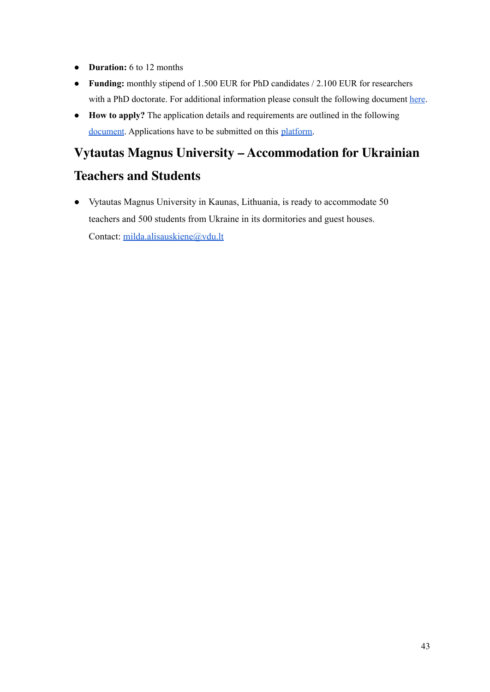- **Duration:** 6 to 12 months
- **Funding:** monthly stipend of 1.500 EUR for PhD candidates / 2.100 EUR for researchers with a PhD doctorate. For additional information please consult the following document [here](https://www.volkswagenstiftung.de/sites/default/files/downloads/MB_125d.pdf).
- **● How to apply?** The application details and requirements are outlined in the following [document](https://www.volkswagenstiftung.de/sites/default/files/downloads/MB_125d.pdf). Applications have to be submitted on this [platform](https://portal.volkswagenstiftung.de/vwsantrag/login.do?siteLanguage=de).

# **Vytautas Magnus University – [Accommodation](http://milda.alisauskiene@vdu.lt) for Ukrainian**

#### **[Teachers](http://milda.alisauskiene@vdu.lt) and Students**

● Vytautas Magnus University in Kaunas, Lithuania, is ready to accommodate 50 teachers and 500 students from Ukraine in its dormitories and guest houses. Contact: [milda.alisauskiene@vdu.lt](mailto:milda.alisauskiene@vdu.lt)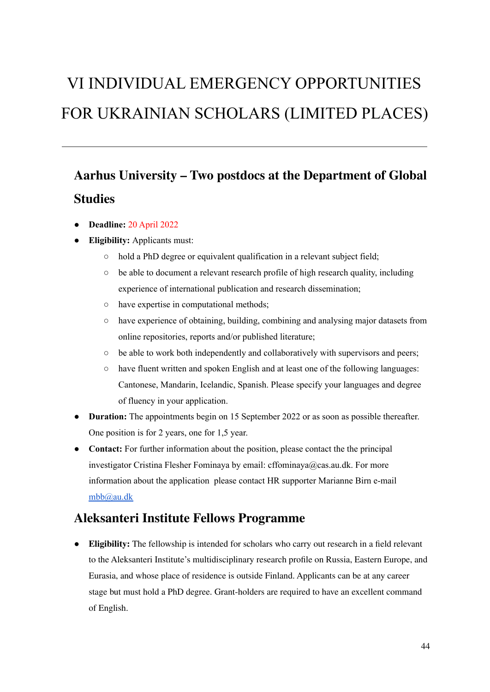# VI INDIVIDUAL EMERGENCY OPPORTUNITIES FOR UKRAINIAN SCHOLARS (LIMITED PLACES)

# **Aarhus University – Two postdocs at the [Department](https://international.au.dk/about/profile/vacant-positions?tx_dyconemply_emply%5baction%5d=list&tx_dyconemply_emply%5bcontroller%5d=Emply&tx_dyconemply_emply%5bvacancy%5d=11846&fbclid=IwAR2c_ZBrwv0XGcB9nylJh6BcEKi-u0pq2yAjabeXOInubM60HX7VSmjNLYE) of Global [Studies](https://international.au.dk/about/profile/vacant-positions?tx_dyconemply_emply%5baction%5d=list&tx_dyconemply_emply%5bcontroller%5d=Emply&tx_dyconemply_emply%5bvacancy%5d=11846&fbclid=IwAR2c_ZBrwv0XGcB9nylJh6BcEKi-u0pq2yAjabeXOInubM60HX7VSmjNLYE)**

- **Deadline:** 20 April 2022
- **Eligibility:** Applicants must:
	- hold a PhD degree or equivalent qualification in a relevant subject field;
	- be able to document a relevant research profile of high research quality, including experience of international publication and research dissemination;
	- have expertise in computational methods;
	- have experience of obtaining, building, combining and analysing major datasets from online repositories, reports and/or published literature;
	- $\circ$  be able to work both independently and collaboratively with supervisors and peers;
	- have fluent written and spoken English and at least one of the following languages: Cantonese, Mandarin, Icelandic, Spanish. Please specify your languages and degree of fluency in your application.
- **Duration:** The appointments begin on 15 September 2022 or as soon as possible thereafter. One position is for 2 years, one for 1,5 year.
- **Contact:** For further information about the position, please contact the the principal investigator Cristina Flesher Fominaya by email: cffominaya@cas.au.dk. For more information about the application please contact HR supporter Marianne Birn e-mail [mbb@au.dk](mailto:mbb@au.dk)

#### **Aleksanteri Institute Fellows [Programme](https://www2.helsinki.fi/en/aleksanteri-institute/research/aleksanteri-institute-visiting-fellows-programme/what-do-we-offer)**

● **Eligibility:** The fellowship is intended for scholars who carry out research in a field relevant to the Aleksanteri Institute's multidisciplinary research profile on Russia, Eastern Europe, and Eurasia, and whose place of residence is outside Finland. Applicants can be at any career stage but must hold a PhD degree. Grant-holders are required to have an excellent command of English.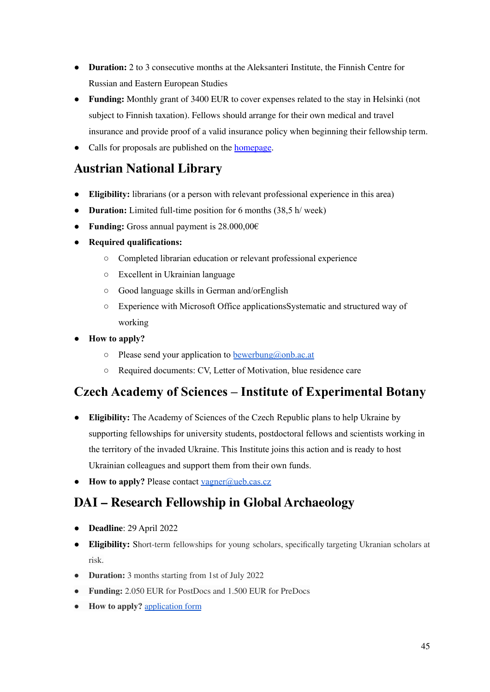- **Duration:** 2 to 3 consecutive months at the Aleksanteri Institute, the Finnish Centre for Russian and Eastern European Studies
- **Funding:** Monthly grant of 3400 EUR to cover expenses related to the stay in Helsinki (not subject to Finnish taxation). Fellows should arrange for their own medical and travel insurance and provide proof of a valid insurance policy when beginning their fellowship term.
- Calls for proposals are published on the [homepage](https://www2.helsinki.fi/en/aleksanteri-institute/research/aleksanteri-institute-visiting-fellows-programme/call-for-proposals#section-65775).

#### **[Austrian](https://www.osmikon.de/fileadmin/uploadMountall/user_upload/2_Dateien_nach_Rubriken_geordnet/0_Neuigkeiten_Startseite/20220316_scienceforukraine_oenb.pdf) National Library**

- **Eligibility:** librarians (or a person with relevant professional experience in this area)
- **Duration:** Limited full-time position for 6 months (38,5 h/ week)
- **Funding:** Gross annual payment is 28.000,00€
- **● Required qualifications:**
	- Completed librarian education or relevant professional experience
	- Excellent in Ukrainian language
	- Good language skills in German and/orEnglish
	- Experience with Microsoft Office applicationsSystematic and structured way of working
- **How to apply?**
	- $\circ$  Please send your application to [bewerbung@onb.ac.at](mailto:bewerbung@onb.ac.at)
	- Required documents: CV, Letter of Motivation, blue residence care

#### **Czech Academy of Sciences – Institute of [Experimental](http://www.ueb.cas.cz/en/content/we-support-ukraine) Botany**

- **Eligibility:** The Academy of Sciences of the Czech Republic plans to help Ukraine by supporting fellowships for university students, postdoctoral fellows and scientists working in the territory of the invaded Ukraine. This Institute joins this action and is ready to host Ukrainian colleagues and support them from their own funds.
- **How to apply?** Please contact [vagner@ueb.cas.cz](mailto:vagner@ueb.cas.cz)

# **DAI – Research Fellowship in Global [Archaeology](https://www.dainst.org/-/research-fellowship-global-archaeology-sustainable-archaeology-and-the-archaeology-of-sustainability-deadline-29-04-2022-?redirect=%2Fkarriere%2Fstipendien%2Ftermine-und-ausschreibungen)**

- **Deadline**: 29 April 2022
- **Eligibility:** Short-term fellowships for young scholars, specifically targeting Ukranian scholars at risk.
- **Duration:** 3 months starting from 1st of July 2022
- **Funding:** 2.050 EUR for PostDocs and 1.500 EUR for PreDocs
- **How to apply?** [application](https://www.dainst.org/documents/10180/251710/ApplForm_engl.docx/bdc48507-3c32-3eac-45a5-3379a20924cc) form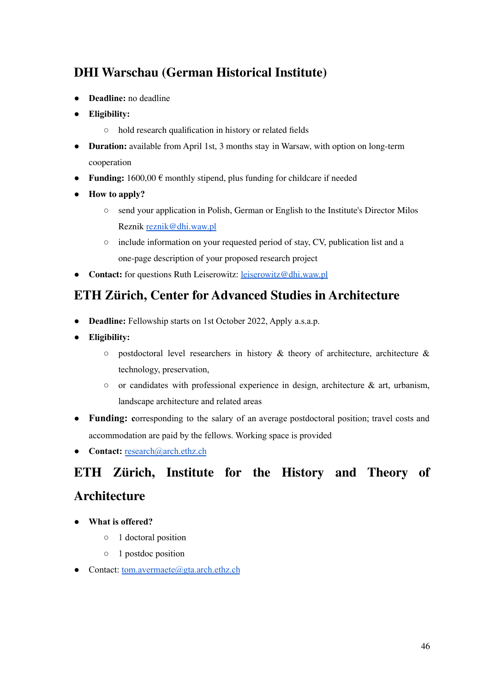## **DHI [Warschau](https://www.hsozkult.de/grant/id/stip-116540) (German Historical Institute)**

- **Deadline:** no deadline
- **Eligibility:**
	- hold research qualification in history or related fields
- **Duration:** available from April 1st, 3 months stay in Warsaw, with option on long-term cooperation
- **Funding:**  $1600,00 \in \text{monthly stipend, plus funding for children if needed$
- **How to apply?**
	- send your application in Polish, German or English to the Institute's Director Milos Reznik [reznik@dhi.waw.pl](mailto:reznik@dhi.waw.pl)
	- include information on your requested period of stay, CV, publication list and a one-page description of your proposed research project
- **Contact:** for questions Ruth Leiserowitz: [leiserowitz@dhi.waw.pl](mailto:leiserowitz@dhi.waw.pl)

#### **ETH Zürich, Center for Advanced Studies in [Architecture](https://arch.ethz.ch/en/forschung/forschungsnachwuchs/CASA/call-2022.html?fbclid=IwAR2IwH9kDwXw90NN_od9Q_lfcx5rM21YTTa72tTjOrXszKDuamABGgyfDTE)**

- **Deadline:** Fellowship starts on 1st October 2022, Apply a.s.a.p.
- **Eligibility:**
	- $\circ$  postdoctoral level researchers in history & theory of architecture, architecture & technology, preservation,
	- $\circ$  or candidates with professional experience in design, architecture & art, urbanism, landscape architecture and related areas
- **Funding:** corresponding to the salary of an average postdoctoral position; travel costs and accommodation are paid by the fellows. Working space is provided
- **Contact:** [research@arch.ethz.ch](mailto:research@arch.ethz.ch)

# **ETH Zürich, [Institute](https://arch.ethz.ch/en/forschung/forschungsnachwuchs/CASA/call-2022.html?fbclid=IwAR2IwH9kDwXw90NN_od9Q_lfcx5rM21YTTa72tTjOrXszKDuamABGgyfDTE) for the History and Theory of [Architecture](https://arch.ethz.ch/en/forschung/forschungsnachwuchs/CASA/call-2022.html?fbclid=IwAR2IwH9kDwXw90NN_od9Q_lfcx5rM21YTTa72tTjOrXszKDuamABGgyfDTE)**

- **What is offered?**
	- 1 doctoral position
	- 1 postdoc position
- Contact: [tom.avermaete@gta.arch.ethz.ch](mailto:tom.avermaete@gta.arch.ethz.ch)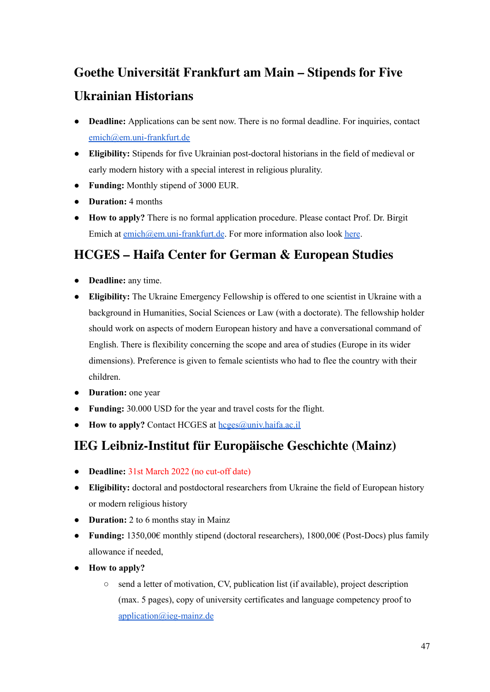# **Goethe [Universität](https://www.puk.uni-frankfurt.de/113740998/Kurzzeitf%C3%B6rderung_f%C3%BCr_ukrainische_Historiker) Frankfurt am Main – Stipends for Five Ukrainian [Historians](https://www.puk.uni-frankfurt.de/113740998/Kurzzeitf%C3%B6rderung_f%C3%BCr_ukrainische_Historiker)**

- **Deadline:** Applications can be sent now. There is no formal deadline. For inquiries, contact [emich@em.uni-frankfurt.de](mailto:emich@em.uni-frankfurt.de)
- **Eligibility:** Stipends for five Ukrainian post-doctoral historians in the field of medieval or early modern history with a special interest in religious plurality.
- **Funding:** Monthly stipend of 3000 EUR.
- **Duration:** 4 months
- **How to apply?** There is no formal application procedure. Please contact Prof. Dr. Birgit Emich at [emich@em.uni-frankfurt.de](mailto:emich@em.uni-frankfurt.de). For more information also look [here](https://www.geschichte.uni-frankfurt.de/92594738/Polycentricity_and_Plurality_of_Premodern_Christianities__POLY).

#### **HCGES – Haifa Center for German & [European](https://hcges.haifa.ac.il) Studies**

- **Deadline:** any time.
- **Eligibility:** The Ukraine Emergency Fellowship is offered to one scientist in Ukraine with a background in Humanities, Social Sciences or Law (with a doctorate). The fellowship holder should work on aspects of modern European history and have a conversational command of English. There is flexibility concerning the scope and area of studies (Europe in its wider dimensions). Preference is given to female scientists who had to flee the country with their children.
- **Duration:** one year
- **Funding:** 30.000 USD for the year and travel costs for the flight.
- **How to apply?** Contact HCGES at [hcges@univ.haifa.ac.il](mailto:hcges@univ.haifa.ac.il)

#### **IEG Leibniz-Institut für Europäische Geschichte (Mainz)**

- **Deadline:** 31st March 2022 (no cut-off date)
- **Eligibility:** doctoral and postdoctoral researchers from Ukraine the field of European history or modern religious history
- **Duration:** 2 to 6 months stay in Mainz
- **Funding:** 1350,00€ monthly stipend (doctoral researchers), 1800,00€ (Post-Docs) plus family allowance if needed,
- **● How to apply?**
	- send a letter of motivation, CV, publication list (if available), project description (max. 5 pages), copy of university certificates and language competency proof to [application@ieg-mainz.de](mailto:application@ieg-mainz.de)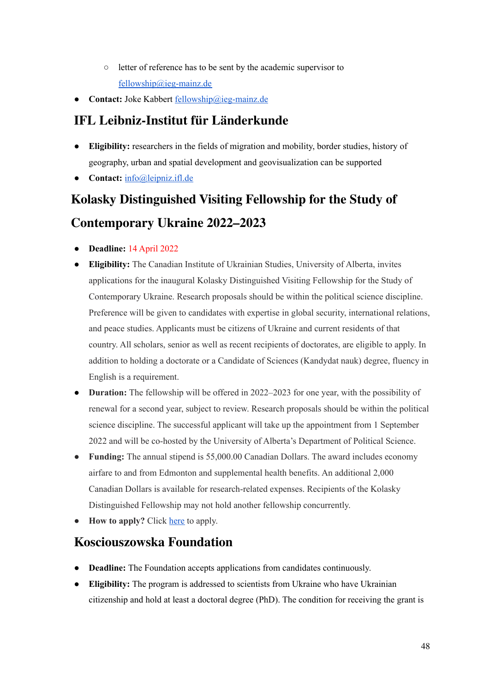- letter of reference has to be sent by the academic supervisor to [fellowship@ieg-mainz.de](mailto:fellowship@ieg-mainz.de)
- Contact: Joke Kabbert [fellowship@ieg-mainz.de](mailto:fellowship@ieg-mainz.de)

## **IFL [Leibniz-Institut](https://leibniz-ifl.de/institut/neues/kurz-notiert/details/unterstuetzung-fuer-ukrainische-forschende) für Länderkunde**

- **Eligibility:** researchers in the fields of migration and mobility, border studies, history of geography, urban and spatial development and geovisualization can be supported
- **Contact:** [info@leipniz.ifl.de](mailto:info@leipniz.ifl.de)

# **Kolasky [Distinguished](https://www.ualberta.ca/canadian-institute-of-ukrainian-studies/news-and-events/news-at-the-cius/2022/february1/kolasky-distinguished-visiting-fellowship-for-the-study-of-contemporary-ukraine-2022-2023.html?fbclid=IwAR0vCQGaYtZOC7a3F9QN9cf-pfn-PTTr4X0hBW1XS1rbENCZdn445vzwg14) Visiting Fellowship for the Study of [Contemporary](https://www.ualberta.ca/canadian-institute-of-ukrainian-studies/news-and-events/news-at-the-cius/2022/february1/kolasky-distinguished-visiting-fellowship-for-the-study-of-contemporary-ukraine-2022-2023.html?fbclid=IwAR0vCQGaYtZOC7a3F9QN9cf-pfn-PTTr4X0hBW1XS1rbENCZdn445vzwg14) Ukraine 2022–2023**

- **Deadline:** 14 April 2022
- **Eligibility:** The Canadian Institute of Ukrainian Studies, University of Alberta, invites applications for the inaugural Kolasky Distinguished Visiting Fellowship for the Study of Contemporary Ukraine. Research proposals should be within the political science discipline. Preference will be given to candidates with expertise in global security, international relations, and peace studies. Applicants must be citizens of Ukraine and current residents of that country. All scholars, senior as well as recent recipients of doctorates, are eligible to apply. In addition to holding a doctorate or a Candidate of Sciences (Kandydat nauk) degree, fluency in English is a requirement.
- **Duration:** The fellowship will be offered in 2022–2023 for one year, with the possibility of renewal for a second year, subject to review. Research proposals should be within the political science discipline. The successful applicant will take up the appointment from 1 September 2022 and will be co-hosted by the University of Alberta's Department of Political Science.
- **Funding:** The annual stipend is 55,000.00 Canadian Dollars. The award includes economy airfare to and from Edmonton and supplemental health benefits. An additional 2,000 Canadian Dollars is available for research-related expenses. Recipients of the Kolasky Distinguished Fellowship may not hold another fellowship concurrently.
- **How to apply?** Click [here](https://www.ualberta.ca/canadian-institute-of-ukrainian-studies/news-and-events/news-at-the-cius/2022/february1/kolasky-distinguished-visiting-fellowship-for-the-study-of-contemporary-ukraine-2022-2023.html?fbclid=IwAR0vCQGaYtZOC7a3F9QN9cf-pfn-PTTr4X0hBW1XS1rbENCZdn445vzwg14) to apply.

#### **[Kosciouszowska](https://kfpoland.org/Freedom-starts-with-your-mind-1) Foundation**

- **Deadline:** The Foundation accepts applications from candidates continuously.
- **Eligibility:** The program is addressed to scientists from Ukraine who have Ukrainian citizenship and hold at least a doctoral degree (PhD). The condition for receiving the grant is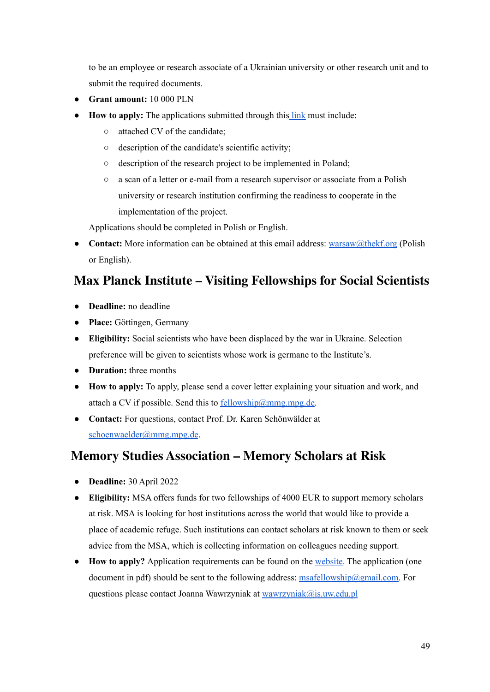to be an employee or research associate of a Ukrainian university or other research unit and to submit the required documents.

- **Grant amount:** 10 000 PLN
- **How to apply:** The applications submitted through this [link](https://form.jotform.com/220742363868361) must include:
	- attached CV of the candidate;
	- description of the candidate's scientific activity;
	- description of the research project to be implemented in Poland;
	- a scan of a letter or e-mail from a research supervisor or associate from a Polish university or research institution confirming the readiness to cooperate in the implementation of the project.

Applications should be completed in Polish or English.

• **Contact:** More information can be obtained at this email address: [warsaw@thekf.org](mailto:warsaw@thekf.org) (Polish or English).

## **Max Planck Institute – Visiting [Fellowships](https://www.mmg.mpg.de/910387/visiting-fellowships?fbclid=IwAR2lO4DEJN8c7iN_PTICGGD6e8jxAppXyKlUrPZ8Pixxdk7mXznhC-en-yw) for Social Scientists**

- **Deadline:** no deadline
- **Place:** Göttingen, Germany
- **Eligibility:** Social scientists who have been displaced by the war in Ukraine. Selection preference will be given to scientists whose work is germane to the Institute's.
- **Duration:** three months
- **How to apply:** To apply, please send a cover letter explaining your situation and work, and attach a CV if possible. Send this to  $\frac{fellowship@mmgmpg.de}{fellowship@mmgmpg.de}$ .
- **Contact:** For questions, contact Prof. Dr. Karen Schönwälder at [schoenwaelder@mmg.mpg.de](mailto:schoenwaelder@mmg.mpg.de).

#### **Memory Studies [Association](https://www.memorystudiesassociation.org) – Memory Scholars at Risk**

- **Deadline:** 30 April 2022
- **Eligibility:** MSA offers funds for two fellowships of 4000 EUR to support memory scholars at risk. MSA is looking for host institutions across the world that would like to provide a place of academic refuge. Such institutions can contact scholars at risk known to them or seek advice from the MSA, which is collecting information on colleagues needing support.
- **How to apply?** Application requirements can be found on the [website.](https://www.memorystudiesassociation.org) The application (one document in pdf) should be sent to the following address: [msafellowship@gmail.com.](mailto:msafellowship@gmail.com) For questions please contact Joanna Wawrzyniak at [wawrzyniak@is.uw.edu.pl](mailto:wawrzyniak@is.uw.edu.pl)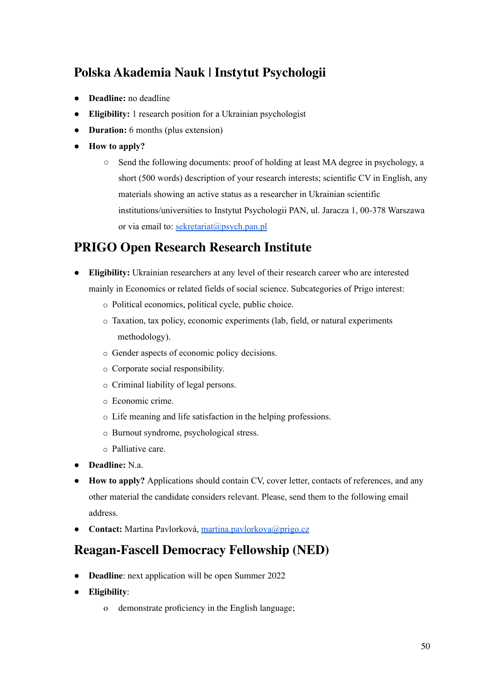# **Polska Akademia Nauk | Instytut [Psychologii](https://psych.pan.pl/wp-content/uploads/2022/03/Job-Offer-UA.pdf?fbclid=IwAR3gdkgGCPrmnV4X_67kAyO3ZPbdR-lqPzCmlG3ED3zVWeBERYbz23zvJlc)**

- **Deadline:** no deadline
- **Eligibility:** 1 research position for a Ukrainian psychologist
- **● Duration:** 6 months (plus extension)
- **How to apply?**
	- Send the following documents: proof of holding at least MA degree in psychology, a short (500 words) description of your research interests; scientific CV in English, any materials showing an active status as a researcher in Ukrainian scientific institutions/universities to Instytut Psychologii PAN, ul. Jaracza 1, 00-378 Warszawa or via email to: [sekretariat@psych.pan.pl](mailto:sekretariat@psych.pan.pl)

#### **PRIGO Open [Research](https://www.researchjobs.cz/job/scienceforukraine-phd-postdoc-or-senior-researcher-position-in-economics-and-business-political-science-sociology-or-related-fields-in-scocial-science/) Research Institute**

- **Eligibility:** Ukrainian researchers at any level of their research career who are interested mainly in Economics or related fields of social science. Subcategories of Prigo interest:
	- o Political economics, political cycle, public choice.
	- o Taxation, tax policy, economic experiments (lab, field, or natural experiments methodology).
	- o Gender aspects of economic policy decisions.
	- o Corporate social responsibility.
	- o Criminal liability of legal persons.
	- o Economic crime.
	- o Life meaning and life satisfaction in the helping professions.
	- o Burnout syndrome, psychological stress.
	- o Palliative care.
- **Deadline:** N.a.
- **How to apply?** Applications should contain CV, cover letter, contacts of references, and any other material the candidate considers relevant. Please, send them to the following email address.
- **Contact:** Martina Pavlorková, [martina.pavlorkova@prigo.cz](mailto:martina.pavlorkova@prigo.cz)

#### **[Reagan-Fascell](https://www.ned.org/fellowships/reagan-fascell-democracy-fellows-program/applying-for-a-fellowship/) Democracy Fellowship (NED)**

- **Deadline**: next application will be open Summer 2022
- **Eligibility**:
	- o demonstrate proficiency in the English language;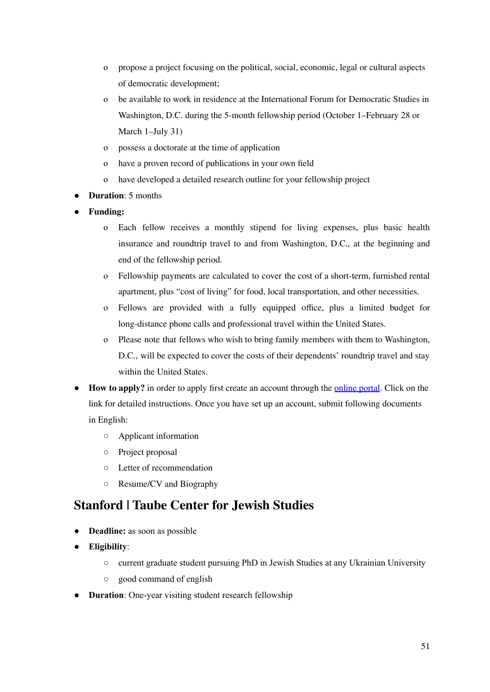- o propose a project focusing on the political, social, economic, legal or cultural aspects of democratic development;
- o be available to work in residence at the International Forum for Democratic Studies in Washington, D.C. during the 5-month fellowship period (October 1–February 28 or March 1–July 31)
- o possess a doctorate at the time of application
- o have a proven record of publications in your own field
- o have developed a detailed research outline for your fellowship project
- **Duration**: 5 months
- **Funding:** 
	- o Each fellow receives a monthly stipend for living expenses, plus basic health insurance and roundtrip travel to and from Washington, D.C., at the beginning and end of the fellowship period.
	- o Fellowship payments are calculated to cover the cost of a short-term, furnished rental apartment, plus "cost of living" for food, local transportation, and other necessities.
	- o Fellows are provided with a fully equipped office, plus a limited budget for long-distance phone calls and professional travel within the United States.
	- o Please note that fellows who wish to bring family members with them to Washington, D.C., will be expected to cover the costs of their dependents' roundtrip travel and stay within the United States.
- **How to apply?** in order to apply first create an account through the <u>[online](https://www.nedfellowships.org/Start/ReaganFascell) portal</u>. Click on the link for detailed instructions. Once you have set up an account, submit following documents in English:
	- Applicant information
	- Project proposal
	- Letter of recommendation
	- Resume/CV and Biography

#### **[Stanford](https://jewishstudies.stanford.edu/) | Taube Center for Jewish Studies**

- **Deadline:** as soon as possible
- **Eligibility**:
	- current graduate student pursuing PhD in Jewish Studies at any Ukrainian University
	- good command of english
- **Duration**: One-year visiting student research fellowship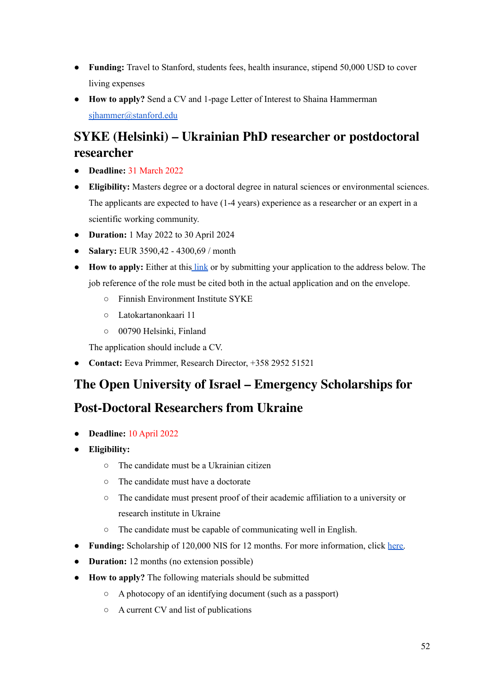- **Funding:** Travel to Stanford, students fees, health insurance, stipend 50,000 USD to cover living expenses
- **How to apply?** Send a CV and 1-page Letter of Interest to Shaina Hammerman [sjhammer@stanford.edu](mailto:sjhammer@stanford.edu)

## **SYKE (Helsinki) – Ukrainian PhD researcher or [postdoctoral](https://haku.valtiolle.fi/Public/Assignment.aspx?guidAssignment=8eb2baf7-cb8d-4db3-9cbf-86201c675c33&language=2) [researcher](https://haku.valtiolle.fi/Public/Assignment.aspx?guidAssignment=8eb2baf7-cb8d-4db3-9cbf-86201c675c33&language=2)**

- **Deadline:** 31 March 2022
- **Eligibility:** Masters degree or a doctoral degree in natural sciences or environmental sciences. The applicants are expected to have (1-4 years) experience as a researcher or an expert in a scientific working community.
- **Duration:** 1 May 2022 to 30 April 2024
- **Salary:** EUR 3590,42 4300,69 / month
- **How to apply:** Either at this [link](https://haku.valtiolle.fi/spa/signin?ReturnUrl=%2Fspa%2Fapplicant%2Fapply%3FguidAssignment%3D8eb2baf7-cb8d-4db3-9cbf-86201c675c33%26frameablegui%3D) or by submitting your application to the address below. The job reference of the role must be cited both in the actual application and on the envelope.
	- Finnish Environment Institute SYKE
	- Latokartanonkaari 11
	- 00790 Helsinki, Finland

The application should include a CV.

● **Contact:** Eeva Primmer, Research Director, +358 2952 51521

#### **The Open University of Israel – Emergency [Scholarships](https://www.openu.ac.il/Lists/MediaServer_Documents/%D7%A7%D7%95%D7%9C%20%D7%A7%D7%95%D7%A8%D7%90%20-%20%D7%9E%D7%9C%D7%92%D7%95%D7%AA%20%D7%97%D7%99%D7%A8%D7%95%D7%9D%20%D7%91%D7%90%D7%95%D7%A7%D7%A8%D7%90%D7%99%D7%A0%D7%99%D7%AA.pdf?fbclid=IwAR0qm4yTV-WhQpxKjbB1diUpGxbb2bsB8JqSLoBCbgyL1MTA1VJxIfnck88) for**

#### **[Post-Doctoral](https://www.openu.ac.il/Lists/MediaServer_Documents/%D7%A7%D7%95%D7%9C%20%D7%A7%D7%95%D7%A8%D7%90%20-%20%D7%9E%D7%9C%D7%92%D7%95%D7%AA%20%D7%97%D7%99%D7%A8%D7%95%D7%9D%20%D7%91%D7%90%D7%95%D7%A7%D7%A8%D7%90%D7%99%D7%A0%D7%99%D7%AA.pdf?fbclid=IwAR0qm4yTV-WhQpxKjbB1diUpGxbb2bsB8JqSLoBCbgyL1MTA1VJxIfnck88) Researchers from Ukraine**

- **Deadline:** 10 April 2022
- **Eligibility:**
	- The candidate must be a Ukrainian citizen
	- The candidate must have a doctorate
	- The candidate must present proof of their academic affiliation to a university or research institute in Ukraine
	- The candidate must be capable of communicating well in English.
- **Funding:** Scholarship of 120,000 NIS for 12 months. For more information, click [here.](https://www.openu.ac.il/Lists/MediaServer_Documents/%D7%A7%D7%95%D7%9C%20%D7%A7%D7%95%D7%A8%D7%90%20-%20%D7%9E%D7%9C%D7%92%D7%95%D7%AA%20%D7%97%D7%99%D7%A8%D7%95%D7%9D%20%D7%91%D7%90%D7%95%D7%A7%D7%A8%D7%90%D7%99%D7%A0%D7%99%D7%AA.pdf?fbclid=IwAR0qm4yTV-WhQpxKjbB1diUpGxbb2bsB8JqSLoBCbgyL1MTA1VJxIfnck88)
- **Duration:** 12 months (no extension possible)
- **How to apply?** The following materials should be submitted
	- A photocopy of an identifying document (such as a passport)
	- A current CV and list of publications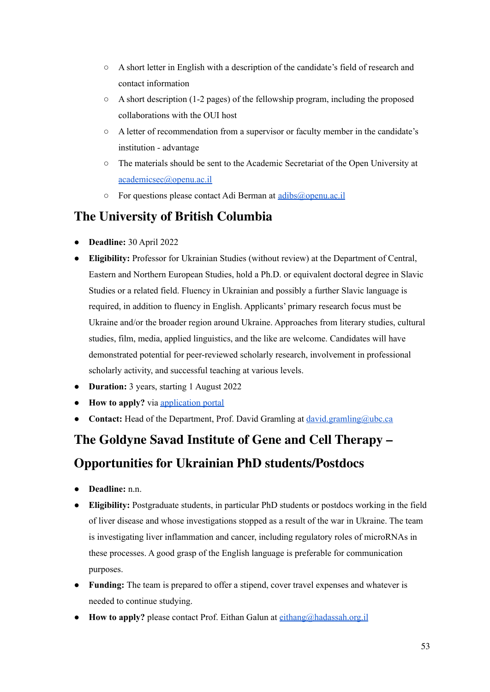- A short letter in English with a description of the candidate's field of research and contact information
- A short description (1-2 pages) of the fellowship program, including the proposed collaborations with the OUI host
- A letter of recommendation from a supervisor or faculty member in the candidate's institution - advantage
- The materials should be sent to the Academic Secretariat of the Open University at [academicsec@openu.ac.il](mailto:academicsec@openu.ac.il)
- For questions please contact Adi Berman at [adibs@openu.ac.il](mailto:adibs@openu.ac.il)

# **The [University](https://cenes.ubc.ca/about/job-opportunities/?fbclid=IwAR2Dw3Kuu4fr9Mbqg_ZW4qc05DRVd1wULMHiv4jyk-KkZdHqjbbTDu3WvEA) of British Columbia**

- **Deadline:** 30 April 2022
- **Eligibility:** Professor for Ukrainian Studies (without review) at the Department of Central, Eastern and Northern European Studies, hold a Ph.D. or equivalent doctoral degree in Slavic Studies or a related field. Fluency in Ukrainian and possibly a further Slavic language is required, in addition to fluency in English. Applicants' primary research focus must be Ukraine and/or the broader region around Ukraine. Approaches from literary studies, cultural studies, film, media, applied linguistics, and the like are welcome. Candidates will have demonstrated potential for peer-reviewed scholarly research, involvement in professional scholarly activity, and successful teaching at various levels.
- **● Duration:** 3 years, starting 1 August 2022
- **● How to apply?** via [application](https://cenes.ubc.ca/wp-content/uploads/sites/25/2022/03/Ukrainian-Studies-3-yr-APWR-Job-Ad.pdf) portal
- **Contact:** Head of the Department, Prof. David Gramling at [david.gramling@ubc.ca](mailto:david.gramling@ubc.ca)

# **The Goldyne Savad Institute of Gene and Cell Therapy – Opportunities for Ukrainian PhD students/Postdocs**

- **Deadline:** n.n.
- **Eligibility:** Postgraduate students, in particular PhD students or postdocs working in the field of liver disease and whose investigations stopped as a result of the war in Ukraine. The team is investigating liver inflammation and cancer, including regulatory roles of microRNAs in these processes. A good grasp of the English language is preferable for communication purposes.
- **Funding:** The team is prepared to offer a stipend, cover travel expenses and whatever is needed to continue studying.
- **How to apply?** please contact Prof. Eithan Galun at [eithang@hadassah.org.il](mailto:eithang@hadassah.org.il)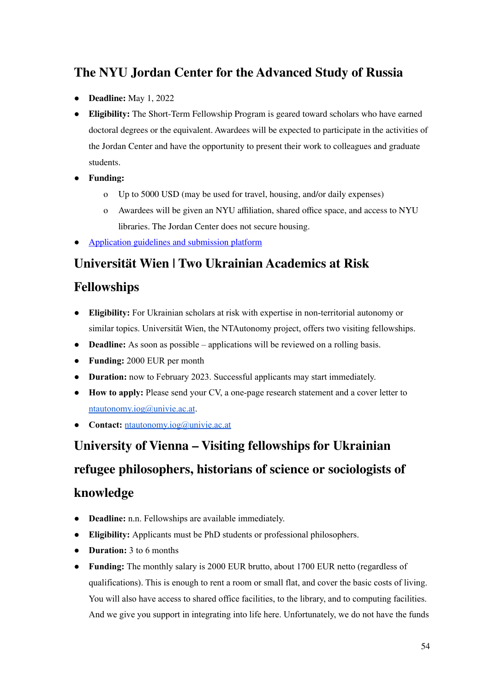## **The NYU Jordan Center for the [Advanced](https://jordanrussiacenter.org/short-term-fellowship-program/) Study of Russia**

- **Deadline:** May 1, 2022
- **Eligibility:** The Short-Term Fellowship Program is geared toward scholars who have earned doctoral degrees or the equivalent. Awardees will be expected to participate in the activities of the Jordan Center and have the opportunity to present their work to colleagues and graduate students.
- **Funding:**
	- o Up to 5000 USD (may be used for travel, housing, and/or daily expenses)
	- o Awardees will be given an NYU affiliation, shared office space, and access to NYU libraries. The Jordan Center does not secure housing.
- [Application](https://jordanrussiacenter.org/short-term-fellowship-program/) guidelines and submission platform

#### **[Universität](https://ntautonomy.univie.ac.at/en/activities/activities/news/news/ukrainian-academics-at-risk-fellowshipsstipendiji-dlja-ukrajinskikh-naukovciv-shcho-znakhodjatsja-u-zoni-r/?tx_news_pi1%5Bcontroller%5D=News&tx_news_pi1%5Baction%5D=detail&cHash=b6c13d17a65880186a509784fc662ed6) Wien | Two Ukrainian Academics at Risk**

#### **[Fellowships](https://ntautonomy.univie.ac.at/en/activities/activities/news/news/ukrainian-academics-at-risk-fellowshipsstipendiji-dlja-ukrajinskikh-naukovciv-shcho-znakhodjatsja-u-zoni-r/?tx_news_pi1%5Bcontroller%5D=News&tx_news_pi1%5Baction%5D=detail&cHash=b6c13d17a65880186a509784fc662ed6)**

- **Eligibility:** For Ukrainian scholars at risk with expertise in non-territorial autonomy or similar topics. Universität Wien, the NTAutonomy project, offers two visiting fellowships.
- **Deadline:** As soon as possible applications will be reviewed on a rolling basis.
- **Funding:** 2000 EUR per month
- **Duration:** now to February 2023. Successful applicants may start immediately.
- **How to apply:** Please send your CV, a one-page research statement and a cover letter to [ntautonomy.iog@univie.ac.at](mailto:ntautonomy.iog@univie.ac.at).
- **Contact:** [ntautonomy.iog@univie.ac.at](mailto:ntautonomy.iog@univie.ac.at)

# **University of Vienna – Visiting fellowships for Ukrainian refugee philosophers, historians of science or sociologists of knowledge**

- **Deadline:** n.n. Fellowships are available immediately.
- **Eligibility:** Applicants must be PhD students or professional philosophers.
- **Duration:** 3 to 6 months
- **Funding:** The monthly salary is 2000 EUR brutto, about 1700 EUR netto (regardless of qualifications). This is enough to rent a room or small flat, and cover the basic costs of living. You will also have access to shared office facilities, to the library, and to computing facilities. And we give you support in integrating into life here. Unfortunately, we do not have the funds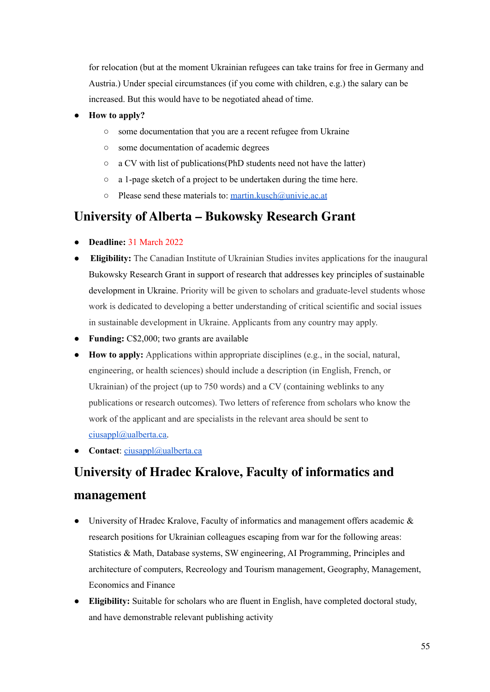for relocation (but at the moment Ukrainian refugees can take trains for free in Germany and Austria.) Under special circumstances (if you come with children, e.g.) the salary can be increased. But this would have to be negotiated ahead of time.

- **How to apply?**
	- some documentation that you are a recent refugee from Ukraine
	- some documentation of academic degrees
	- a CV with list of publications(PhD students need not have the latter)
	- a 1-page sketch of a project to be undertaken during the time here.
	- $\circ$  Please send these materials to: [martin.kusch@univie.ac.at](mailto:martin.kusch@univie.ac.at)

#### **[University](https://www.ualberta.ca/canadian-institute-of-ukrainian-studies/news-and-events/news-at-the-cius/2022/february/bukowsky-research-grant-for-the-study-of-sustainable-development.html?fbclid=IwAR0GZzm-Twh112KmDM6RAE9qvCkA7mtQa3hOuLTmKEic3QLneyL8stkGluU) of Alberta – Bukowsky Research Grant**

- **Deadline:** 31 March 2022
- **Eligibility:** The Canadian Institute of Ukrainian Studies invites applications for the inaugural Bukowsky Research Grant in support of research that addresses key principles of sustainable development in Ukraine. Priority will be given to scholars and graduate-level students whose work is dedicated to developing a better understanding of critical scientific and social issues in sustainable development in Ukraine. Applicants from any country may apply.
- **Funding:** C\$2,000; two grants are available
- **How to apply:** Applications within appropriate disciplines (e.g., in the social, natural, engineering, or health sciences) should include a description (in English, French, or Ukrainian) of the project (up to 750 words) and a CV (containing weblinks to any publications or research outcomes). Two letters of reference from scholars who know the work of the applicant and are specialists in the relevant area should be sent to [ciusappl@ualberta.ca.](mailto:ciusappl@ualberta.ca)
- **Contact**: [ciusappl@ualberta.ca](mailto:ciusappl@ualberta.ca)

# **University of Hradec Kralove, Faculty of [informatics](https://www.researchjobs.cz/job/academic-and-research-positions-for-ukrainian-colleagues-statistic-and-math-database-systems-sw-engineering-ai-programming-principles-and-architecture-of-computers-recreology-and-touris/) and [management](https://www.researchjobs.cz/job/academic-and-research-positions-for-ukrainian-colleagues-statistic-and-math-database-systems-sw-engineering-ai-programming-principles-and-architecture-of-computers-recreology-and-touris/)**

- University of Hradec Kralove, Faculty of informatics and management offers academic  $\&$ research positions for Ukrainian colleagues escaping from war for the following areas: Statistics & Math, Database systems, SW engineering, AI Programming, Principles and architecture of computers, Recreology and Tourism management, Geography, Management, Economics and Finance
- **Eligibility:** Suitable for scholars who are fluent in English, have completed doctoral study, and have demonstrable relevant publishing activity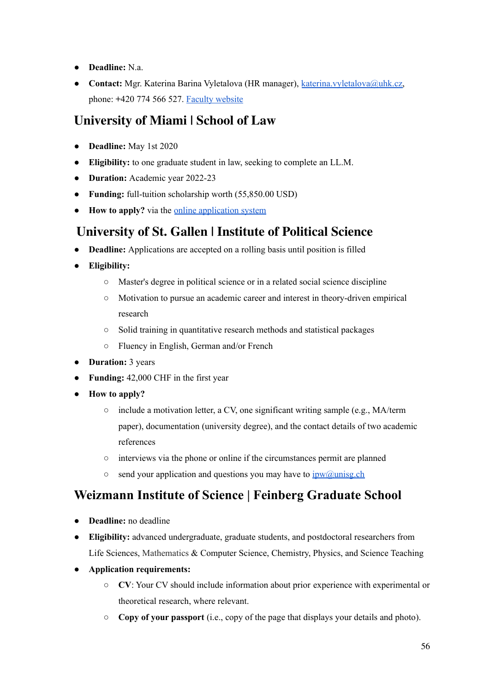- **Deadline:** N.a.
- **Contact:** Mgr. Katerina Barina Vyletalova (HR manager), [katerina.vyletalova@uhk.cz,](mailto:katerina.vyletalova@uhk.cz) phone: **+**420 774 566 527. Faculty [website](https://www.uhk.cz/en/faculty-of-informatics-and-management/about-faculty)

## **[University](https://www.law.miami.edu/news/2022/march/university-miami-school-law-announces-full-scholarship-graduates-ukrainian-law?fbclid=IwAR0rQxIhcyGjG-7h_sM9-s0v7Zv4DhngpnrzOagLyyo7WuABknRS8e4ETFQ) of Miami | School of Law**

- **Deadline:** May 1st 2020
- **Eligibility:** to one graduate student in law, seeking to complete an LL.M.
- **Duration:** Academic year 2022-23
- **Funding:** full-tuition scholarship worth (55,850.00 USD)
- **How to apply?** via the online [application](https://lawapps.law.miami.edu/ellm/login.aspx) system

#### **[University](https://ipw.unisg.ch/en/comparative-politics/open-positions) of St. Gallen | Institute of Political Science**

- **Deadline:** Applications are accepted on a rolling basis until position is filled
- **Eligibility:**
	- Master's degree in political science or in a related social science discipline
	- Motivation to pursue an academic career and interest in theory-driven empirical research
	- Solid training in quantitative research methods and statistical packages
	- Fluency in English, German and/or French
- **Duration:** 3 years
- **Funding:** 42,000 CHF in the first year
- **How to apply?**
	- include a motivation letter, a CV, one significant writing sample (e.g., MA/term paper), documentation (university degree), and the contact details of two academic references
	- interviews via the phone or online if the circumstances permit are planned
	- $\circ$  send your application and questions you may have to  $\frac{1}{\text{pw}(a)}$  unisg.ch

## **[Weizmann](https://www.weizmann.ac.il/feinberg/supported-visiting-students-and-postdocs-program-ukrainians?fbclid=IwAR008_F6HUBUoDiOcBjMxi-nldJBcmJCHK9-9kkQjXSbEbG_CSDUCtjfH0Y) Institute of Science | Feinberg Graduate School**

- **Deadline:** no deadline
- **Eligibility:** advanced undergraduate, graduate students, and postdoctoral researchers from Life Sciences, Mathematics & Computer Science, Chemistry, Physics, and Science Teaching
- **Application requirements:**
	- **CV**: Your CV should include information about prior experience with experimental or theoretical research, where relevant.
	- **Copy of your passport** (i.e., copy of the page that displays your details and photo).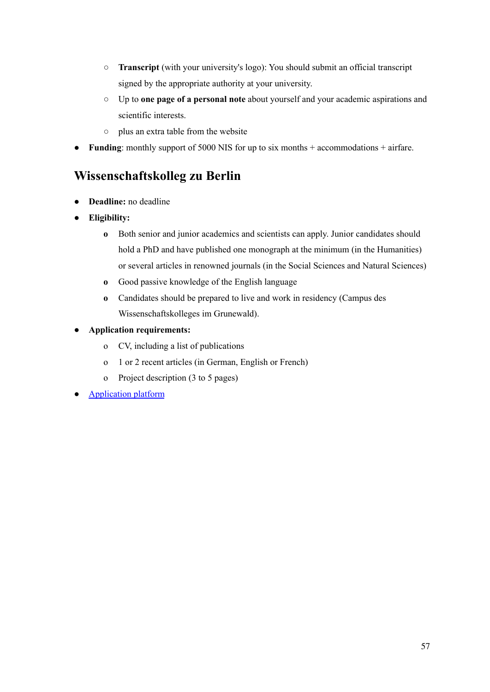- **Transcript** (with your university's logo): You should submit an official transcript signed by the appropriate authority at your university.
- Up to **one page of a personal note** about yourself and your academic aspirations and scientific interests.
- plus an extra table from the website
- **Funding**: monthly support of 5000 NIS for up to six months + accommodations + airfare.

#### **[Wissenschaftskolleg](https://www.wiko-berlin.de/fellow-werden/fellowships/individuelle-fellowships) zu Berlin**

- **● Deadline:** no deadline
- **● Eligibility:**
	- **o** Both senior and junior academics and scientists can apply. Junior candidates should hold a PhD and have published one monograph at the minimum (in the Humanities) or several articles in renowned journals (in the Social Sciences and Natural Sciences)
	- **o** Good passive knowledge of the English language
	- **o** Candidates should be prepared to live and work in residency (Campus des Wissenschaftskolleges im Grunewald).
- **● Application requirements:**
	- o CV, including a list of publications
	- o 1 or 2 recent articles (in German, English or French)
	- o Project description (3 to 5 pages)
- [Application](https://application.wiko-berlin.de/) platform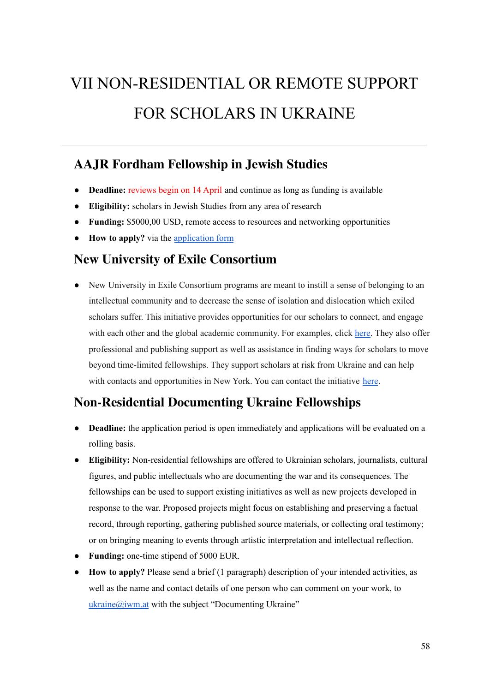# VII NON-RESIDENTIAL OR REMOTE SUPPORT FOR SCHOLARS IN UKRAINE

#### **AAJR Fordham [Fellowship](https://apply.interfolio.com/104252) in Jewish Studies**

- **Deadline:** reviews begin on 14 April and continue as long as funding is available
- **Eligibility:** scholars in Jewish Studies from any area of research
- **Funding:** \$5000,00 USD, remote access to resources and networking opportunities
- **How to apply?** via the [application](https://account.interfolio.com/login?apply=104252) form

#### **New University of Exile [Consortium](https://newuniversityinexileconsortium.org/programs/programs/)**

● New University in Exile Consortium programs are meant to instill a sense of belonging to an intellectual community and to decrease the sense of isolation and dislocation which exiled scholars suffer. This initiative provides opportunities for our scholars to connect, and engage with each other and the global academic community. For examples, click [here.](https://newuniversityinexileconsortium.org/programs/programs/) They also offer professional and publishing support as well as assistance in finding ways for scholars to move beyond time-limited fellowships. They support scholars at risk from Ukraine and can help with contacts and opportunities in New York. You can contact the initiative [here](https://newuniversityinexileconsortium.org/contact/).

#### **[Non-Residential](https://www.iwm.at/news/new-non-residential-fellowships-to-support-ukrainian-scholars?fbclid=IwAR2kvSk1VeR8Cu92Cfd2sEszC7z4TOS-wnw2wX93_9euB0lqW7d3BJaH85s) Documenting Ukraine Fellowships**

- **Deadline:** the application period is open immediately and applications will be evaluated on a rolling basis.
- **Eligibility:** Non-residential fellowships are offered to Ukrainian scholars, journalists, cultural figures, and public intellectuals who are documenting the war and its consequences. The fellowships can be used to support existing initiatives as well as new projects developed in response to the war. Proposed projects might focus on establishing and preserving a factual record, through reporting, gathering published source materials, or collecting oral testimony; or on bringing meaning to events through artistic interpretation and intellectual reflection.
- **Funding:** one-time stipend of 5000 EUR.
- **How to apply?** Please send a brief (1 paragraph) description of your intended activities, as well as the name and contact details of one person who can comment on your work, to  $ukraine@ium.at$  with the subject "Documenting Ukraine"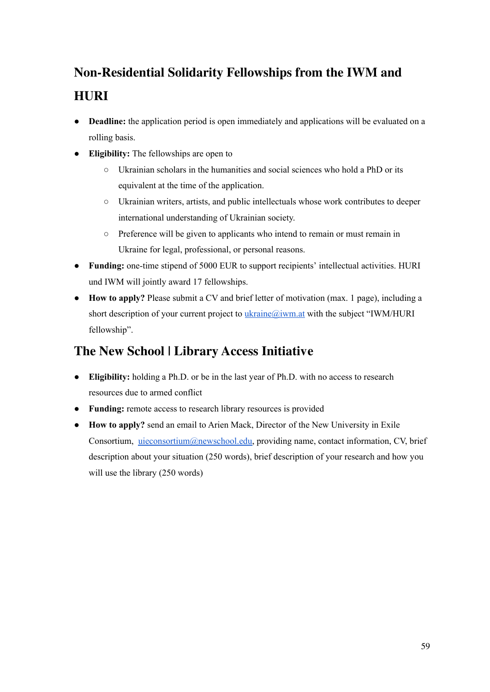# **[Non-Residential](https://www.iwm.at/news/new-non-residential-fellowships-to-support-ukrainian-scholars?fbclid=IwAR2kvSk1VeR8Cu92Cfd2sEszC7z4TOS-wnw2wX93_9euB0lqW7d3BJaH85s) Solidarity Fellowships from the IWM and [HURI](https://www.iwm.at/news/new-non-residential-fellowships-to-support-ukrainian-scholars?fbclid=IwAR2kvSk1VeR8Cu92Cfd2sEszC7z4TOS-wnw2wX93_9euB0lqW7d3BJaH85s)**

- **Deadline:** the application period is open immediately and applications will be evaluated on a rolling basis.
- **Eligibility:** The fellowships are open to
	- $\circ$  Ukrainian scholars in the humanities and social sciences who hold a PhD or its equivalent at the time of the application.
	- Ukrainian writers, artists, and public intellectuals whose work contributes to deeper international understanding of Ukrainian society.
	- Preference will be given to applicants who intend to remain or must remain in Ukraine for legal, professional, or personal reasons.
- **Funding:** one-time stipend of 5000 EUR to support recipients' intellectual activities. HURI und IWM will jointly award 17 fellowships.
- **How to apply?** Please submit a CV and brief letter of motivation (max. 1 page), including a short description of your current project to *[ukraine@iwm.at](mailto:ukraine@iwm.at)* with the subject "IWM/HURI fellowship".

## **The New School | Library Access [Initiativ](https://www.facebook.com/photo/?fbid=3352990981604638&set=a.1522281464675608)e**

- **Eligibility:** holding a Ph.D. or be in the last year of Ph.D. with no access to research resources due to armed conflict
- **Funding:** remote access to research library resources is provided
- **How to apply?** send an email to Arien Mack, Director of the New University in Exile Consortium, [uieconsortium@newschool.edu,](mailto:uieconsortium@newschool.edu) providing name, contact information, CV, brief description about your situation (250 words), brief description of your research and how you will use the library (250 words)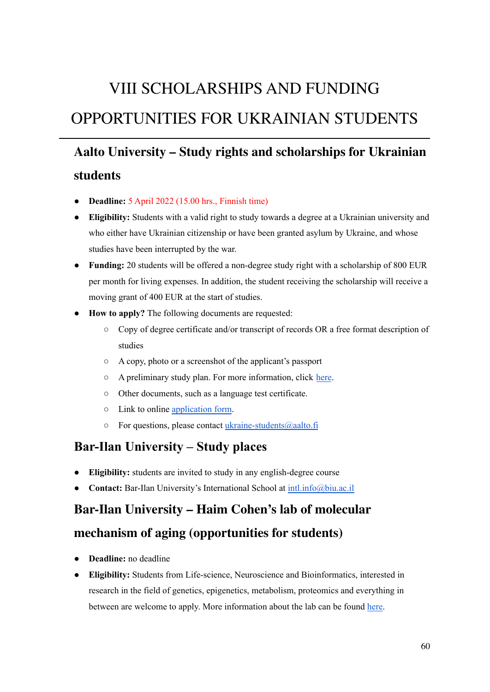# VIII SCHOLARSHIPS AND FUNDING OPPORTUNITIES FOR UKRAINIAN STUDENTS

# **Aalto University – Study rights and [scholarships](https://www.aalto.fi/en/news-and-events/aalto-university-offers-study-rights-without-fees-and-with-scholarships-to-ukraines) for Ukrainian [students](https://www.aalto.fi/en/news-and-events/aalto-university-offers-study-rights-without-fees-and-with-scholarships-to-ukraines)**

- **Deadline:** 5 April 2022 (15.00 hrs., Finnish time)
- **Eligibility:** Students with a valid right to study towards a degree at a Ukrainian university and who either have Ukrainian citizenship or have been granted asylum by Ukraine, and whose studies have been interrupted by the war.
- **Funding:** 20 students will be offered a non-degree study right with a scholarship of 800 EUR per month for living expenses. In addition, the student receiving the scholarship will receive a moving grant of 400 EUR at the start of studies.
- **How to apply?** The following documents are requested:
	- Copy of degree certificate and/or transcript of records OR a free format description of studies
	- A copy, photo or a screenshot of the applicant's passport
	- A preliminary study plan. For more information, click [here](https://courses.aalto.fi/s/?language=en_US).
	- Other documents, such as a language test certificate.
	- Link to online [application](https://link.webropolsurveys.com/Participation/Public/2621c6b8-416f-463b-bb2f-7c84733a09f1?displayId=Fin2506514) form.
	- For questions, please contact [ukraine-students@aalto.fi](mailto:ukraine-students@aalto.fi)

#### **Bar-Ilan [University](https://www.biu.ac.il/en/article/10922) – Study places**

- **Eligibility:** students are invited to study in any english-degree course
- **Contact:** Bar-Ilan University's International School at [intl.info@biu.ac.il](mailto:intl.info@biu.ac.il)

# **Bar-Ilan [University](https://www.haimcohenlab.com/) – Haim Cohen's lab of molecular**

#### **mechanism of aging [\(opportunities](https://www.haimcohenlab.com/) for students)**

- **Deadline:** no deadline
- **Eligibility:** Students from Life-science, Neuroscience and Bioinformatics, interested in research in the field of genetics, epigenetics, metabolism, proteomics and everything in between are welcome to apply. More information about the lab can be found [here.](https://www.haimcohenlab.com/)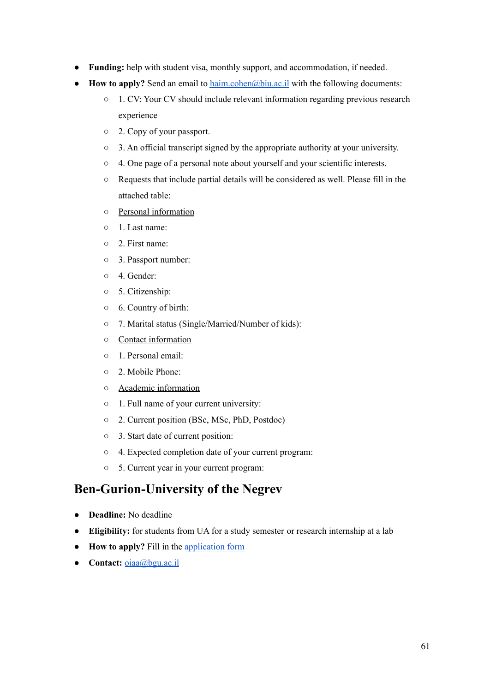- **Funding:** help with student visa, monthly support, and accommodation, if needed.
- **How to apply?** Send an email to [haim.cohen@biu.ac.il](mailto:haim.cohen@biu.ac.il) with the following documents:
	- 1. CV: Your CV should include relevant information regarding previous research experience
	- 2. Copy of your passport.
	- 3. An official transcript signed by the appropriate authority at your university.
	- 4. One page of a personal note about yourself and your scientific interests.
	- Requests that include partial details will be considered as well. Please fill in the attached table:
	- Personal information
	- 1. Last name:
	- 2. First name:
	- 3. Passport number:
	- 4. Gender:
	- 5. Citizenship:
	- 6. Country of birth:
	- 7. Marital status (Single/Married/Number of kids):
	- Contact information
	- 1. Personal email:
	- 2. Mobile Phone:
	- Academic information
	- 1. Full name of your current university:
	- 2. Current position (BSc, MSc, PhD, Postdoc)
	- 3. Start date of current position:
	- 4. Expected completion date of your current program:
	- 5. Current year in your current program:

#### **[Ben-Gurion-University](https://in.bgu.ac.il/en/pages/default.aspx) of the Negrev**

- **Deadline:** No deadline
- **Eligibility:** for students from UA for a study semester or research internship at a lab
- **How to apply?** Fill in the [application](https://www.tfaforms.com/399172) form
- **● Contact:** [oiaa@bgu.ac.il](mailto:oiaa@bgu.ac.il)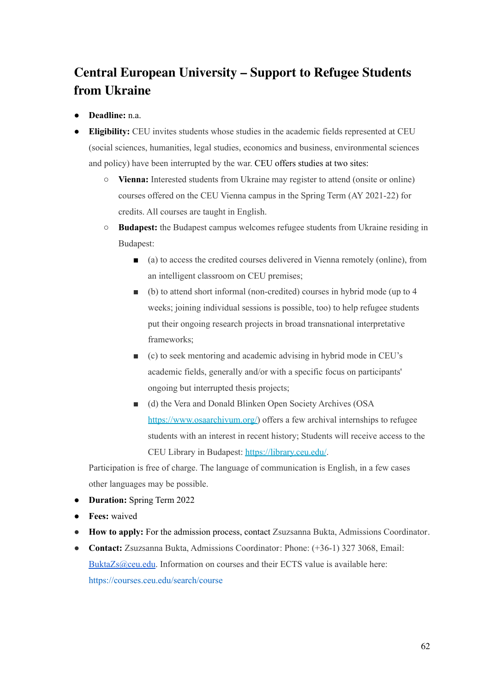# **Central European [University](https://www.ceu.edu/non-degree/Ukrainian-students) – Support to Refugee Students from [Ukraine](https://www.ceu.edu/non-degree/Ukrainian-students)**

- **Deadline:** n.a.
- **Eligibility:** CEU invites students whose studies in the academic fields represented at CEU (social sciences, humanities, legal studies, economics and business, environmental sciences and policy) have been interrupted by the war. CEU offers studies at two sites:
	- **Vienna:** Interested students from Ukraine may register to attend (onsite or online) courses offered on the CEU Vienna campus in the Spring Term (AY 2021-22) for credits. All courses are taught in English.
	- **Budapest:** the Budapest campus welcomes refugee students from Ukraine residing in Budapest:
		- (a) to access the credited courses delivered in Vienna remotely (online), from an intelligent classroom on CEU premises;
		- (b) to attend short informal (non-credited) courses in hybrid mode (up to 4 weeks; joining individual sessions is possible, too) to help refugee students put their ongoing research projects in broad transnational interpretative frameworks;
		- (c) to seek mentoring and academic advising in hybrid mode in CEU's academic fields, generally and/or with a specific focus on participants' ongoing but interrupted thesis projects;
		- (d) the Vera and Donald Blinken Open Society Archives (OSA [https://www.osaarchivum.org/\)](https://www.osaarchivum.org/) offers a few archival internships to refugee students with an interest in recent history; Students will receive access to the CEU Library in Budapest: <https://library.ceu.edu/>.

Participation is free of charge. The language of communication is English, in a few cases other languages may be possible.

- **Duration:** Spring Term 2022
- **Fees:** waived
- **How to apply:** For the admission process, contact Zsuzsanna Bukta, Admissions Coordinator.
- **Contact:** Zsuzsanna Bukta, Admissions Coordinator: Phone: (+36-1) 327 3068, Email: [BuktaZs@ceu.edu](mailto:BuktaZs@ceu.edu). Information on courses and their ECTS value is available here: <https://courses.ceu.edu/search/course>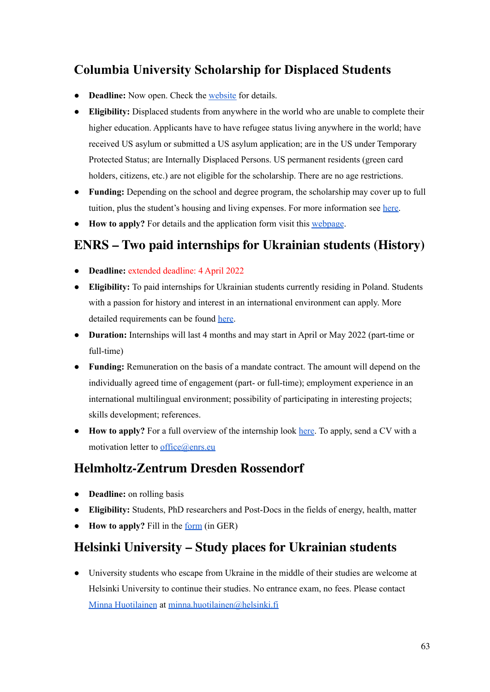## **Columbia University [Scholarship](https://globalcenters.columbia.edu/CUSDS) for Displaced Students**

- **Deadline:** Now open. Check the [website](https://cusds.globalcenters.columbia.edu) for details.
- **Eligibility:** Displaced students from anywhere in the world who are unable to complete their higher education. Applicants have to have refugee status living anywhere in the world; have received US asylum or submitted a US asylum application; are in the US under Temporary Protected Status; are Internally Displaced Persons. US permanent residents (green card holders, citizens, etc.) are not eligible for the scholarship. There are no age restrictions.
- **Funding:** Depending on the school and degree program, the scholarship may cover up to full tuition, plus the student's housing and living expenses. For more information see [here.](https://globalcenters.columbia.edu/CUSDS)
- **How to apply?** For details and the application form visit this [webpage](https://cusds.globalcenters.columbia.edu).

#### **ENRS – Two paid [internships](https://enrs.eu/news/two-paid-internships-for-ukrainian-students) for Ukrainian students (History)**

- **Deadline:** extended deadline: 4 April 2022
- **Eligibility:** To paid internships for Ukrainian students currently residing in Poland. Students with a passion for history and interest in an international environment can apply. More detailed requirements can be found [here](https://enrs.eu/news/two-paid-internships-for-ukrainian-students).
- **Duration:** Internships will last 4 months and may start in April or May 2022 (part-time or full-time)
- **Funding:** Remuneration on the basis of a mandate contract. The amount will depend on the individually agreed time of engagement (part- or full-time); employment experience in an international multilingual environment; possibility of participating in interesting projects; skills development; references.
- **How to apply?** For a full overview of the internship look [here](https://enrs.eu/uploads/media/6220a6545c0e5-2022-enrs-internship-offer-2.pdf). To apply, send a CV with a motivation letter to [office@enrs.eu](mailto:office@enrs.eu)

#### **[Helmholtz-Zentrum](https://www.hzdr.de/db/!BewUkraine?fbclid=IwAR1UfNnJgx2KGivud00P_UjR96fKCGfkuXjMYpmXD-dauZH-2LYnQA1X-j4) Dresden Rossendorf**

- **Deadline:** on rolling basis
- **Eligibility:** Students, PhD researchers and Post-Docs in the fields of energy, health, matter
- **How to apply?** Fill in the [form](https://www.hzdr.de/db/!BewUkraine?fbclid=IwAR1UfNnJgx2KGivud00P_UjR96fKCGfkuXjMYpmXD-dauZH-2LYnQA1X-j4) (in GER)

#### **Helsinki University – Study places for Ukrainian students**

● University students who escape from Ukraine in the middle of their studies are welcome at Helsinki University to continue their studies. No entrance exam, no fees. Please contact Minna [Huotilainen](https://researchportal.helsinki.fi/en/persons/minna-huotilainen) at [minna.huotilainen@helsinki.fi](mailto:minna.huotilainen@helsinki.fi)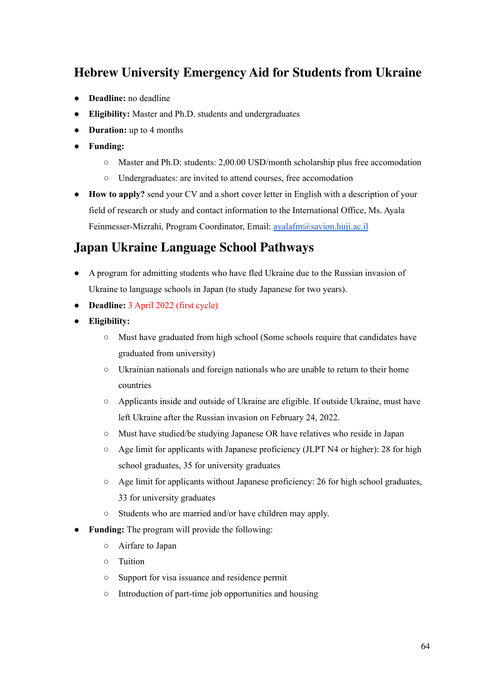## **Hebrew University [Emergency](https://international.huji.ac.il/news/hebrew-university-emergency-aid-researchers-and-students-ukraine) Aid for Students from Ukraine**

- **Deadline:** no deadline
- **Eligibility:** Master and Ph.D. students and undergraduates
- **Duration:** up to 4 months
- **Funding:**
	- Master and Ph.D: students: 2,00.00 USD/month scholarship plus free accomodation
	- Undergraduates: are invited to attend courses, free accomodation
- **How to apply?** send your CV and a short cover letter in English with a description of your field of research or study and contact information to the International Office, Ms. Ayala Feinmesser-Mizrahi, Program Coordinator, Email: [ayalafm@savion.huji.ac.il](mailto:ayalafm@savion.huji.ac.il)

#### **Japan Ukraine [Language](http://pathways-j.org/ukraine-lang?fbclid=IwAR1MDzuZssbJui3se2wr-aitECQn6nModLlz8BKFoXqS9U7lWeutuxHzOyM) School Pathways**

- A program for admitting students who have fled Ukraine due to the Russian invasion of Ukraine to language schools in Japan (to study Japanese for two years).
- **Deadline:** 3 April 2022 (first cycle)
- **● Eligibility:**
	- Must have graduated from high school (Some schools require that candidates have graduated from university)
	- Ukrainian nationals and foreign nationals who are unable to return to their home countries
	- Applicants inside and outside of Ukraine are eligible. If outside Ukraine, must have left Ukraine after the Russian invasion on February 24, 2022.
	- Must have studied/be studying Japanese OR have relatives who reside in Japan
	- Age limit for applicants with Japanese proficiency (JLPT N4 or higher): 28 for high school graduates, 35 for university graduates
	- $\circ$  Age limit for applicants without Japanese proficiency: 26 for high school graduates, 33 for university graduates
	- Students who are married and/or have children may apply.
- **Funding:** The program will provide the following:
	- Airfare to Japan
	- Tuition
	- Support for visa issuance and residence permit
	- Introduction of part-time job opportunities and housing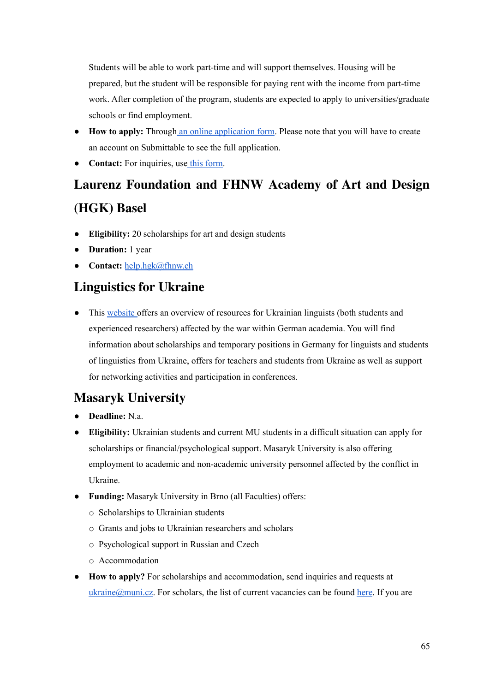Students will be able to work part-time and will support themselves. Housing will be prepared, but the student will be responsible for paying rent with the income from part-time work. After completion of the program, students are expected to apply to universities/graduate schools or find employment.

- **How to apply:** Through an online [application](https://docs.google.com/forms/d/e/1FAIpQLSfRIuTu2ZgE5lzQY2gCbgZ8kZMmlDTRtUdmvWZU9wbgXf6GPQ/viewform) form. Please note that you will have to create an account on Submittable to see the full application.
- **Contact:** For inquiries, use this [form](https://pathways-j.org/contact-en#wpcf7-f1076-p1071-o2).

# **Laurenz [Foundation](https://www.fhnw.ch/de/die-fhnw/hochschulen/hgk/aktuelles/stipendien_ukraine?fbclid=IwAR0xLI84INRmh7Bljhc39bW5x9YMH9CzwP-VCTypKaQaUkozvOWpgsvYxok) and FHNW Academy of Art and Design [\(HGK\)](https://www.fhnw.ch/de/die-fhnw/hochschulen/hgk/aktuelles/stipendien_ukraine?fbclid=IwAR0xLI84INRmh7Bljhc39bW5x9YMH9CzwP-VCTypKaQaUkozvOWpgsvYxok) Basel**

- **Eligibility:** 20 scholarships for art and design students
- **Duration:** 1 year
- **Contact:** [help.hgk@fhnw.ch](mailto:help.hgk@fhnw.ch)

#### **[Linguistics](https://www.linguistics-for-ukraine.de/?fbclid=IwAR3xqKipt8mbKWxuHqqeev3vj-w5_L4O4Hmqq7J0IEQV-UKv1tPlKzXLM5A) for Ukraine**

• This [website](https://www.linguistics-for-ukraine.de/?fbclid=IwAR3xqKipt8mbKWxuHqqeev3vj-w5_L4O4Hmqq7J0IEQV-UKv1tPlKzXLM5A) offers an overview of resources for Ukrainian linguists (both students and experienced researchers) affected by the war within German academia. You will find information about scholarships and temporary positions in Germany for linguists and students of linguistics from Ukraine, offers for teachers and students from Ukraine as well as support for networking activities and participation in conferences.

# **Masaryk [University](https://www.muni.cz/uk/universytet-imeni-masaryka-dopomahaye-ukrayini)**

- **Deadline:** N.a.
- **Eligibility:** Ukrainian students and current MU students in a difficult situation can apply for scholarships or financial/psychological support. Masaryk University is also offering employment to academic and non-academic university personnel affected by the conflict in Ukraine.
- **Funding:** Masaryk University in Brno (all Faculties) offers:
	- o Scholarships to Ukrainian students
	- o Grants and jobs to Ukrainian researchers and scholars
	- o Psychological support in Russian and Czech
	- o Accommodation
- **How to apply?** For scholarships and accommodation, send inquiries and requests at [ukraine@muni.cz](mailto:ukraine@muni.cz). For scholars, the list of current vacancies can be found [here](https://www.muni.cz/en/about-us/careers/vacancies). If you are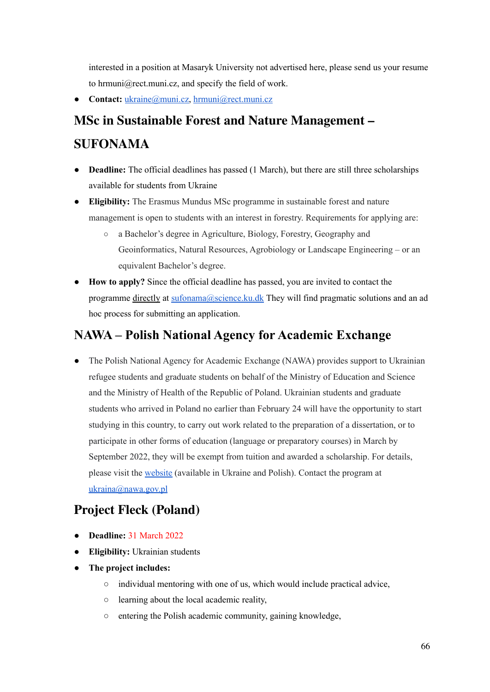interested in a position at Masaryk University not advertised here, please send us your resume to hrmuni@rect.muni.cz, and specify the field of work.

• Contact: [ukraine@muni.cz,](mailto:ukraine@muni.cz) [hrmuni@rect.muni.cz](mailto:hrmuni@rect.muni.cz)

# **MSc in Sustainable Forest and Nature [Management](https://em-sufonama.eu/) – [SUFONAMA](https://em-sufonama.eu/)**

- **Deadline:** The official deadlines has passed (1 March), but there are still three scholarships available for students from Ukraine
- **Eligibility:** The Erasmus Mundus MSc programme in sustainable forest and nature management is open to students with an interest in forestry. Requirements for applying are:
	- a Bachelor's degree in Agriculture, Biology, Forestry, Geography and Geoinformatics, Natural Resources, Agrobiology or Landscape Engineering – or an equivalent Bachelor's degree.
- **How to apply?** Since the official deadline has passed, you are invited to contact the programme directly at [sufonama@science.ku.dk](mailto:sufonama@science.ku.dk) They will find pragmatic solutions and an ad hoc process for submitting an application.

## **NAWA – Polish National Agency for [Academic](https://nawa.gov.pl/en/solidarni-z-bialorusia/edycja-2021/informacje-dla-studentow) Exchange**

• The Polish National Agency for Academic Exchange (NAWA) provides support to Ukrainian refugee students and graduate students on behalf of the Ministry of Education and Science and the Ministry of Health of the Republic of Poland. Ukrainian students and graduate students who arrived in Poland no earlier than February 24 will have the opportunity to start studying in this country, to carry out work related to the preparation of a dissertation, or to participate in other forms of education (language or preparatory courses) in March by September 2022, they will be exempt from tuition and awarded a scholarship. For details, please visit the [website](https://monitorwolynski.com/uk/news/4279-solidarni-z-ukrayinoyu-programa-dlya-ukrayinskix-studentiv-ta-aspirantiv?fbclid=IwAR2oTfPfDL8MtJalyM46n8WhsKkQVRBI0S57KnHWO4WubawZzK5vmVx-pNM) (available in Ukraine and Polish). Contact the program at [ukraina@nawa.gov.pl](mailto:ukraina@nawa.gov.pl)

## **Project Fleck [\(Poland\)](https://www.ci.edu.pl/aktualnosci/project_fleck/)**

- **Deadline:** 31 March 2022
- **Eligibility:** Ukrainian students
- **● The project includes:**
	- individual mentoring with one of us, which would include practical advice,
	- learning about the local academic reality,
	- entering the Polish academic community, gaining knowledge,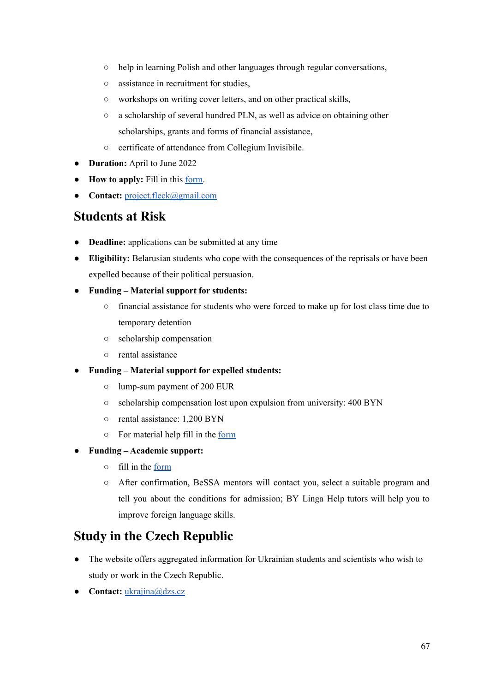- help in learning Polish and other languages through regular conversations,
- assistance in recruitment for studies,
- workshops on writing cover letters, and on other practical skills,
- a scholarship of several hundred PLN, as well as advice on obtaining other scholarships, grants and forms of financial assistance,
- certificate of attendance from Collegium Invisibile.
- **Duration:** April to June 2022
- **How to apply:** Fill in this [form.](https://docs.google.com/forms/d/e/1FAIpQLSchk_Krw8keKLKPMC1nsBGVmEm1NoFoFalRJMxMyT0uf1T4zQ/viewform)
- **Contact:** [project.fleck@gmail.com](mailto:project.fleck@gmail.com)

#### **[Students](https://www.scholarsatrisk.org/resources-for-at-risk-individuals-from-afghanistan/) at Risk**

- **Deadline:** applications can be submitted at any time
- **Eligibility:** Belarusian students who cope with the consequences of the reprisals or have been expelled because of their political persuasion.
- **● Funding – Material support for students:**
	- **○** financial assistance for students who were forced to make up for lost class time due to temporary detention
	- **○** scholarship compensation
	- **○** rental assistance
- **● Funding – Material support for expelled students:**
	- **○** lump-sum payment of 200 EUR
	- **○** scholarship compensation lost upon expulsion from university: 400 BYN
	- **○** rental assistance: 1,200 BYN
	- **○** For material help fill in the [form](https://airtable.com/shrELV8GEY0Fb0EdO)
- **● Funding – Academic support:**
	- **○** fill in the [form](https://airtable.com/shrELV8GEY0Fb0EdO)
	- **○** After confirmation, BeSSA mentors will contact you, select a suitable program and tell you about the conditions for admission; BY Linga Help tutors will help you to improve foreign language skills.

#### **Study in the Czech [Republic](https://www.studyin.cz/ukraine/)**

- The website offers aggregated information for Ukrainian students and scientists who wish to study or work in the Czech Republic.
- **Contact:** [ukrajina@dzs.cz](mailto:ukrajina@dzs.cz)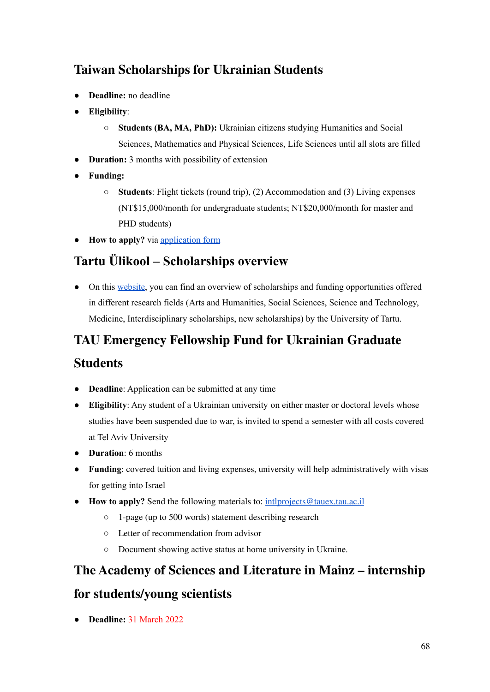# **Taiwan [Scholarships](https://tigp.sinica.edu.tw/posts/164422?fbclid=IwAR3jJaJ1rMZ8aHKelhVCLXUGDihxZEwUqjGGtNHu7PvJXeXSh_NG2F5Qg7Y) for Ukrainian Students**

- **Deadline:** no deadline
- **Eligibility**:
	- **Students (BA, MA, PhD):** Ukrainian citizens studying Humanities and Social Sciences, Mathematics and Physical Sciences, Life Sciences until all slots are filled
- **Duration:** 3 months with possibility of extension
- **Funding:**
	- **Students**: Flight tickets (round trip), (2) Accommodation and (3) Living expenses (NT\$15,000/month for undergraduate students; NT\$20,000/month for master and PHD students)
- **How to apply?** via [application](https://forms.office.com/Pages/ResponsePage.aspx?id=ExuewAGxzEydmwURinGFkTRfxEPzGHZFsZguxy9a6k9UNEI0WEpINFdLTU5OQlkyUFA0UjVKTkRaWC4u&wdLOR=cF9D0CA23-F57A-4113-9AB3-47C49AB272C0) form

# **Tartu Ülikool – [Scholarships](https://sihtasutus.ut.ee/support-the-university#) overview**

• On this [website](https://sihtasutus.ut.ee/support-the-university#), you can find an overview of scholarships and funding opportunities offered in different research fields (Arts and Humanities, Social Sciences, Science and Technology, Medicine, Interdisciplinary scholarships, new scholarships) by the University of Tartu.

## **TAU [Emergency](https://tautrust.org/tau-launches-emergency-fellowship-fund-for-ukrainian-graduate-students/?fbclid=IwAR2I1Ml_xLCqAdCvn0XDctdT4zOOF07cpfjoRVPaYNQJdBCT7yrmVND5txA) Fellowship Fund for Ukrainian Graduate**

#### **[Students](https://tautrust.org/tau-launches-emergency-fellowship-fund-for-ukrainian-graduate-students/?fbclid=IwAR2I1Ml_xLCqAdCvn0XDctdT4zOOF07cpfjoRVPaYNQJdBCT7yrmVND5txA)**

- **Deadline**: Application can be submitted at any time
- **Eligibility**: Any student of a Ukrainian university on either master or doctoral levels whose studies have been suspended due to war, is invited to spend a semester with all costs covered at Tel Aviv University
- **Duration**: 6 months
- **Funding**: covered tuition and living expenses, university will help administratively with visas for getting into Israel
- **How to apply?** Send the following materials to: [intlprojects@tauex.tau.ac.il](mailto:intlprojects@tauex.tau.ac.il)
	- 1-page (up to 500 words) statement describing research
	- Letter of recommendation from advisor
	- Document showing active status at home university in Ukraine.

#### **The Academy of Sciences and [Literature](https://www.adwmainz.de/ausschreibungen.html) in Mainz – internship**

#### **for [students/young](https://www.adwmainz.de/ausschreibungen.html) scientists**

● **Deadline:** 31 March 2022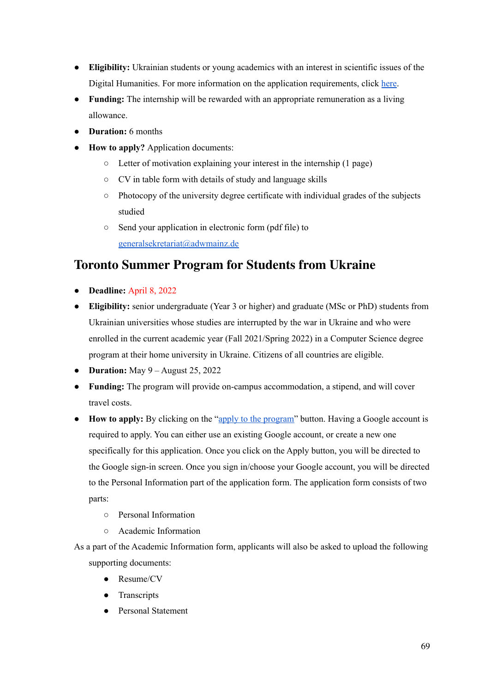- **Eligibility:** Ukrainian students or young academics with an interest in scientific issues of the Digital Humanities. For more information on the application requirements, click [here.](https://www.adwmainz.de/ausschreibungen.html)
- **Funding:** The internship will be rewarded with an appropriate remuneration as a living allowance.
- **Duration:** 6 months
- **How to apply?** Application documents:
	- Letter of motivation explaining your interest in the internship (1 page)
	- CV in table form with details of study and language skills
	- Photocopy of the university degree certificate with individual grades of the subjects studied
	- Send your application in electronic form (pdf file) to [generalsekretariat@adwmainz.de](mailto:generalsekretariat@adwmainz.de)

#### **Toronto Summer [Program](https://web.cs.toronto.edu/summer-program-for-students-from-ukraine?fbclid=IwAR0_7NKTQZBdUEOPuc2se2RKmTB9g3tbRMHPObRxc3Zh3KRBn8uNVEhoGH4) for Students from Ukraine**

- **Deadline:** April 8, 2022
- **Eligibility:** senior undergraduate (Year 3 or higher) and graduate (MSc or PhD) students from Ukrainian universities whose studies are interrupted by the war in Ukraine and who were enrolled in the current academic year (Fall 2021/Spring 2022) in a Computer Science degree program at their home university in Ukraine. Citizens of all countries are eligible.
- **Duration:** May 9 August 25, 2022
- **Funding:** The program will provide on-campus accommodation, a stipend, and will cover travel costs.
- **How to apply:** By clicking on the "apply to the [program"](https://web.cs.toronto.edu/summer-program-for-students-from-ukraine?fbclid=IwAR0_7NKTQZBdUEOPuc2se2RKmTB9g3tbRMHPObRxc3Zh3KRBn8uNVEhoGH4) button. Having a Google account is required to apply. You can either use an existing Google account, or create a new one specifically for this application. Once you click on the Apply button, you will be directed to the Google sign-in screen. Once you sign in/choose your Google account, you will be directed to the Personal Information part of the application form. The application form consists of two parts:
	- Personal Information
	- Academic Information
- As a part of the Academic Information form, applicants will also be asked to upload the following supporting documents:
	- Resume/CV
	- Transcripts
	- Personal Statement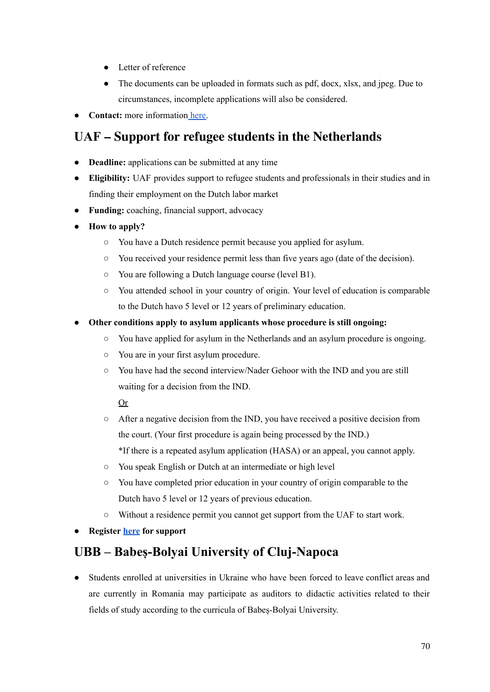- Letter of reference
- The documents can be uploaded in formats such as pdf, docx, xlsx, and jpeg. Due to circumstances, incomplete applications will also be considered.
- **Contact:** more information [here.](https://web.cs.toronto.edu/summer-program-for-students-from-ukraine?fbclid=IwAR0_7NKTQZBdUEOPuc2se2RKmTB9g3tbRMHPObRxc3Zh3KRBn8uNVEhoGH4)

#### **UAF – Support for refugee students in the [Netherlands](https://www.uaf.nl/en/about-us/)**

- **Deadline:** applications can be submitted at any time
- **Eligibility:** UAF provides support to refugee students and professionals in their studies and in finding their employment on the Dutch labor market
- **Funding:** coaching, financial support, advocacy
- **How to apply?**
	- You have a Dutch residence permit because you applied for asylum.
	- You received your residence permit less than five years ago (date of the decision).
	- You are following a Dutch language course (level B1).
	- You attended school in your country of origin. Your level of education is comparable to the Dutch havo 5 level or 12 years of preliminary education.
- **● Other conditions apply to asylum applicants whose procedure is still ongoing:**
	- **○** You have applied for asylum in the Netherlands and an asylum procedure is ongoing.
	- **○** You are in your first asylum procedure.
	- **○** You have had the second interview/Nader Gehoor with the IND and you are still waiting for a decision from the IND.

Or

- **○** After a negative decision from the IND, you have received a positive decision from the court. (Your first procedure is again being processed by the IND.) \*If there is a repeated asylum application (HASA) or an appeal, you cannot apply.
- **○** You speak English or Dutch at an intermediate or high level
- **○** You have completed prior education in your country of origin comparable to the Dutch havo 5 level or 12 years of previous education.
- Without a residence permit you cannot get support from the UAF to start work.
- **● Register [here](https://www.uaf.nl/en/contact-us/) for support**

#### **UBB – [Babeș-Bolyai](https://www.ubbcluj.ro/en/infoubb/ukraine/files/Procedure_regarding_the_mobility_of_students_enrolled_in_universities_in_Ukraine_ACR_2184_4.03.2022.pdf) University of Cluj-Napoca**

**●** Students enrolled at universities in Ukraine who have been forced to leave conflict areas and are currently in Romania may participate as auditors to didactic activities related to their fields of study according to the curricula of Babeș-Bolyai University.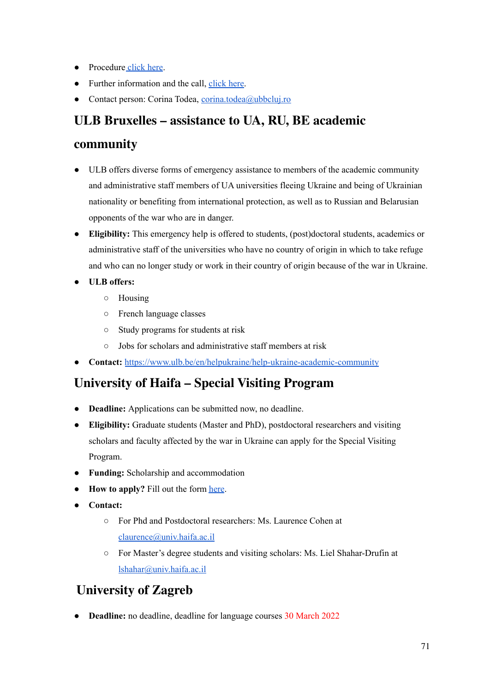- Procedure [click](https://www.ubbcluj.ro/en/infoubb/ukraine/files/Procedure_regarding_the_mobility_of_students_enrolled_in_universities_in_Ukraine_ACR_2184_4.03.2022.pdf) here.
- Further information and the call, [click](https://www.ubbcluj.ro/en/infoubb/ukraine/?fbclid=IwAR11NI1s5N3gIYBDqz9OPdr26FZ7ec5mVclXK2g-EAGxcz9qoQgIOOQksdU) here.
- Contact person: Corina Todea, [corina.todea@ubbcluj.ro](mailto:corina.todea@ubbcluj.ro)

#### **ULB Bruxelles – [assistance](https://www.ulb.be/en/helpukraine/help-ukraine-academic-community) to UA, RU, BE academic**

#### **[community](https://www.ulb.be/en/helpukraine/help-ukraine-academic-community)**

- ULB offers diverse forms of emergency assistance to members of the academic community and administrative staff members of UA universities fleeing Ukraine and being of Ukrainian nationality or benefiting from international protection, as well as to Russian and Belarusian opponents of the war who are in danger.
- **Eligibility:** This emergency help is offered to students, (post)doctoral students, academics or administrative staff of the universities who have no country of origin in which to take refuge and who can no longer study or work in their country of origin because of the war in Ukraine.
- **● ULB offers:**
	- Housing
	- French language classes
	- Study programs for students at risk
	- Jobs for scholars and administrative staff members at risk
- **Contact:** <https://www.ulb.be/en/helpukraine/help-ukraine-academic-community>

## **[University](https://docs.google.com/forms/d/e/1FAIpQLScJMbNvztZ6iqtOOK7UJAwOmDps95-Ftev5S2W9oT6Ze8vYmg/viewform?fbclid=IwAR19kOuQFYhbNVEUJngG-VhOdgz37jI14P21xbwILY_nXwV8qN8cS833cBQ) of Haifa – Special Visiting Program**

- **Deadline:** Applications can be submitted now, no deadline.
- **Eligibility:** Graduate students (Master and PhD), postdoctoral researchers and visiting scholars and faculty affected by the war in Ukraine can apply for the Special Visiting Program.
- **Funding:** Scholarship and accommodation
- **How to apply?** Fill out the form [here](https://docs.google.com/forms/d/e/1FAIpQLScJMbNvztZ6iqtOOK7UJAwOmDps95-Ftev5S2W9oT6Ze8vYmg/viewform?fbclid=IwAR19kOuQFYhbNVEUJngG-VhOdgz37jI14P21xbwILY_nXwV8qN8cS833cBQ).
- **Contact:**
	- For Phd and Postdoctoral researchers: Ms. Laurence Cohen at [claurence@univ.haifa.ac.il](mailto:claurence@univ.haifa.ac.il)
	- For Master's degree students and visiting scholars: Ms. Liel Shahar-Drufin at [lshahar@univ.haifa.ac.il](mailto:lshahar@univ.haifa.ac.il)

## **[University](http://www.unizg.hr/nc/homepage/news-content/article/university-of-zagreb-statement-in-support-of-ukraine/) of Zagreb**

**Deadline:** no deadline, deadline for language courses 30 March 2022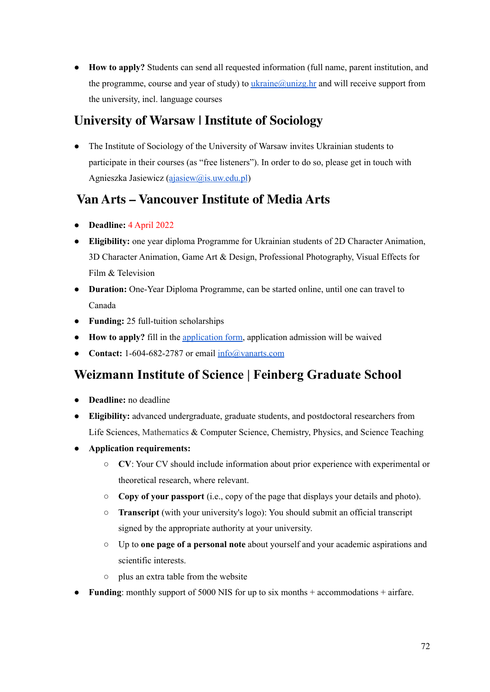● **How to apply?** Students can send all requested information (full name, parent institution, and the programme, course and year of study) to  $ukraine@unizg/hr$  and will receive support from the university, incl. language courses

### **[University](https://www.facebook.com/groups/928930501116018/permalink/941421349866933) of Warsaw | Institute of Sociology**

The Institute of Sociology of the University of Warsaw invites Ukrainian students to participate in their courses (as "free listeners"). In order to do so, please get in touch with Agnieszka Jasiewicz ([ajasiew@is.uw.edu.pl](mailto:ajasiew@is.uw.edu.pl))

#### **Van Arts – [Vancouver](https://www.vanarts.com/admissions/ukrainian-refugees/?fbclid=IwAR229h_AQeCRo2CCWpEjiGIRTXPq7iTE4Tkx2ckaz9B-kGHzR0lUWy_FZeA) Institute of Media Arts**

- **Deadline:** 4 April 2022
- **Eligibility:** one year diploma Programme for Ukrainian students of 2D Character Animation, 3D Character Animation, Game Art & Design, Professional Photography, Visual Effects for Film & Television
- **Duration:** One-Year Diploma Programme, can be started online, until one can travel to Canada
- **Funding:** 25 full-tuition scholarships
- **How to apply?** fill in the [application](https://www.vanarts.com/drive/uploads/2017/07/Application-Form.pdf) form, application admission will be waived
- **Contact:** 1-604-682-2787 or email [info@vanarts.com](mailto:info@vanarts.com)

## **[Weizmann](https://www.weizmann.ac.il/feinberg/supported-visiting-students-and-postdocs-program-ukrainians?fbclid=IwAR008_F6HUBUoDiOcBjMxi-nldJBcmJCHK9-9kkQjXSbEbG_CSDUCtjfH0Y) Institute of Science | Feinberg Graduate School**

- **Deadline:** no deadline
- **Eligibility:** advanced undergraduate, graduate students, and postdoctoral researchers from Life Sciences, Mathematics & Computer Science, Chemistry, Physics, and Science Teaching
- **● Application requirements:**
	- **CV**: Your CV should include information about prior experience with experimental or theoretical research, where relevant.
	- **Copy of your passport** (i.e., copy of the page that displays your details and photo).
	- **Transcript** (with your university's logo): You should submit an official transcript signed by the appropriate authority at your university.
	- Up to **one page of a personal note** about yourself and your academic aspirations and scientific interests.
	- plus an extra table from the website
- **Funding**: monthly support of 5000 NIS for up to six months + accommodations + airfare.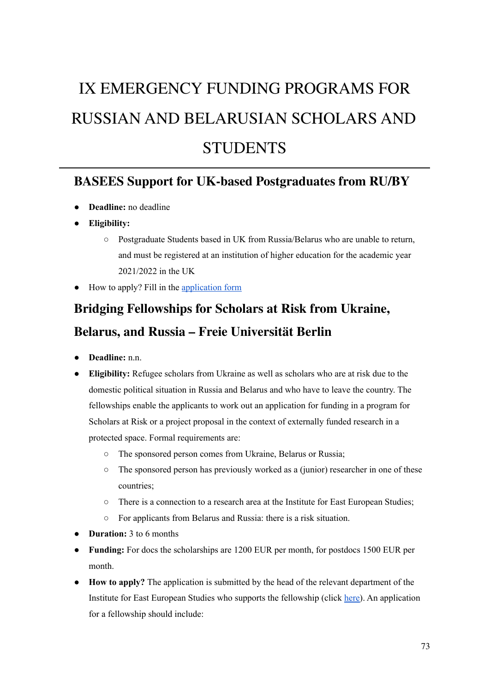# IX EMERGENCY FUNDING PROGRAMS FOR RUSSIAN AND BELARUSIAN SCHOLARS AND **STUDENTS**

#### **BASEES Support for UK-based [Postgraduates](http://basees.org/ukraine) from RU/BY**

- **Deadline:** no deadline
- **Eligibility:**
	- Postgraduate Students based in UK from Russia/Belarus who are unable to return, and must be registered at an institution of higher education for the academic year 2021/2022 in the UK
- How to apply? Fill in the [application](https://docs.google.com/forms/d/e/1FAIpQLSeXlNSWuyCT5SsE8NpySTtRHuJbKJCIUyZGqaALauXDRFrgzw/viewform) form

# **Bridging [Fellowships](https://www.oei.fu-berlin.de/en/institut/ankuendigungen/2022-03-18-U_berbru_ckungsfellowships.html?fbclid=IwAR1eko6n_w1_5N4k08BeVjaf_hJ_Y2ljYmB3sCD_sEYyG45XNxS-KBiV2-E) for Scholars at Risk from Ukraine, Belarus, and Russia – Freie [Universität](https://www.oei.fu-berlin.de/en/institut/ankuendigungen/2022-03-18-U_berbru_ckungsfellowships.html?fbclid=IwAR1eko6n_w1_5N4k08BeVjaf_hJ_Y2ljYmB3sCD_sEYyG45XNxS-KBiV2-E) Berlin**

- **Deadline:** n.n.
- **Eligibility:** Refugee scholars from Ukraine as well as scholars who are at risk due to the domestic political situation in Russia and Belarus and who have to leave the country. The fellowships enable the applicants to work out an application for funding in a program for Scholars at Risk or a project proposal in the context of externally funded research in a protected space. Formal requirements are:
	- The sponsored person comes from Ukraine, Belarus or Russia;
	- $\circ$  The sponsored person has previously worked as a (junior) researcher in one of these countries;
	- There is a connection to a research area at the Institute for East European Studies;
	- For applicants from Belarus and Russia: there is a risk situation.
- **Duration:** 3 to 6 months
- **Funding:** For docs the scholarships are 1200 EUR per month, for postdocs 1500 EUR per month.
- **How to apply?** The application is submitted by the head of the relevant department of the Institute for East European Studies who supports the fellowship (click [here\)](https://www.oei.fu-berlin.de). An application for a fellowship should include: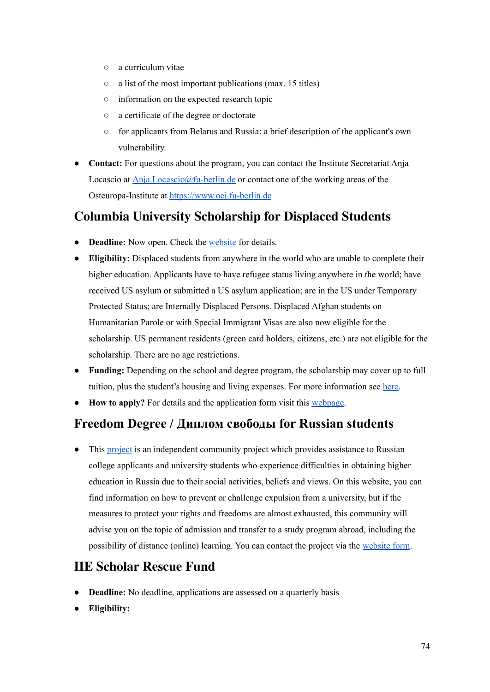- a curriculum vitae
- a list of the most important publications (max. 15 titles)
- information on the expected research topic
- a certificate of the degree or doctorate
- for applicants from Belarus and Russia: a brief description of the applicant's own vulnerability.
- **Contact:** For questions about the program, you can contact the Institute Secretariat Anja Locascio at [Anja.Locascio@fu-berlin.de](mailto:Anja.Locascio@fu-berlin.de) or contact one of the working areas of the Osteuropa-Institute at <https://www.oei.fu-berlin.de>

### **Columbia University [Scholarship](https://globalcenters.columbia.edu/CUSDS) for Displaced Students**

- **● Deadline:** Now open. Check the [website](https://cusds.globalcenters.columbia.edu) for details.
- **Eligibility:** Displaced students from anywhere in the world who are unable to complete their higher education. Applicants have to have refugee status living anywhere in the world; have received US asylum or submitted a US asylum application; are in the US under Temporary Protected Status; are Internally Displaced Persons. Displaced Afghan students on Humanitarian Parole or with Special Immigrant Visas are also now eligible for the scholarship. US permanent residents (green card holders, citizens, etc.) are not eligible for the scholarship. There are no age restrictions.
- **Funding:** Depending on the school and degree program, the scholarship may cover up to full tuition, plus the student's housing and living expenses. For more information see [here.](https://globalcenters.columbia.edu/CUSDS)
- **How to apply?** For details and the application form visit this [webpage](https://cusds.globalcenters.columbia.edu).

#### **[Freedom](https://freedomdegree.info/?fbclid=IwAR1jzF9DsjitatD5NZutxwhWatZJU0OZd8NeMB7V1DcneDms8qXNN0ED4RA) Degree / Диплом свободы for Russian students**

• This [project](https://freedomdegree.info/?fbclid=IwAR1jzF9DsjitatD5NZutxwhWatZJU0OZd8NeMB7V1DcneDms8qXNN0ED4RA) is an independent community project which provides assistance to Russian college applicants and university students who experience difficulties in obtaining higher education in Russia due to their social activities, beliefs and views. On this website, you can find information on how to prevent or challenge expulsion from a university, but if the measures to protect your rights and freedoms are almost exhausted, this community will advise you on the topic of admission and transfer to a study program abroad, including the possibility of distance (online) learning. You can contact the project via the [website](https://freedomdegree.info/?fbclid=IwAR1jzF9DsjitatD5NZutxwhWatZJU0OZd8NeMB7V1DcneDms8qXNN0ED4RA) form.

#### **IIE [Scholar](https://www.scholarrescuefund.org/for-scholars/) Rescue Fund**

- **Deadline:** No deadline, applications are assessed on a quarterly basis
- **Eligibility:**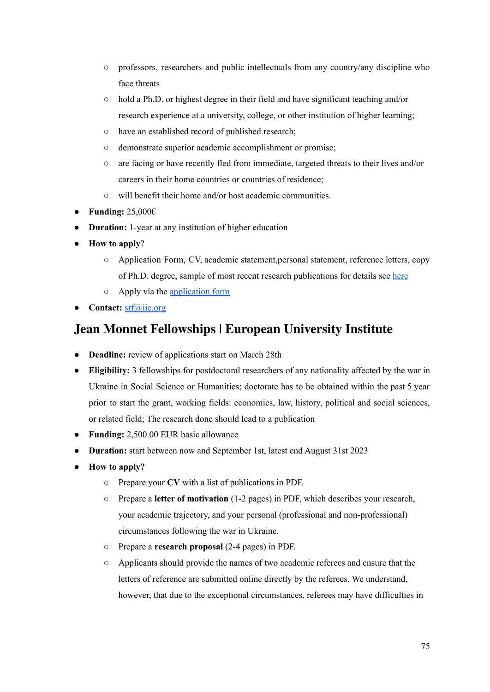- professors, researchers and public intellectuals from any country/any discipline who face threats
- hold a Ph.D. or highest degree in their field and have significant teaching and/or research experience at a university, college, or other institution of higher learning;
- have an established record of published research;
- demonstrate superior academic accomplishment or promise;
- are facing or have recently fled from immediate, targeted threats to their lives and/or careers in their home countries or countries of residence;
- will benefit their home and/or host academic communities.
- **● Funding:** 25,000€
- **Duration:** 1-year at any institution of higher education
- **How to apply**?
	- Application Form, CV, academic statement,personal statement, reference letters, copy of Ph.D. degree, sample of most recent research publications for details see [here](https://www.scholarrescuefund.org/applicants/instructions-and-application/)
	- Apply via the [application](https://mailchi.mp/iie/call-for-applications-threatened-scholars-march-2022?e=%5bUNIQID%5d) form
- **Contact:** [srf@iie.org](mailto:srf@iie.org)

#### **Jean Monnet [Fellowships](https://www.eui.eu/apply?id=jean-monnet-fellowships-ukraine&fbclid=IwAR0vhSHh1L902J84Okpj3m4K-HKT7QCEkcxMlayXuudeDY0PRuY8jlvx10E) | European University Institute**

- **Deadline:** review of applications start on March 28th
- **Eligibility:** 3 fellowships for postdoctoral researchers of any nationality affected by the war in Ukraine in Social Science or Humanities; doctorate has to be obtained within the past 5 year prior to start the grant, working fields: economics, law, history, political and social sciences, or related field; The research done should lead to a publication
- **Funding:** 2,500.00 EUR basic allowance
- **Duration:** start between now and September 1st, latest end August 31st 2023
- **How to apply?**
	- Prepare your **CV** with a list of publications in PDF.
	- Prepare a **letter of motivation** (1-2 pages) in PDF, which describes your research, your academic trajectory, and your personal (professional and non-professional) circumstances following the war in Ukraine.
	- Prepare a **research proposal** (2-4 pages) in PDF.
	- Applicants should provide the names of two academic referees and ensure that the letters of reference are submitted online directly by the referees. We understand, however, that due to the exceptional circumstances, referees may have difficulties in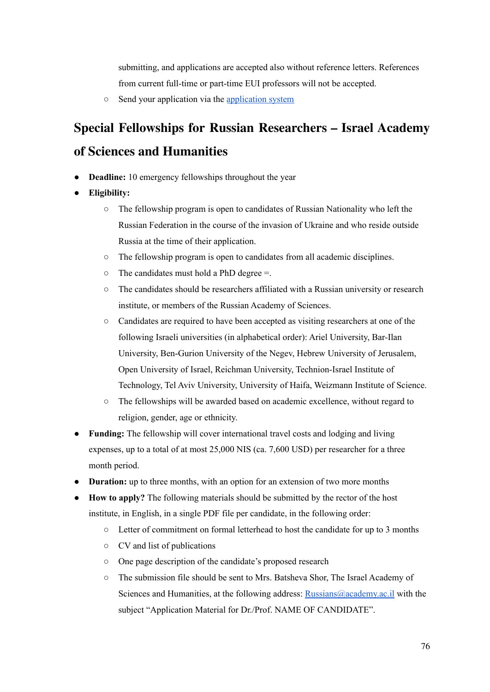submitting, and applications are accepted also without reference letters. References from current full-time or part-time EUI professors will not be accepted.

○ Send your application via the [application](https://apply.eui.eu/osiris_aanmeld_euiprd/Welkom.do) system

# **Special Fellowships for Russian [Researchers](https://www.academy.ac.il/RichText/GeneralPage.aspx?nodeId=1636&fbclid=IwAR3lTS0ZfUFx7u0wWLVT9jc-lWhkTp2LxVDbMYmi-lDIGhgHw--WlcDzy3k) – Israel Academy of Sciences and [Humanities](https://www.academy.ac.il/RichText/GeneralPage.aspx?nodeId=1636&fbclid=IwAR3lTS0ZfUFx7u0wWLVT9jc-lWhkTp2LxVDbMYmi-lDIGhgHw--WlcDzy3k)**

- **Deadline:** 10 emergency fellowships throughout the year
- **Eligibility:**
	- The fellowship program is open to candidates of Russian Nationality who left the Russian Federation in the course of the invasion of Ukraine and who reside outside Russia at the time of their application.
	- The fellowship program is open to candidates from all academic disciplines.
	- $\circ$  The candidates must hold a PhD degree =.
	- The candidates should be researchers affiliated with a Russian university or research institute, or members of the Russian Academy of Sciences.
	- Candidates are required to have been accepted as visiting researchers at one of the following Israeli universities (in alphabetical order): Ariel University, Bar-Ilan University, Ben-Gurion University of the Negev, Hebrew University of Jerusalem, Open University of Israel, Reichman University, Technion-Israel Institute of Technology, Tel Aviv University, University of Haifa, Weizmann Institute of Science.
	- The fellowships will be awarded based on academic excellence, without regard to religion, gender, age or ethnicity.
- **Funding:** The fellowship will cover international travel costs and lodging and living expenses, up to a total of at most 25,000 NIS (ca. 7,600 USD) per researcher for a three month period.
- **Duration:** up to three months, with an option for an extension of two more months
- **How to apply?** The following materials should be submitted by the rector of the host institute, in English, in a single PDF file per candidate, in the following order:
	- Letter of commitment on formal letterhead to host the candidate for up to 3 months
	- CV and list of publications
	- One page description of the candidate's proposed research
	- The submission file should be sent to Mrs. Batsheva Shor, The Israel Academy of Sciences and Humanities, at the following address: [Russians@academy.ac.il](mailto:Russians@academy.ac.il) with the subject "Application Material for Dr./Prof. NAME OF CANDIDATE".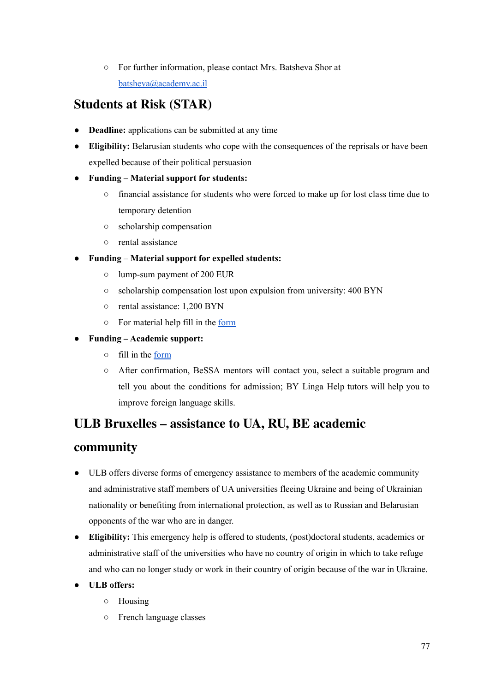○ For further information, please contact Mrs. Batsheva Shor at [batsheva@academy.ac.il](mailto:batsheva@academy.ac.il)

### **[Students](https://www.scholarsatrisk.org/resources-for-at-risk-individuals-from-afghanistan/) at Risk (STAR)**

- **Deadline:** applications can be submitted at any time
- **Eligibility:** Belarusian students who cope with the consequences of the reprisals or have been expelled because of their political persuasion
- **Funding – Material support for students:**
	- financial assistance for students who were forced to make up for lost class time due to temporary detention
	- scholarship compensation
	- rental assistance
- **Funding – Material support for expelled students:**
	- lump-sum payment of 200 EUR
	- scholarship compensation lost upon expulsion from university: 400 BYN
	- rental assistance: 1,200 BYN
	- For material help fill in the [form](https://airtable.com/shrELV8GEY0Fb0EdO)

#### ● **Funding – Academic support:**

- fill in the [form](https://airtable.com/shrELV8GEY0Fb0EdO)
- After confirmation, BeSSA mentors will contact you, select a suitable program and tell you about the conditions for admission; BY Linga Help tutors will help you to improve foreign language skills.

#### **ULB Bruxelles – [assistance](https://www.ulb.be/en/helpukraine/help-ukraine-academic-community) to UA, RU, BE academic**

#### **[community](https://www.ulb.be/en/helpukraine/help-ukraine-academic-community)**

- ULB offers diverse forms of emergency assistance to members of the academic community and administrative staff members of UA universities fleeing Ukraine and being of Ukrainian nationality or benefiting from international protection, as well as to Russian and Belarusian opponents of the war who are in danger.
- **Eligibility:** This emergency help is offered to students, (post)doctoral students, academics or administrative staff of the universities who have no country of origin in which to take refuge and who can no longer study or work in their country of origin because of the war in Ukraine.
- **ULB offers:**
	- Housing
	- French language classes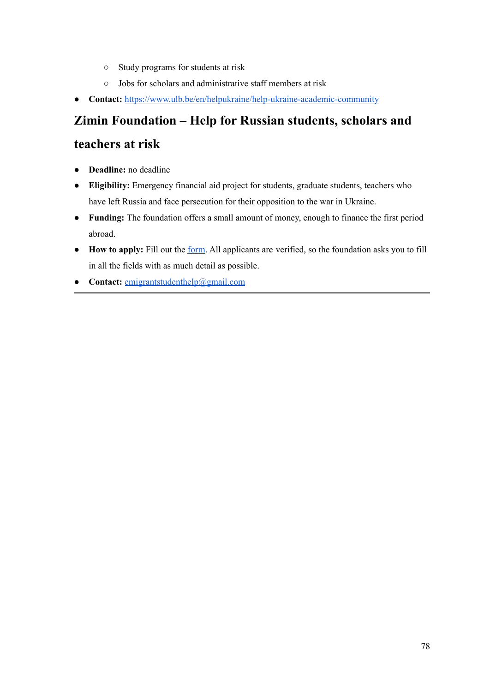- Study programs for students at risk
- Jobs for scholars and administrative staff members at risk
- **Contact:** <https://www.ulb.be/en/helpukraine/help-ukraine-academic-community>

# **Zimin [Foundation](https://www.ziminfoundation.org/) – Help for Russian students, scholars and [teachers](https://www.ziminfoundation.org/) at risk**

- **Deadline:** no deadline
- **Eligibility:** Emergency financial aid project for students, graduate students, teachers who have left Russia and face persecution for their opposition to the war in Ukraine.
- **Funding:** The foundation offers a small amount of money, enough to finance the first period abroad.
- **How to apply:** Fill out the [form.](https://docs.google.com/forms/d/e/1FAIpQLSeRwrykdwP60LJ-_UbsllsSWQLvb6pJE6AGctsbCm2lK7i2EA/viewform) All applicants are verified, so the foundation asks you to fill in all the fields with as much detail as possible.
- **Contact:** [emigrantstudenthelp@gmail.com](mailto:emigrantstudenthelp@gmail.com)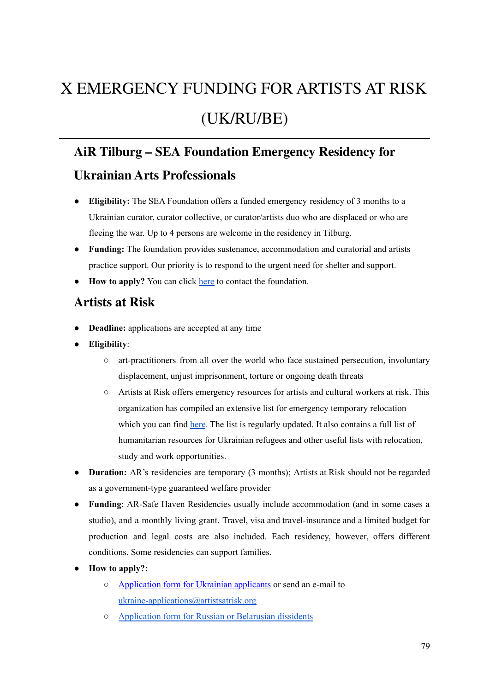# X EMERGENCY FUNDING FOR ARTISTS AT RISK (UK/RU/BE)

## **AiR Tilburg – SEA [Foundation](https://www.seafoundation.eu/funded-emergency-residency-netherlands-curator-ukraine-support/?fbclid=IwAR0FGdG5_b43moeb0SkfRIV0AqquRYftwOqwDmq_S1cH6j1n5PrZUj4UPqk) Emergency Residency for Ukrainian Arts [Professionals](https://www.seafoundation.eu/funded-emergency-residency-netherlands-curator-ukraine-support/?fbclid=IwAR0FGdG5_b43moeb0SkfRIV0AqquRYftwOqwDmq_S1cH6j1n5PrZUj4UPqk)**

- **Eligibility:** The SEA Foundation offers a funded emergency residency of 3 months to a Ukrainian curator, curator collective, or curator/artists duo who are displaced or who are fleeing the war. Up to 4 persons are welcome in the residency in Tilburg.
- **Funding:** The foundation provides sustenance, accommodation and curatorial and artists practice support. Our priority is to respond to the urgent need for shelter and support.
- **How to apply?** You can click [here](https://www.seafoundation.eu/contact/) to contact the foundation.

#### **[Artists](https://artistsatrisk.org/2022/02/26/ukraine-emergency-resources-for-artists-and-cultural-workers/?lang=en) at Risk**

- **Deadline:** applications are accepted at any time
- **Eligibility**:
	- art-practitioners from all over the world who face sustained persecution, involuntary displacement, unjust imprisonment, torture or ongoing death threats
	- Artists at Risk offers emergency resources for artists and cultural workers at risk. This organization has compiled an extensive list for emergency temporary relocation which you can find [here](https://docs.google.com/document/d/1zDP7jpiRj6M_NCTxY5P6A3IDjSaHLSvIsri-Vzb-A7g/mobilebasic#heading=h.stie8a6hqfu1). The list is regularly updated. It also contains a full list of humanitarian resources for Ukrainian refugees and other useful lists with relocation, study and work opportunities.
- **Duration:** AR's residencies are temporary (3 months); Artists at Risk should not be regarded as a government-type guaranteed welfare provider
- **Funding**: AR-Safe Haven Residencies usually include accommodation (and in some cases a studio), and a monthly living grant. Travel, visa and travel-insurance and a limited budget for production and legal costs are also included. Each residency, however, offers different conditions. Some residencies can support families.
- **How to apply?:**
	- [Application](https://artistsatrisk.org/apply/?lang=ru) form for Ukrainian applicants or send an e-mail to [ukraine-applications@artistsatrisk.org](mailto:ukraine-applications@artistsatrisk.org)
	- [Application](https://docs.google.com/forms/d/e/1FAIpQLSc7tDJj90NNQX3oRP8fDyc9BtNWYwXLJx9s0-fZimg0fyVAVQ/viewform) form for Russian or Belarusian dissidents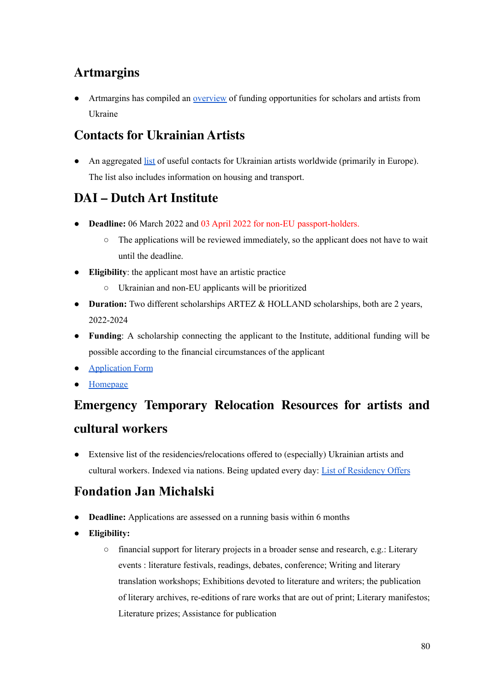## **[Artmargins](https://artmargins.com/resources-for-ukrane/)**

• Artmargins has compiled an [overview](https://artmargins.com/resources-for-ukrane/) of funding opportunities for scholars and artists from Ukraine

#### **Contacts for [Ukrainian](https://www.contactsforukrainians.art/?fbclid=IwAR3CtatvSIR9Gjj0Zb5NR2r_KjdUzPNsHRAEeDROGcgnisB5aLcaCPSqESo) Artists**

• An aggregated [list](https://www.contactsforukrainians.art/?fbclid=IwAR3CtatvSIR9Gjj0Zb5NR2r_KjdUzPNsHRAEeDROGcgnisB5aLcaCPSqESo) of useful contacts for Ukrainian artists worldwide (primarily in Europe). The list also includes information on housing and transport.

#### **DAI – Dutch Art [Institute](https://dutchartinstitute.eu/page/15954/apply?fbclid=IwAR2W0lLhZuIPMfkf2SADl5BHtafc0mysXDttzvFC5Y1O4TmYUe0Fki5r3VY)**

- **● Deadline:** 06 March 2022 and 03 April 2022 for non-EU passport-holders.
	- **○** The applications will be reviewed immediately, so the applicant does not have to wait until the deadline.
- **Eligibility**: the applicant most have an artistic practice
	- Ukrainian and non-EU applicants will be prioritized
- **Duration:** Two different scholarships ARTEZ & HOLLAND scholarships, both are 2 years, 2022-2024
- **Funding**: A scholarship connecting the applicant to the Institute, additional funding will be possible according to the financial circumstances of the applicant
- [Application](https://dutchartinstitute.eu/apply) Form
- [Homepage](https://dutchartinstitute.eu/page/15954/apply?fbclid=IwAR2W0lLhZuIPMfkf2SADl5BHtafc0mysXDttzvFC5Y1O4TmYUe0Fki5r3VY)

# **[Emergency](https://docs.google.com/document/d/1zDP7jpiRj6M_NCTxY5P6A3IDjSaHLSvIsri-Vzb-A7g/mobilebasic#) Temporary Relocation Resources for artists and cultural [workers](https://docs.google.com/document/d/1zDP7jpiRj6M_NCTxY5P6A3IDjSaHLSvIsri-Vzb-A7g/mobilebasic#)**

● Extensive list of the residencies/relocations offered to (especially) Ukrainian artists and cultural workers. Indexed via nations. Being updated every day: List of [Residency](https://docs.google.com/document/d/1zDP7jpiRj6M_NCTxY5P6A3IDjSaHLSvIsri-Vzb-A7g/mobilebasic#) Offers

## **[Fondation](http://www.fondation-janmichalski.com/en/bourses/) Jan Michalski**

- **Deadline:** Applications are assessed on a running basis within 6 months
- **Eligibility:**
	- financial support for literary projects in a broader sense and research, e.g.: Literary events : literature festivals, readings, debates, conference; Writing and literary translation workshops; Exhibitions devoted to literature and writers; the publication of literary archives, re-editions of rare works that are out of print; Literary manifestos; Literature prizes; Assistance for publication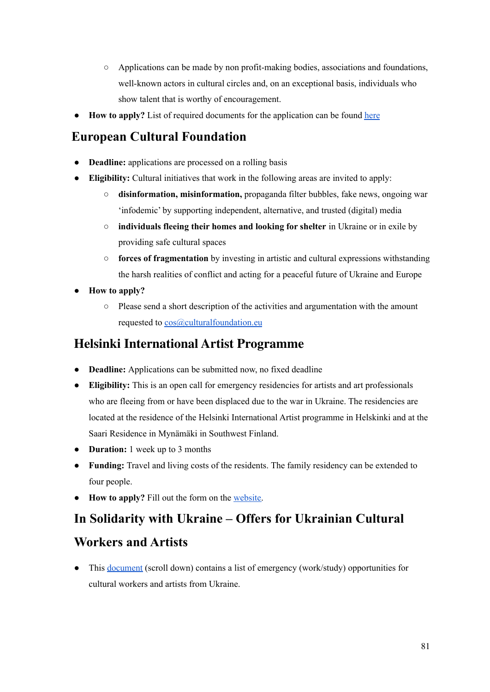- Applications can be made by non profit-making bodies, associations and foundations, well-known actors in cultural circles and, on an exceptional basis, individuals who show talent that is worthy of encouragement.
- **How to apply?** List of required documents for the application can be found [here](http://www.fondation-janmichalski.com/en/bourses/soumettre-un-projet/)

## **European Cultural [Foundation](https://culturalfoundation.eu/stories/culture-of-solidarity-fund-ukraine-edition/)**

- **Deadline:** applications are processed on a rolling basis
- **Eligibility:** Cultural initiatives that work in the following areas are invited to apply:
	- **disinformation, misinformation,** propaganda filter bubbles, fake news, ongoing war 'infodemic' by supporting independent, alternative, and trusted (digital) media
	- **individuals fleeing their homes and looking for shelter** in Ukraine or in exile by providing safe cultural spaces
	- **forces of fragmentation** by investing in artistic and cultural expressions withstanding the harsh realities of conflict and acting for a peaceful future of Ukraine and Europe
- **How to apply?**
	- Please send a short description of the activities and argumentation with the amount requested to [cos@culturalfoundation.eu](mailto:cos@culturalfoundation.eu)

#### **Helsinki [International](https://www.hiap.fi/ukrainian-aid/) Artist Programme**

- **Deadline:** Applications can be submitted now, no fixed deadline
- **Eligibility:** This is an open call for emergency residencies for artists and art professionals who are fleeing from or have been displaced due to the war in Ukraine. The residencies are located at the residence of the Helsinki International Artist programme in Helskinki and at the Saari Residence in Mynämäki in Southwest Finland.
- **Duration:** 1 week up to 3 months
- **Funding:** Travel and living costs of the residents. The family residency can be extended to four people.
- **How to apply?** Fill out the form on the [website.](https://www.hiap.fi/ukrainian-aid/)

## **In Solidarity with Ukraine – Offers for [Ukrainian](https://pad.xpub.nl/p/UKRAINEINVASION_LinkFarm?fbclid=IwAR30xX5ObC7PqTgMrsih3vE1ilsWRl3dbsw8IJcKqVeEAbVZgggO7SqjvYs) Cultural**

#### **[Workers](https://pad.xpub.nl/p/UKRAINEINVASION_LinkFarm?fbclid=IwAR30xX5ObC7PqTgMrsih3vE1ilsWRl3dbsw8IJcKqVeEAbVZgggO7SqjvYs) and Artists**

• This <u>[document](https://pad.xpub.nl/p/UKRAINEINVASION_LinkFarm?fbclid=IwAR30xX5ObC7PqTgMrsih3vE1ilsWRl3dbsw8IJcKqVeEAbVZgggO7SqjvYs)</u> (scroll down) contains a list of emergency (work/study) opportunities for cultural workers and artists from Ukraine.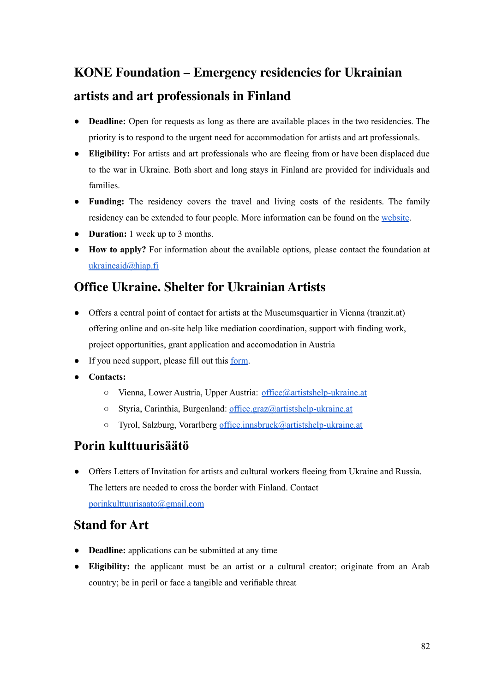# **KONE [Foundation](https://koneensaatio.fi/en/news/emergency-residencies/) – Emergency residencies for Ukrainian artists and art [professionals](https://koneensaatio.fi/en/news/emergency-residencies/) in Finland**

- **Deadline:** Open for requests as long as there are available places in the two residencies. The priority is to respond to the urgent need for accommodation for artists and art professionals.
- **Eligibility:** For artists and art professionals who are fleeing from or have been displaced due to the war in Ukraine. Both short and long stays in Finland are provided for individuals and families.
- **Funding:** The residency covers the travel and living costs of the residents. The family residency can be extended to four people. More information can be found on the [website.](https://koneensaatio.fi/en/news/emergency-residencies/)
- **Duration:** 1 week up to 3 months.
- **How to apply?** For information about the available options, please contact the foundation at [ukraineaid@hiap.fi](mailto:ukraineaid@hiap.fi)

### **Office Ukraine. Shelter for [Ukrainian](http://www.artistshelp-ukraine.at/en/?fbclid=IwAR0LYHBYu1mOQ_inWQwGghIqUJLdKrObcf4X3YwmCxV9p1FyTsqhpCUsyvo) Artists**

- Offers a central point of contact for artists at the Museumsquartier in Vienna (tranzit.at) offering online and on-site help like mediation coordination, support with finding work, project opportunities, grant application and accomodation in Austria
- If you need support, please fill out this [form.](https://docs.google.com/forms/d/e/1FAIpQLSd77motsJV709Lks1BTiOTmQGPyKJau-jYD3rrAfFNjE9O7hA/viewform)
- **Contacts:**
	- Vienna, Lower Austria, Upper Austria: [office@artistshelp-ukraine.at](mailto:office@artistshelp-ukraine.at)
	- Styria, Carinthia, Burgenland: [office.graz@artistshelp-ukraine.at](mailto:office.graz@artistshelp-ukraine.at)
	- Tyrol, Salzburg, Vorarlberg [office.innsbruck@artistshelp-ukraine.at](mailto:office.innsbruck@artistshelp-ukraine.at)

#### **Porin [kulttuurisäätö](http://porinkulttuurisaato.org/?fbclid=IwAR1AdwrsMHroB5Yf-gNFSiCChHlH5ugtwxY0YVvsYZ2hrkINltW6V813N3E)**

● Offers Letters of Invitation for artists and cultural workers fleeing from Ukraine and Russia. The letters are needed to cross the border with Finland. Contact [porinkulttuurisaato@gmail.com](mailto:porinkulttuurisaato@gmail.com)

#### **[Stand](https://mawred.org/stand-for-art/?lang=en) for Art**

- **Deadline:** applications can be submitted at any time
- **Eligibility:** the applicant must be an artist or a cultural creator; originate from an Arab country; be in peril or face a tangible and verifiable threat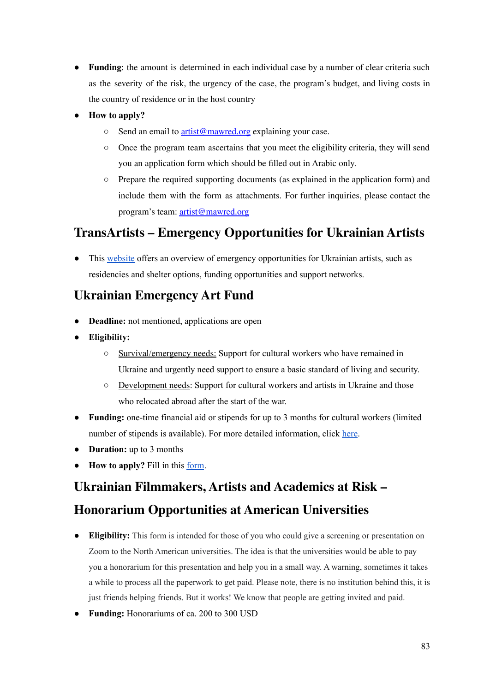- **Funding**: the amount is determined in each individual case by a number of clear criteria such as the severity of the risk, the urgency of the case, the program's budget, and living costs in the country of residence or in the host country
- **How to apply?**
	- Send an email to [artist@mawred.org](mailto:artist@mawred.org) explaining your case.
	- Once the program team ascertains that you meet the eligibility criteria, they will send you an application form which should be filled out in Arabic only.
	- Prepare the required supporting documents (as explained in the application form) and include them with the form as attachments. For further inquiries, please contact the program's team: [artist@mawred.org](mailto:artist@mawred.org)

#### **TransArtists – Emergency [Opportunities](https://www.transartists.org/en/news/resource-page-artists) for Ukrainian Artists**

This [website](https://www.transartists.org/en/news/resource-page-artists) offers an overview of emergency opportunities for Ukrainian artists, such as residencies and shelter options, funding opportunities and support networks.

#### **Ukrainian [Emergency](https://ueaf.moca.org.ua/?fbclid=IwAR1DPow5XDiA0BuzEmZSZ53azww9QhUFW3fj3ZQ4_mygRorpl18_acVSPZU) Art Fund**

- **Deadline:** not mentioned, applications are open
- **Eligibility:**
	- Survival/emergency needs: Support for cultural workers who have remained in Ukraine and urgently need support to ensure a basic standard of living and security.
	- Development needs: Support for cultural workers and artists in Ukraine and those who relocated abroad after the start of the war.
- **Funding:** one-time financial aid or stipends for up to 3 months for cultural workers (limited number of stipends is available). For more detailed information, click [here](https://ueaf.moca.org.ua/?fbclid=IwAR1DPow5XDiA0BuzEmZSZ53azww9QhUFW3fj3ZQ4_mygRorpl18_acVSPZU).
- **Duration:** up to 3 months
- **How to apply?** Fill in this [form](https://docs.google.com/forms/d/e/1FAIpQLSfyfV2uI30aZcHNRBdVB6BaEMKqQrRqlmsIy1PWu47vLidvcQ/viewform).

#### **Ukrainian [Filmmakers,](https://docs.google.com/forms/d/e/1FAIpQLSfqrsoboXyUuTa8-lUIJ1oYOGLrRy1WVYH5eMoMxSnmw5Q-HQ/viewform?fbclid=IwAR3I1ADQcrBbanpKgFR2KtTLKFakDEe96lRMxtoQKVlar0z2Io3theUPPvg) Artists and Academics at Risk –**

#### **Honorarium [Opportunities](https://docs.google.com/forms/d/e/1FAIpQLSfqrsoboXyUuTa8-lUIJ1oYOGLrRy1WVYH5eMoMxSnmw5Q-HQ/viewform?fbclid=IwAR3I1ADQcrBbanpKgFR2KtTLKFakDEe96lRMxtoQKVlar0z2Io3theUPPvg) at American Universities**

- **Eligibility:** This form is intended for those of you who could give a screening or presentation on Zoom to the North American universities. The idea is that the universities would be able to pay you a honorarium for this presentation and help you in a small way. A warning, sometimes it takes a while to process all the paperwork to get paid. Please note, there is no institution behind this, it is just friends helping friends. But it works! We know that people are getting invited and paid.
- **Funding:** Honorariums of ca. 200 to 300 USD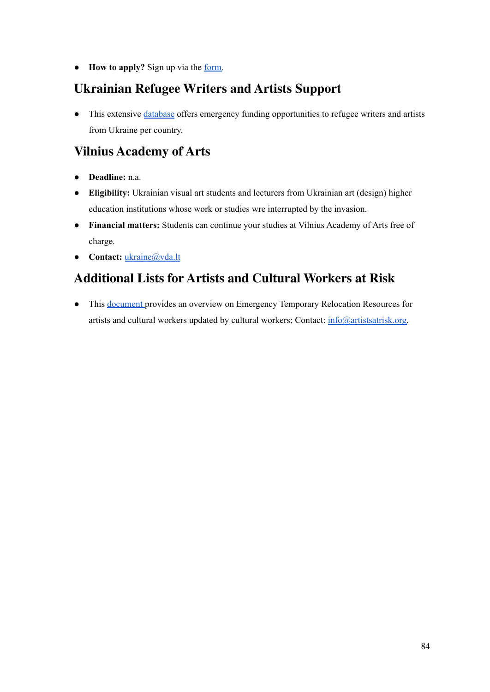● **How to apply?** Sign up via the [form.](https://docs.google.com/forms/d/e/1FAIpQLSfqrsoboXyUuTa8-lUIJ1oYOGLrRy1WVYH5eMoMxSnmw5Q-HQ/viewform?fbclid=IwAR3I1ADQcrBbanpKgFR2KtTLKFakDEe96lRMxtoQKVlar0z2Io3theUPPvg)

### **[Ukrainian](https://docs.google.com/document/u/0/d/1BDJAZC1lJSIkR7WS_XNAfF5s9nmQTbi1btlOYfJ6MRI/mobilebasic) Refugee Writers and Artists Support**

• This extensive [database](https://docs.google.com/document/u/0/d/1BDJAZC1lJSIkR7WS_XNAfF5s9nmQTbi1btlOYfJ6MRI/mobilebasic) offers emergency funding opportunities to refugee writers and artists from Ukraine per country.

## **Vilnius [Academy](https://www.vda.lt/en/news/vaa-support-for-students-and-academic-staff-members-from-ukrainian-higher-education-institutions) of Arts**

- **Deadline:** n.a.
- **Eligibility:** Ukrainian visual art students and lecturers from Ukrainian art (design) higher education institutions whose work or studies wre interrupted by the invasion.
- **Financial matters:** Students can continue your studies at Vilnius Academy of Arts free of charge.
- **Contact:** [ukraine@vda.lt](mailto:ukraine@vda.lt)

## **Additional Lists for Artists and Cultural Workers at Risk**

● This [document](https://docs.google.com/document/d/1zDP7jpiRj6M_NCTxY5P6A3IDjSaHLSvIsri-Vzb-A7g/edit?fbclid=IwAR1tFY-E54kChxrjo35PWSIEnQJfee6R0akiulucWXGhH-dewNz6uCMUEjU#) provides an overview on Emergency Temporary Relocation Resources for artists and cultural workers updated by cultural workers; Contact: [info@artistsatrisk.org.](mailto:info@artistsatrisk.org)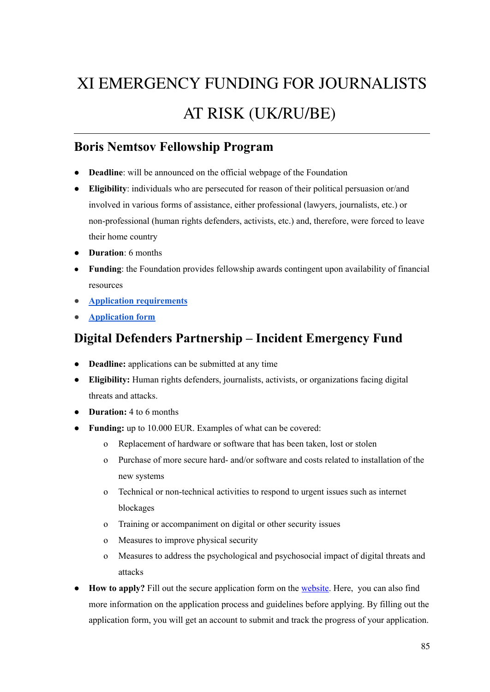# XI EMERGENCY FUNDING FOR JOURNALISTS AT RISK (UK/RU/BE)

#### **Boris Nemtsov [Fellowship](https://nemtsovfund.org/en/boris-nemtsov-fellowship-program/) Program**

- **Deadline**: will be announced on the official webpage of the Foundation
- **Eligibility**: individuals who are persecuted for reason of their political persuasion or/and involved in various forms of assistance, either professional (lawyers, journalists, etc.) or non-professional (human rights defenders, activists, etc.) and, therefore, were forced to leave their home country
- **Duration**: 6 months
- **Funding**: the Foundation provides fellowship awards contingent upon availability of financial resources
- **● Application [requirements](https://nemtsovfund.org/en/fellowship-guidelines/)**
- **● [Application](https://nemtsovfund.org/en/boris-nemtsov-fellowship-program/) form**

#### **Digital Defenders [Partnership](https://www.digitaldefenders.org/funding/incident-emergency-fund/) – Incident Emergency Fund**

- **Deadline:** applications can be submitted at any time
- **Eligibility:** Human rights defenders, journalists, activists, or organizations facing digital threats and attacks.
- **Duration:** 4 to 6 months
- **Funding:** up to 10.000 EUR. Examples of what can be covered:
	- o Replacement of hardware or software that has been taken, lost or stolen
	- o Purchase of more secure hard- and/or software and costs related to installation of the new systems
	- o Technical or non-technical activities to respond to urgent issues such as internet blockages
	- o Training or accompaniment on digital or other security issues
	- o Measures to improve physical security
	- o Measures to address the psychological and psychosocial impact of digital threats and attacks
- **How to apply?** Fill out the secure application form on the [website](https://www.digitaldefenders.org/funding/incident-emergency-fund/). Here, you can also find more information on the application process and guidelines before applying. By filling out the application form, you will get an account to submit and track the progress of your application.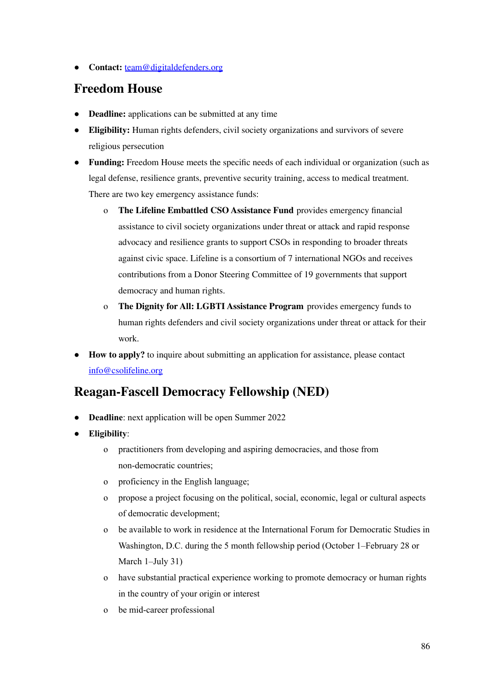● **Contact:** [team@digitaldefenders.org](mailto:team@digitaldefenders.org)

#### **[Freedom](https://freedomhouse.org/programs/emergency-assistance-and-thematic-programs) House**

- **Deadline:** applications can be submitted at any time
- **Eligibility:** Human rights defenders, civil society organizations and survivors of severe religious persecution
- **Funding:** Freedom House meets the specific needs of each individual or organization (such as legal defense, resilience grants, preventive security training, access to medical treatment. There are two key emergency assistance funds:
	- o **The Lifeline Embattled CSO Assistance Fund** provides emergency financial assistance to civil society organizations under threat or attack and rapid response advocacy and resilience grants to support CSOs in responding to broader threats against civic space. Lifeline is a consortium of 7 international NGOs and receives contributions from a Donor Steering Committee of 19 governments that support democracy and human rights.
	- o **The Dignity for All: LGBTI Assistance Program** provides emergency funds to human rights defenders and civil society organizations under threat or attack for their work.
- **How to apply?** to inquire about submitting an application for assistance, please contact [info@csolifeline.org](mailto:info@csolifeline.org)

#### **[Reagan-Fascell](https://www.ned.org/fellowships/reagan-fascell-democracy-fellows-program/applying-for-a-fellowship/) Democracy Fellowship (NED)**

- **Deadline**: next application will be open Summer 2022
- **Eligibility**:
	- o practitioners from developing and aspiring democracies, and those from non-democratic countries;
	- o proficiency in the English language;
	- o propose a project focusing on the political, social, economic, legal or cultural aspects of democratic development;
	- o be available to work in residence at the International Forum for Democratic Studies in Washington, D.C. during the 5 month fellowship period (October 1–February 28 or March 1–July 31)
	- o have substantial practical experience working to promote democracy or human rights in the country of your origin or interest
	- o be mid-career professional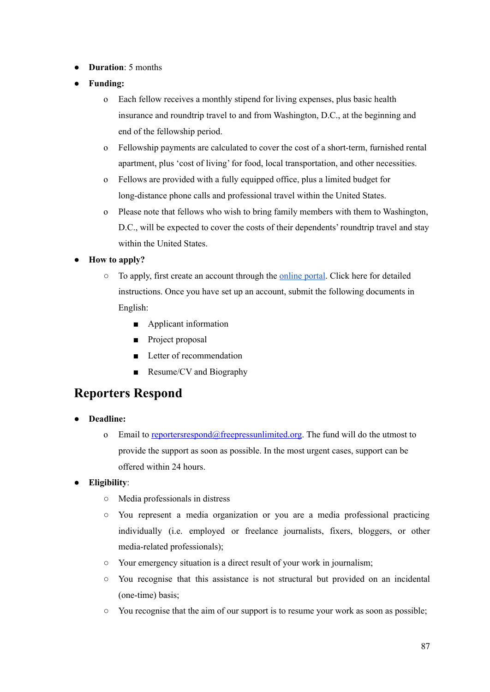- **Duration**: 5 months
- **Funding:** 
	- o Each fellow receives a monthly stipend for living expenses, plus basic health insurance and roundtrip travel to and from Washington, D.C., at the beginning and end of the fellowship period.
	- o Fellowship payments are calculated to cover the cost of a short-term, furnished rental apartment, plus 'cost of living' for food, local transportation, and other necessities.
	- o Fellows are provided with a fully equipped office, plus a limited budget for long-distance phone calls and professional travel within the United States.
	- o Please note that fellows who wish to bring family members with them to Washington, D.C., will be expected to cover the costs of their dependents' roundtrip travel and stay within the United States.
- **How to apply?**
	- To apply, first create an account through the [online](https://www.nedfellowships.org/Start/ReaganFascell) portal. Click here for detailed instructions. Once you have set up an account, submit the following documents in English:
		- Applicant information
		- Project proposal
		- Letter of recommendation
		- Resume/CV and Biography

#### **[Reporters](https://www.freepressunlimited.org/en/projects/reporters-respond-emergency-and-legal-support) Respond**

- **Deadline:** 
	- o Email to reporters respond  $@$  free pressunlimited.org. The fund will do the utmost to provide the support as soon as possible. In the most urgent cases, support can be offered within 24 hours.
- **Eligibility**:
	- Media professionals in distress
	- You represent a media organization or you are a media professional practicing individually (i.e. employed or freelance journalists, fixers, bloggers, or other media-related professionals);
	- Your emergency situation is a direct result of your work in journalism;
	- You recognise that this assistance is not structural but provided on an incidental (one-time) basis;
	- You recognise that the aim of our support is to resume your work as soon as possible;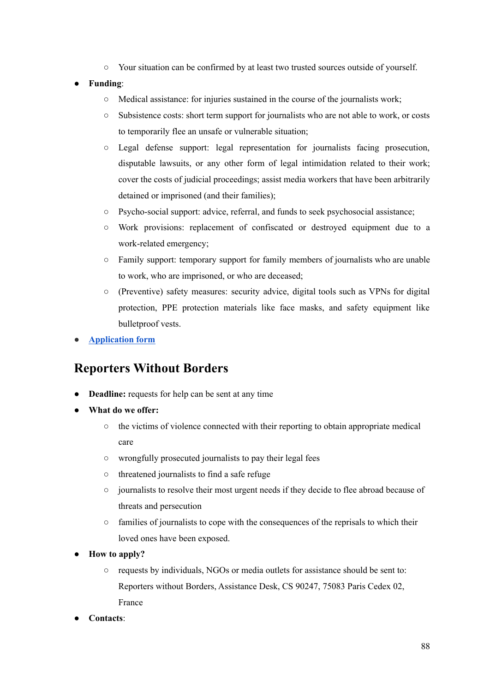- Your situation can be confirmed by at least two trusted sources outside of yourself.
- **Funding**:
	- Medical assistance: for injuries sustained in the course of the journalists work;
	- Subsistence costs: short term support for journalists who are not able to work, or costs to temporarily flee an unsafe or vulnerable situation;
	- Legal defense support: legal representation for journalists facing prosecution, disputable lawsuits, or any other form of legal intimidation related to their work; cover the costs of judicial proceedings; assist media workers that have been arbitrarily detained or imprisoned (and their families);
	- Psycho-social support: advice, referral, and funds to seek psychosocial assistance;
	- Work provisions: replacement of confiscated or destroyed equipment due to a work-related emergency;
	- Family support: temporary support for family members of journalists who are unable to work, who are imprisoned, or who are deceased;
	- (Preventive) safety measures: security advice, digital tools such as VPNs for digital protection, PPE protection materials like face masks, and safety equipment like bulletproof vests.
- **● [Application](https://www.freepressunlimited.org/en/application-form-reporters-respond) form**

#### **[Reporters](https://rsf.org/en/individual-support) Without Borders**

- **Deadline:** requests for help can be sent at any time
- **● What do we offer:**
	- **○** the victims of violence connected with their reporting to obtain appropriate medical care
	- **○** wrongfully prosecuted journalists to pay their legal fees
	- **○** threatened journalists to find a safe refuge
	- **○** journalists to resolve their most urgent needs if they decide to flee abroad because of threats and persecution
	- **○** families of journalists to cope with the consequences of the reprisals to which their loved ones have been exposed.
- **● How to apply?**
	- **○** requests by individuals, NGOs or media outlets for assistance should be sent to: Reporters without Borders, Assistance Desk, CS 90247, 75083 Paris Cedex 02, France
- **Contacts**: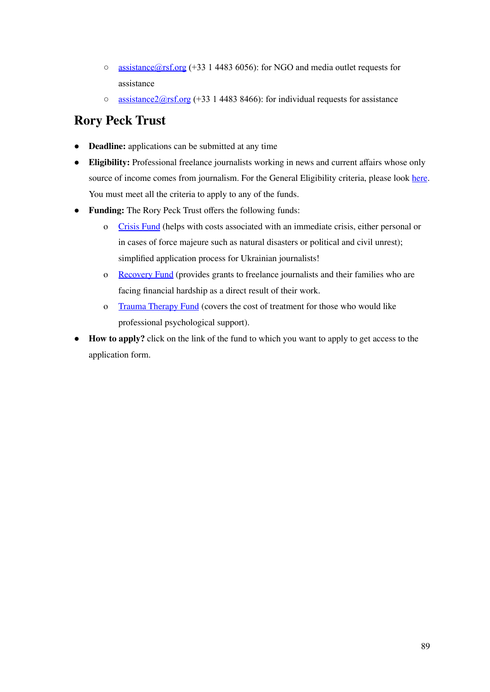- [assistance@rsf.org](mailto:assistance@rsf.org) (+33 1 4483 6056): for NGO and media outlet requests for assistance
- $\circ$  assistance  $2\omega$ rsf.org (+33 1 4483 8466): for individual requests for assistance

#### **Rory Peck [Trust](https://rorypecktrust.org)**

- **Deadline:** applications can be submitted at any time
- **Eligibility:** Professional freelance journalists working in news and current affairs whose only source of income comes from journalism. For the General Eligibility criteria, please look [here](https://rorypecktrust.org/freelance-assistance/assistance-grants-2/). You must meet all the criteria to apply to any of the funds.
- **Funding:** The Rory Peck Trust offers the following funds:
	- o [Crisis](https://rorypecktrust.org/freelance-assistance/crisis-fund/) Fund (helps with costs associated with an immediate crisis, either personal or in cases of force majeure such as natural disasters or political and civil unrest); simplified application process for Ukrainian journalists!
	- o [Recovery](https://rorypecktrust.org/freelance-assistance/recovery-grant/) Fund (provides grants to freelance journalists and their families who are facing financial hardship as a direct result of their work.
	- o Trauma [Therapy](https://rorypecktrust.org/freelance-assistance/resilience-programme-2/) Fund (covers the cost of treatment for those who would like professional psychological support).
- **How to apply?** click on the link of the fund to which you want to apply to get access to the application form.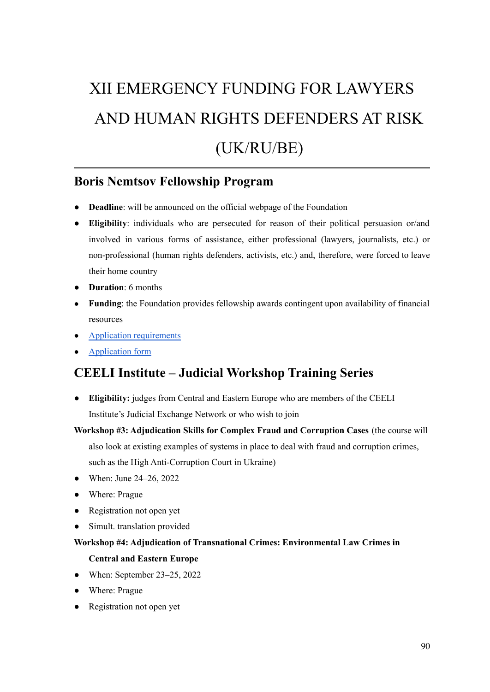# XII EMERGENCY FUNDING FOR LAWYERS AND HUMAN RIGHTS DEFENDERS AT RISK (UK/RU/BE)

#### **Boris Nemtsov [Fellowship](https://nemtsovfund.org/en/boris-nemtsov-fellowship-program/) Program**

- **Deadline**: will be announced on the official webpage of the Foundation
- **Eligibility**: individuals who are persecuted for reason of their political persuasion or/and involved in various forms of assistance, either professional (lawyers, journalists, etc.) or non-professional (human rights defenders, activists, etc.) and, therefore, were forced to leave their home country
- **Duration**: 6 months
- **Funding**: the Foundation provides fellowship awards contingent upon availability of financial resources
- Application [requirements](https://nemtsovfund.org/en/fellowship-guidelines/)
- [Application](https://nemtsovfund.org/en/boris-nemtsov-fellowship-program/) form

#### **CEELI Institute – Judicial [Workshop](https://ceeliinstitute.org/judicial-workshop-training-series/) Training Series**

- **Eligibility:** judges from Central and Eastern Europe who are members of the CEELI Institute's Judicial Exchange Network or who wish to join
- **Workshop #3: Adjudication Skills for Complex Fraud and Corruption Cases** (the course will also look at existing examples of systems in place to deal with fraud and corruption crimes,

such as the High Anti-Corruption Court in Ukraine)

- When: June 24–26, 2022
- Where: Prague
- Registration not open yet
- Simult. translation provided

#### **Workshop #4: Adjudication of Transnational Crimes: Environmental Law Crimes in Central and Eastern Europe**

- When: September  $23-25$ ,  $2022$
- Where: Prague
- Registration not open yet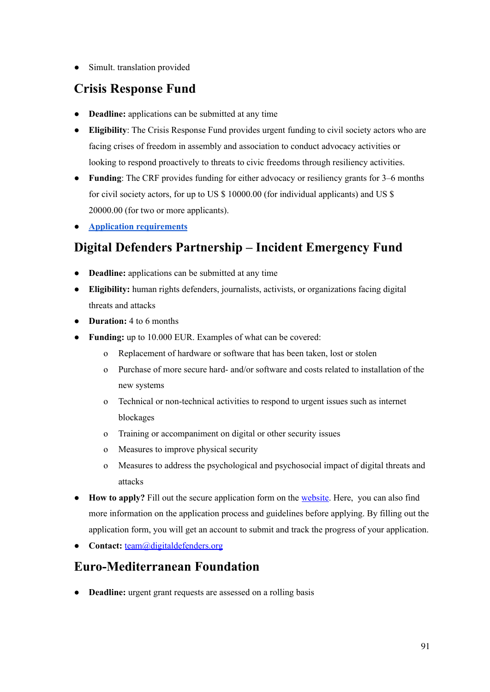● Simult. translation provided

#### **Crisis [Response](https://www.civicus.org/index.php/what-we-do/defend/crisis-response-fund) Fund**

- **Deadline:** applications can be submitted at any time
- **Eligibility**: The Crisis Response Fund provides urgent funding to civil society actors who are facing crises of freedom in assembly and association to conduct advocacy activities or looking to respond proactively to threats to civic freedoms through resiliency activities.
- **Funding**: The CRF provides funding for either advocacy or resiliency grants for 3–6 months for civil society actors, for up to US \$ 10000.00 (for individual applicants) and US \$ 20000.00 (for two or more applicants).
- **● Application [requirements](https://www.civicus.org/index.php/what-we-do/defend/crisis-response-fund)**

### **Digital Defenders [Partnership](https://www.digitaldefenders.org/funding/incident-emergency-fund/) – Incident Emergency Fund**

- **Deadline:** applications can be submitted at any time
- **Eligibility:** human rights defenders, journalists, activists, or organizations facing digital threats and attacks
- **Duration:** 4 to 6 months
- **Funding:** up to 10.000 EUR. Examples of what can be covered:
	- o Replacement of hardware or software that has been taken, lost or stolen
	- o Purchase of more secure hard- and/or software and costs related to installation of the new systems
	- o Technical or non-technical activities to respond to urgent issues such as internet blockages
	- o Training or accompaniment on digital or other security issues
	- o Measures to improve physical security
	- o Measures to address the psychological and psychosocial impact of digital threats and attacks
- **How to apply?** Fill out the secure application form on the [website](https://www.digitaldefenders.org/funding/incident-emergency-fund/). Here, you can also find more information on the application process and guidelines before applying. By filling out the application form, you will get an account to submit and track the progress of your application.
- **Contact:** [team@digitaldefenders.org](mailto:team@digitaldefenders.org)

#### **[Euro-Mediterranean](https://emhrf.org/urgent-grants/) Foundation**

**Deadline:** urgent grant requests are assessed on a rolling basis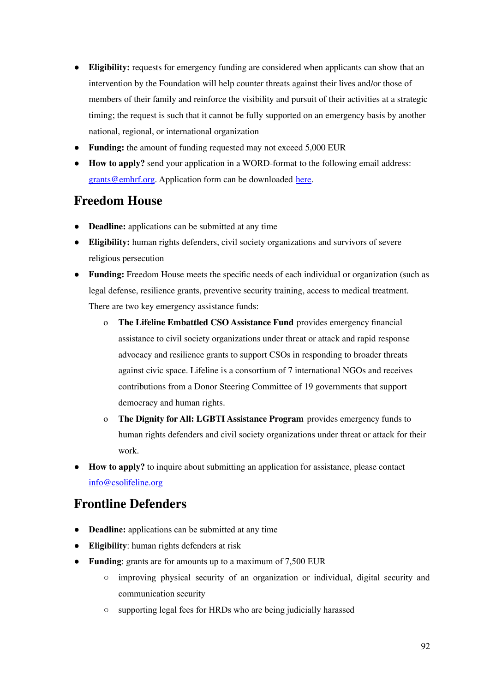- **Eligibility:** requests for emergency funding are considered when applicants can show that an intervention by the Foundation will help counter threats against their lives and/or those of members of their family and reinforce the visibility and pursuit of their activities at a strategic timing; the request is such that it cannot be fully supported on an emergency basis by another national, regional, or international organization
- **Funding:** the amount of funding requested may not exceed 5,000 EUR
- **How to apply?** send your application in a WORD-format to the following email address: [grants@emhrf.org](mailto:grants@emhrf.org). Application form can be downloaded [here.](https://emhrf.org/urgent-grants/)

#### **[Freedom](https://freedomhouse.org/programs/emergency-assistance-and-thematic-programs) House**

- **Deadline:** applications can be submitted at any time
- **Eligibility:** human rights defenders, civil society organizations and survivors of severe religious persecution
- **Funding:** Freedom House meets the specific needs of each individual or organization (such as legal defense, resilience grants, preventive security training, access to medical treatment. There are two key emergency assistance funds:
	- o **The Lifeline Embattled CSO Assistance Fund** provides emergency financial assistance to civil society organizations under threat or attack and rapid response advocacy and resilience grants to support CSOs in responding to broader threats against civic space. Lifeline is a consortium of 7 international NGOs and receives contributions from a Donor Steering Committee of 19 governments that support democracy and human rights.
	- o **The Dignity for All: LGBTI Assistance Program** provides emergency funds to human rights defenders and civil society organizations under threat or attack for their work.
- **How to apply?** to inquire about submitting an application for assistance, please contact [info@csolifeline.org](mailto:info@csolifeline.org)

#### **Frontline [Defenders](https://www.frontlinedefenders.org/en/programme/protection-grants)**

- **Deadline:** applications can be submitted at any time
- **Eligibility**: human rights defenders at risk
- **Funding**: grants are for amounts up to a maximum of 7,500 EUR
	- improving physical security of an organization or individual, digital security and communication security
	- supporting legal fees for HRDs who are being judicially harassed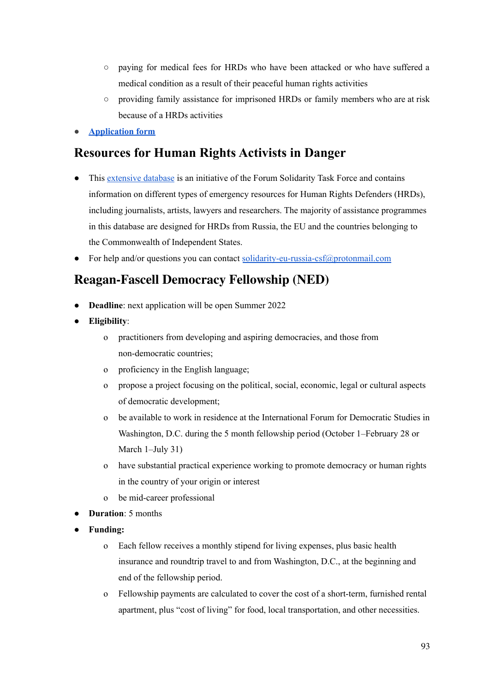- paying for medical fees for HRDs who have been attacked or who have suffered a medical condition as a result of their peaceful human rights activities
- providing family assistance for imprisoned HRDs or family members who are at risk because of a HRDs activities
- **● [Application](https://www.frontlinedefenders.org/secure/grant.php?l=en) form**

#### **[Resources](https://eu-russia-csf.org/solidarity-data-base/) for Human Rights Activists in Danger**

- This [extensive](https://eu-russia-csf.org/solidarity-data-base/) database is an initiative of the Forum Solidarity Task Force and contains information on different types of emergency resources for Human Rights Defenders (HRDs), including journalists, artists, lawyers and researchers. The majority of assistance programmes in this database are designed for HRDs from Russia, the EU and the countries belonging to the Commonwealth of Independent States.
- For help and/or questions you can contact [solidarity-eu-russia-csf@protonmail.com](mailto:solidarity-eu-russia-csf@protonmail.com)

#### **[Reagan-Fascell](https://www.ned.org/fellowships/reagan-fascell-democracy-fellows-program/applying-for-a-fellowship/) Democracy Fellowship (NED)**

- **Deadline**: next application will be open Summer 2022
- **Eligibility**:
	- o practitioners from developing and aspiring democracies, and those from non-democratic countries;
	- o proficiency in the English language;
	- o propose a project focusing on the political, social, economic, legal or cultural aspects of democratic development;
	- o be available to work in residence at the International Forum for Democratic Studies in Washington, D.C. during the 5 month fellowship period (October 1–February 28 or March 1–July 31)
	- o have substantial practical experience working to promote democracy or human rights in the country of your origin or interest
	- o be mid-career professional
- **Duration**: 5 months
- **Funding:**
	- o Each fellow receives a monthly stipend for living expenses, plus basic health insurance and roundtrip travel to and from Washington, D.C., at the beginning and end of the fellowship period.
	- o Fellowship payments are calculated to cover the cost of a short-term, furnished rental apartment, plus "cost of living" for food, local transportation, and other necessities.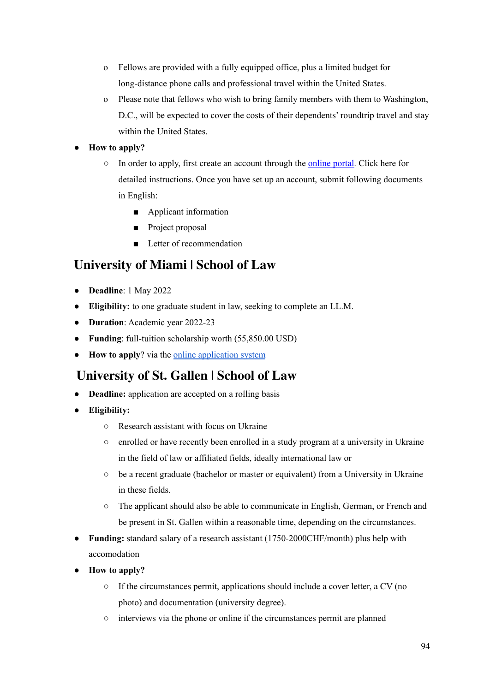- o Fellows are provided with a fully equipped office, plus a limited budget for long-distance phone calls and professional travel within the United States.
- o Please note that fellows who wish to bring family members with them to Washington, D.C., will be expected to cover the costs of their dependents' roundtrip travel and stay within the United States.

#### ● **How to apply?**

- In order to apply, first create an account through the <u>[online](https://www.nedfellowships.org/Start/ReaganFascell) portal</u>. Click here for detailed instructions. Once you have set up an account, submit following documents in English:
	- Applicant information
	- Project proposal
	- Letter of recommendation

#### **[University](https://www.law.miami.edu/news/2022/march/university-miami-school-law-announces-full-scholarship-graduates-ukrainian-law?fbclid=IwAR0rQxIhcyGjG-7h_sM9-s0v7Zv4DhngpnrzOagLyyo7WuABknRS8e4ETFQ) of Miami | School of Law**

- **Deadline**: 1 May 2022
- **Eligibility:** to one graduate student in law, seeking to complete an LL.M.
- **Duration**: Academic year 2022-23
- **Funding**: full-tuition scholarship worth (55,850.00 USD)
- **How to apply**? via the online [application](https://lawapps.law.miami.edu/ellm/login.aspx) system

#### **[University](https://www.unisg.ch/en/wissen/hsg-newsroom/themenschwerpunkt-ukraine) of St. Gallen | School of Law**

- **Deadline:** application are accepted on a rolling basis
- **Eligibility:**
	- Research assistant with focus on Ukraine
	- enrolled or have recently been enrolled in a study program at a university in Ukraine in the field of law or affiliated fields, ideally international law or
	- be a recent graduate (bachelor or master or equivalent) from a University in Ukraine in these fields.
	- The applicant should also be able to communicate in English, German, or French and be present in St. Gallen within a reasonable time, depending on the circumstances.
- **Funding:** standard salary of a research assistant (1750-2000CHF/month) plus help with accomodation
- **How to apply?**
	- If the circumstances permit, applications should include a cover letter, a CV (no photo) and documentation (university degree).
	- interviews via the phone or online if the circumstances permit are planned